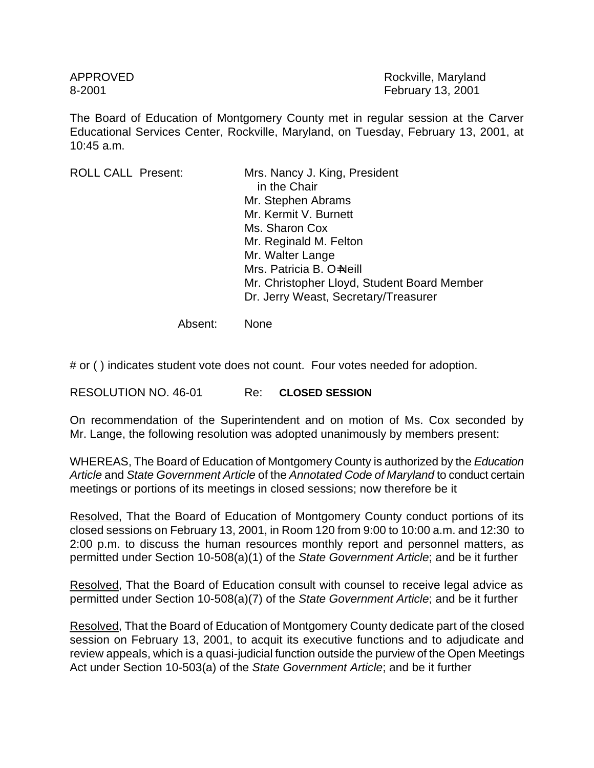APPROVED **Rockville, Maryland** 8-2001 February 13, 2001

The Board of Education of Montgomery County met in regular session at the Carver Educational Services Center, Rockville, Maryland, on Tuesday, February 13, 2001, at 10:45 a.m.

ROLL CALL Present: Mrs. Nancy J. King, President in the Chair Mr. Stephen Abrams Mr. Kermit V. Burnett Ms. Sharon Cox Mr. Reginald M. Felton Mr. Walter Lange Mrs. Patricia B. O=Neill Mr. Christopher Lloyd, Student Board Member Dr. Jerry Weast, Secretary/Treasurer

Absent: None

# or ( ) indicates student vote does not count. Four votes needed for adoption.

RESOLUTION NO. 46-01 Re: **CLOSED SESSION**

On recommendation of the Superintendent and on motion of Ms. Cox seconded by Mr. Lange, the following resolution was adopted unanimously by members present:

WHEREAS, The Board of Education of Montgomery County is authorized by the *Education Article* and *State Government Article* of the *Annotated Code of Maryland* to conduct certain meetings or portions of its meetings in closed sessions; now therefore be it

Resolved, That the Board of Education of Montgomery County conduct portions of its closed sessions on February 13, 2001, in Room 120 from 9:00 to 10:00 a.m. and 12:30 to 2:00 p.m. to discuss the human resources monthly report and personnel matters, as permitted under Section 10-508(a)(1) of the *State Government Article*; and be it further

Resolved, That the Board of Education consult with counsel to receive legal advice as permitted under Section 10-508(a)(7) of the *State Government Article*; and be it further

Resolved, That the Board of Education of Montgomery County dedicate part of the closed session on February 13, 2001, to acquit its executive functions and to adjudicate and review appeals, which is a quasi-judicial function outside the purview of the Open Meetings Act under Section 10-503(a) of the *State Government Article*; and be it further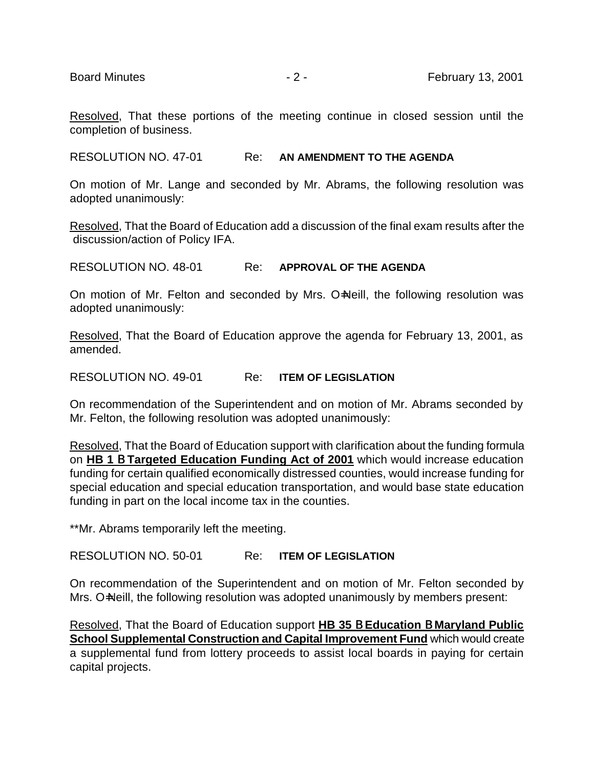Resolved, That these portions of the meeting continue in closed session until the completion of business.

RESOLUTION NO. 47-01 Re: **AN AMENDMENT TO THE AGENDA**

On motion of Mr. Lange and seconded by Mr. Abrams, the following resolution was adopted unanimously:

Resolved, That the Board of Education add a discussion of the final exam results after the discussion/action of Policy IFA.

RESOLUTION NO. 48-01 Re: **APPROVAL OF THE AGENDA**

On motion of Mr. Felton and seconded by Mrs. O=Neill, the following resolution was adopted unanimously:

Resolved, That the Board of Education approve the agenda for February 13, 2001, as amended.

RESOLUTION NO. 49-01 Re: **ITEM OF LEGISLATION**

On recommendation of the Superintendent and on motion of Mr. Abrams seconded by Mr. Felton, the following resolution was adopted unanimously:

Resolved, That the Board of Education support with clarification about the funding formula on **HB 1** B **Targeted Education Funding Act of 2001** which would increase education funding for certain qualified economically distressed counties, would increase funding for special education and special education transportation, and would base state education funding in part on the local income tax in the counties.

\*\*Mr. Abrams temporarily left the meeting.

RESOLUTION NO. 50-01 Re: **ITEM OF LEGISLATION**

On recommendation of the Superintendent and on motion of Mr. Felton seconded by Mrs. O=Neill, the following resolution was adopted unanimously by members present:

Resolved, That the Board of Education support **HB 35** B **Education** B **Maryland Public School Supplemental Construction and Capital Improvement Fund which would create** a supplemental fund from lottery proceeds to assist local boards in paying for certain capital projects.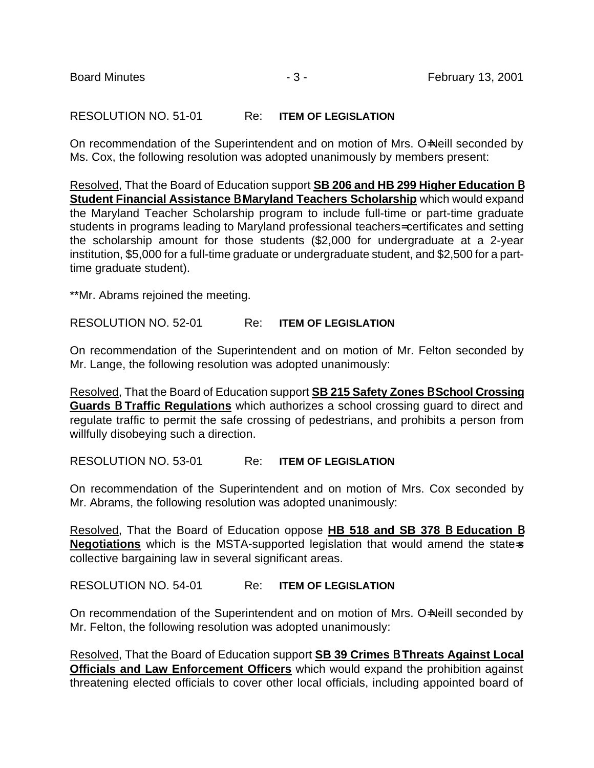# RESOLUTION NO. 51-01 Re: **ITEM OF LEGISLATION**

On recommendation of the Superintendent and on motion of Mrs. O=Neill seconded by Ms. Cox, the following resolution was adopted unanimously by members present:

Resolved, That the Board of Education support **SB 206 and HB 299 Higher Education** B **Student Financial Assistance** B **Maryland Teachers Scholarship** which would expand the Maryland Teacher Scholarship program to include full-time or part-time graduate students in programs leading to Maryland professional teachers= certificates and setting the scholarship amount for those students (\$2,000 for undergraduate at a 2-year institution, \$5,000 for a full-time graduate or undergraduate student, and \$2,500 for a parttime graduate student).

\*\*Mr. Abrams rejoined the meeting.

RESOLUTION NO. 52-01 Re: **ITEM OF LEGISLATION**

On recommendation of the Superintendent and on motion of Mr. Felton seconded by Mr. Lange, the following resolution was adopted unanimously:

Resolved, That the Board of Education support **SB 215 Safety Zones** B **School Crossing Guards** B **Traffic Regulations** which authorizes a school crossing guard to direct and regulate traffic to permit the safe crossing of pedestrians, and prohibits a person from willfully disobeying such a direction.

RESOLUTION NO. 53-01 Re: **ITEM OF LEGISLATION**

On recommendation of the Superintendent and on motion of Mrs. Cox seconded by Mr. Abrams, the following resolution was adopted unanimously:

Resolved, That the Board of Education oppose **HB 518 and SB 378** B **Education** B **Negotiations** which is the MSTA-supported legislation that would amend the state-s collective bargaining law in several significant areas.

RESOLUTION NO. 54-01 Re: **ITEM OF LEGISLATION**

On recommendation of the Superintendent and on motion of Mrs. O=Neill seconded by Mr. Felton, the following resolution was adopted unanimously:

Resolved, That the Board of Education support **SB 39 Crimes** B **Threats Against Local Officials and Law Enforcement Officers** which would expand the prohibition against threatening elected officials to cover other local officials, including appointed board of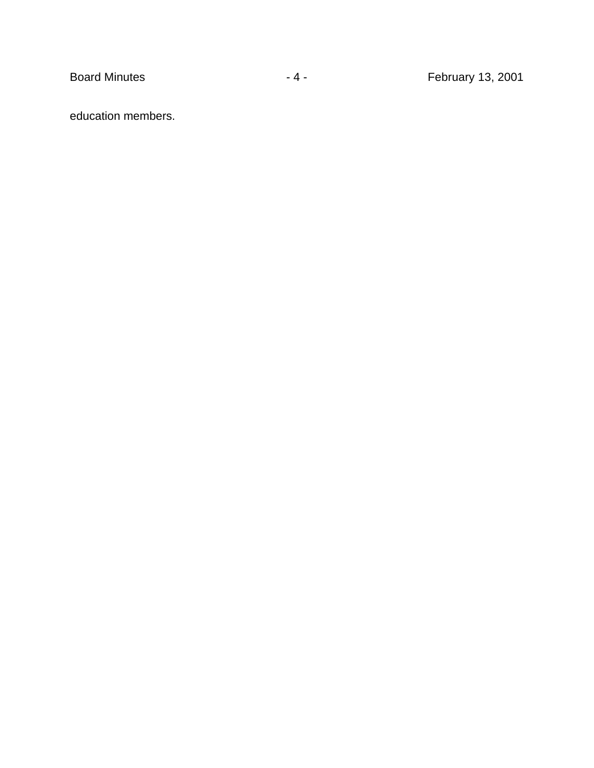education members.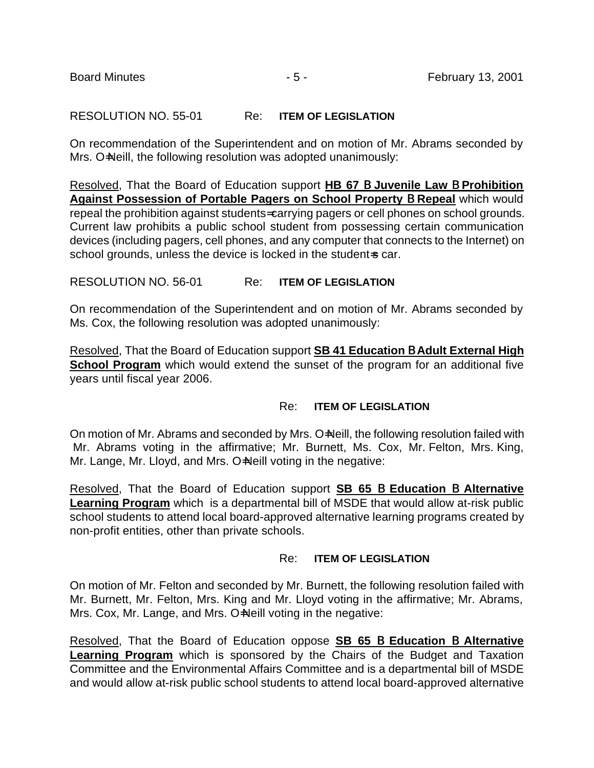### RESOLUTION NO. 55-01 Re: **ITEM OF LEGISLATION**

On recommendation of the Superintendent and on motion of Mr. Abrams seconded by Mrs. O=Neill, the following resolution was adopted unanimously:

Resolved, That the Board of Education support **HB 67** B **Juvenile Law** B **Prohibition Against Possession of Portable Pagers on School Property** B **Repeal** which would repeal the prohibition against students= carrying pagers or cell phones on school grounds. Current law prohibits a public school student from possessing certain communication devices (including pagers, cell phones, and any computer that connects to the Internet) on school grounds, unless the device is locked in the student-s car.

RESOLUTION NO. 56-01 Re: **ITEM OF LEGISLATION**

On recommendation of the Superintendent and on motion of Mr. Abrams seconded by Ms. Cox, the following resolution was adopted unanimously:

Resolved, That the Board of Education support **SB 41 Education** B **Adult External High School Program** which would extend the sunset of the program for an additional five years until fiscal year 2006.

#### Re: **ITEM OF LEGISLATION**

On motion of Mr. Abrams and seconded by Mrs. O=Neill, the following resolution failed with Mr. Abrams voting in the affirmative; Mr. Burnett, Ms. Cox, Mr. Felton, Mrs. King, Mr. Lange, Mr. Lloyd, and Mrs. O=Neill voting in the negative:

Resolved, That the Board of Education support **SB 65** B **Education** B **Alternative Learning Program** which is a departmental bill of MSDE that would allow at-risk public school students to attend local board-approved alternative learning programs created by non-profit entities, other than private schools.

#### Re: **ITEM OF LEGISLATION**

On motion of Mr. Felton and seconded by Mr. Burnett, the following resolution failed with Mr. Burnett, Mr. Felton, Mrs. King and Mr. Lloyd voting in the affirmative; Mr. Abrams, Mrs. Cox, Mr. Lange, and Mrs. O=Neill voting in the negative:

Resolved, That the Board of Education oppose **SB 65** B **Education** B **Alternative Learning Program** which is sponsored by the Chairs of the Budget and Taxation Committee and the Environmental Affairs Committee and is a departmental bill of MSDE and would allow at-risk public school students to attend local board-approved alternative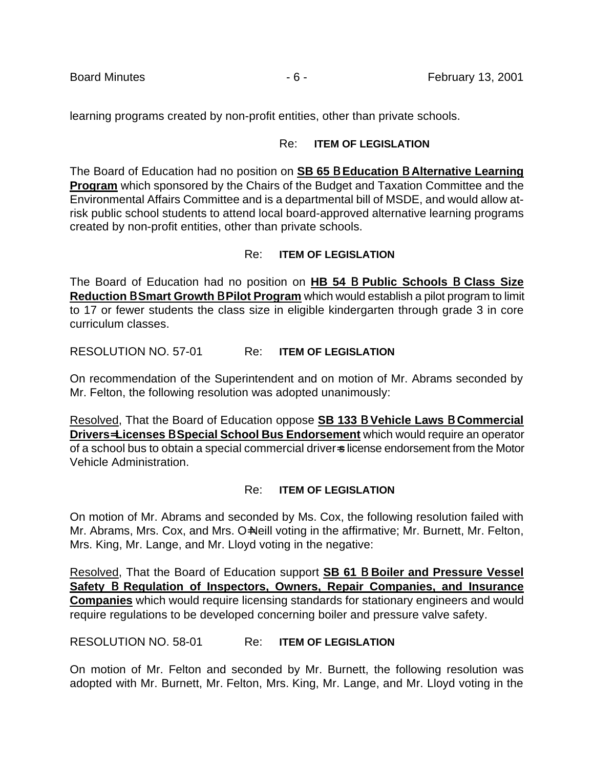learning programs created by non-profit entities, other than private schools.

#### Re: **ITEM OF LEGISLATION**

The Board of Education had no position on **SB 65** B **Education** B **Alternative Learning Program** which sponsored by the Chairs of the Budget and Taxation Committee and the Environmental Affairs Committee and is a departmental bill of MSDE, and would allow atrisk public school students to attend local board-approved alternative learning programs created by non-profit entities, other than private schools.

# Re: **ITEM OF LEGISLATION**

The Board of Education had no position on **HB 54** B **Public Schools** B **Class Size Reduction** B **Smart Growth** B **Pilot Program** which would establish a pilot program to limit to 17 or fewer students the class size in eligible kindergarten through grade 3 in core curriculum classes.

# RESOLUTION NO. 57-01 Re: **ITEM OF LEGISLATION**

On recommendation of the Superintendent and on motion of Mr. Abrams seconded by Mr. Felton, the following resolution was adopted unanimously:

Resolved, That the Board of Education oppose **SB 133** B **Vehicle Laws** B **Commercial Drivers**= **Licenses** B **Special School Bus Endorsement** which would require an operator of a school bus to obtain a special commercial driver-s license endorsement from the Motor Vehicle Administration.

# Re: **ITEM OF LEGISLATION**

On motion of Mr. Abrams and seconded by Ms. Cox, the following resolution failed with Mr. Abrams, Mrs. Cox, and Mrs. O=Neill voting in the affirmative; Mr. Burnett, Mr. Felton, Mrs. King, Mr. Lange, and Mr. Lloyd voting in the negative:

Resolved, That the Board of Education support **SB 61** B **Boiler and Pressure Vessel Safety** B **Regulation of Inspectors, Owners, Repair Companies, and Insurance Companies** which would require licensing standards for stationary engineers and would require regulations to be developed concerning boiler and pressure valve safety.

RESOLUTION NO. 58-01 Re: **ITEM OF LEGISLATION**

On motion of Mr. Felton and seconded by Mr. Burnett, the following resolution was adopted with Mr. Burnett, Mr. Felton, Mrs. King, Mr. Lange, and Mr. Lloyd voting in the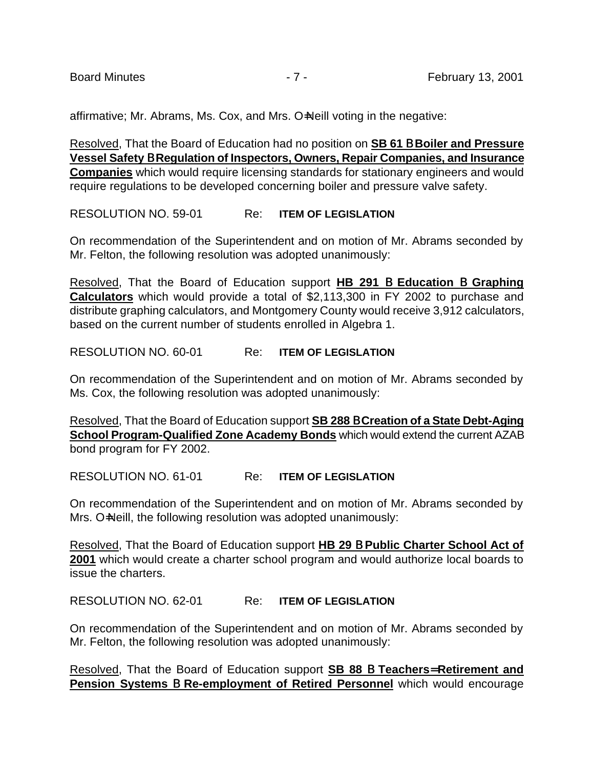affirmative; Mr. Abrams, Ms. Cox, and Mrs. O=Neill voting in the negative:

Resolved, That the Board of Education had no position on **SB 61** B **Boiler and Pressure Vessel Safety** B **Regulation of Inspectors, Owners, Repair Companies, and Insurance Companies** which would require licensing standards for stationary engineers and would require regulations to be developed concerning boiler and pressure valve safety.

RESOLUTION NO. 59-01 Re: **ITEM OF LEGISLATION**

On recommendation of the Superintendent and on motion of Mr. Abrams seconded by Mr. Felton, the following resolution was adopted unanimously:

Resolved, That the Board of Education support **HB 291** B **Education** B **Graphing Calculators** which would provide a total of \$2,113,300 in FY 2002 to purchase and distribute graphing calculators, and Montgomery County would receive 3,912 calculators, based on the current number of students enrolled in Algebra 1.

RESOLUTION NO. 60-01 Re: **ITEM OF LEGISLATION**

On recommendation of the Superintendent and on motion of Mr. Abrams seconded by Ms. Cox, the following resolution was adopted unanimously:

Resolved, That the Board of Education support **SB 288** B **Creation of a State Debt-Aging School Program-Qualified Zone Academy Bonds** which would extend the current AZAB bond program for FY 2002.

RESOLUTION NO. 61-01 Re: **ITEM OF LEGISLATION**

On recommendation of the Superintendent and on motion of Mr. Abrams seconded by Mrs. O=Neill, the following resolution was adopted unanimously:

Resolved, That the Board of Education support **HB 29** B **Public Charter School Act of 2001** which would create a charter school program and would authorize local boards to issue the charters.

RESOLUTION NO. 62-01 Re: **ITEM OF LEGISLATION**

On recommendation of the Superintendent and on motion of Mr. Abrams seconded by Mr. Felton, the following resolution was adopted unanimously:

Resolved, That the Board of Education support **SB 88** B **Teachers**= **Retirement and Pension Systems** B **Re-employment of Retired Personnel** which would encourage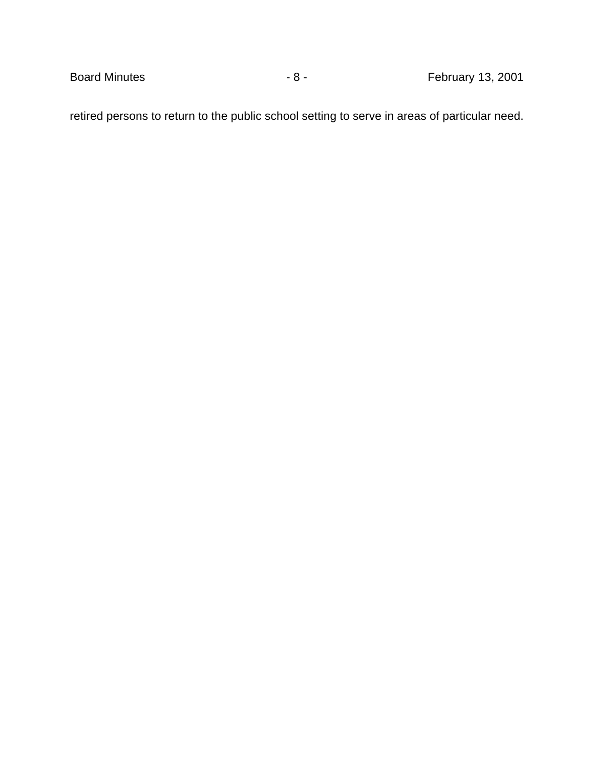retired persons to return to the public school setting to serve in areas of particular need.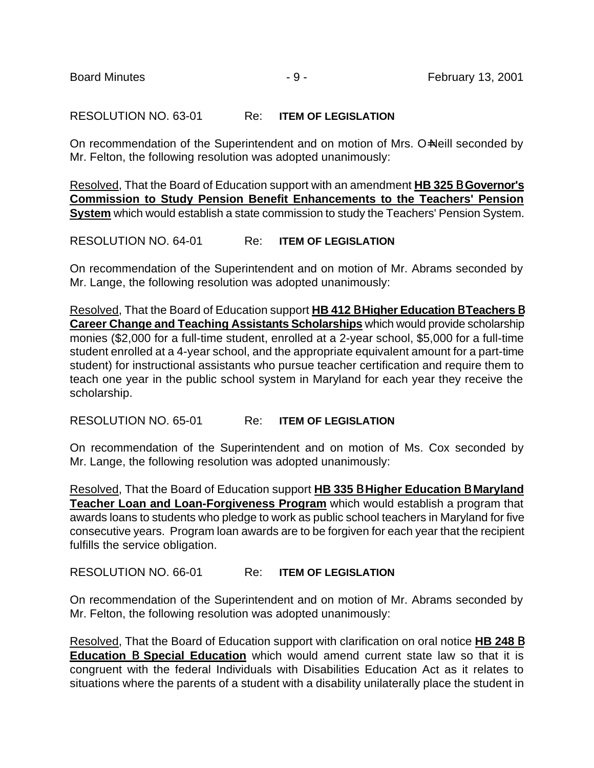# RESOLUTION NO. 63-01 Re: **ITEM OF LEGISLATION**

On recommendation of the Superintendent and on motion of Mrs. O=Neill seconded by Mr. Felton, the following resolution was adopted unanimously:

Resolved, That the Board of Education support with an amendment **HB 325** B **Governor's Commission to Study Pension Benefit Enhancements to the Teachers' Pension System** which would establish a state commission to study the Teachers' Pension System.

# RESOLUTION NO. 64-01 Re: **ITEM OF LEGISLATION**

On recommendation of the Superintendent and on motion of Mr. Abrams seconded by Mr. Lange, the following resolution was adopted unanimously:

Resolved, That the Board of Education support **HB 412** B **Higher Education** B **Teachers** B **Career Change and Teaching Assistants Scholarships** which would provide scholarship monies (\$2,000 for a full-time student, enrolled at a 2-year school, \$5,000 for a full-time student enrolled at a 4-year school, and the appropriate equivalent amount for a part-time student) for instructional assistants who pursue teacher certification and require them to teach one year in the public school system in Maryland for each year they receive the scholarship.

RESOLUTION NO. 65-01 Re: **ITEM OF LEGISLATION**

On recommendation of the Superintendent and on motion of Ms. Cox seconded by Mr. Lange, the following resolution was adopted unanimously:

Resolved, That the Board of Education support **HB 335** B **Higher Education** B **Maryland Teacher Loan and Loan-Forgiveness Program** which would establish a program that awards loans to students who pledge to work as public school teachers in Maryland for five consecutive years. Program loan awards are to be forgiven for each year that the recipient fulfills the service obligation.

# RESOLUTION NO. 66-01 Re: **ITEM OF LEGISLATION**

On recommendation of the Superintendent and on motion of Mr. Abrams seconded by Mr. Felton, the following resolution was adopted unanimously:

Resolved, That the Board of Education support with clarification on oral notice **HB 248** B **Education** B **Special Education** which would amend current state law so that it is congruent with the federal Individuals with Disabilities Education Act as it relates to situations where the parents of a student with a disability unilaterally place the student in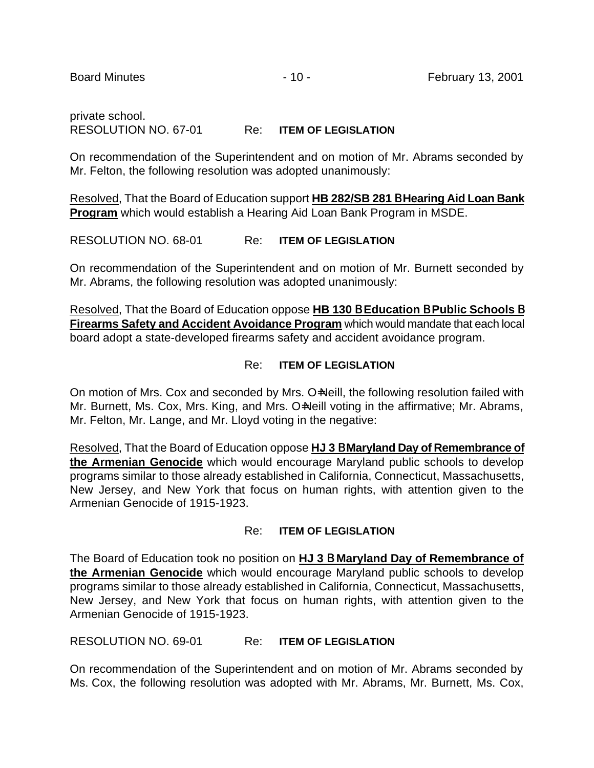# private school. RESOLUTION NO. 67-01 Re: **ITEM OF LEGISLATION**

On recommendation of the Superintendent and on motion of Mr. Abrams seconded by Mr. Felton, the following resolution was adopted unanimously:

Resolved, That the Board of Education support **HB 282/SB 281** B **Hearing Aid Loan Bank Program** which would establish a Hearing Aid Loan Bank Program in MSDE.

RESOLUTION NO. 68-01 Re: **ITEM OF LEGISLATION**

On recommendation of the Superintendent and on motion of Mr. Burnett seconded by Mr. Abrams, the following resolution was adopted unanimously:

Resolved, That the Board of Education oppose **HB 130** B **Education** B **Public Schools** B **Firearms Safety and Accident Avoidance Program** which would mandate that each local board adopt a state-developed firearms safety and accident avoidance program.

#### Re: **ITEM OF LEGISLATION**

On motion of Mrs. Cox and seconded by Mrs. O=Neill, the following resolution failed with Mr. Burnett, Ms. Cox, Mrs. King, and Mrs. O=Neill voting in the affirmative; Mr. Abrams, Mr. Felton, Mr. Lange, and Mr. Lloyd voting in the negative:

Resolved, That the Board of Education oppose **HJ 3** B **Maryland Day of Remembrance of the Armenian Genocide** which would encourage Maryland public schools to develop programs similar to those already established in California, Connecticut, Massachusetts, New Jersey, and New York that focus on human rights, with attention given to the Armenian Genocide of 1915-1923.

# Re: **ITEM OF LEGISLATION**

The Board of Education took no position on **HJ 3** B **Maryland Day of Remembrance of the Armenian Genocide** which would encourage Maryland public schools to develop programs similar to those already established in California, Connecticut, Massachusetts, New Jersey, and New York that focus on human rights, with attention given to the Armenian Genocide of 1915-1923.

# RESOLUTION NO. 69-01 Re: **ITEM OF LEGISLATION**

On recommendation of the Superintendent and on motion of Mr. Abrams seconded by Ms. Cox, the following resolution was adopted with Mr. Abrams, Mr. Burnett, Ms. Cox,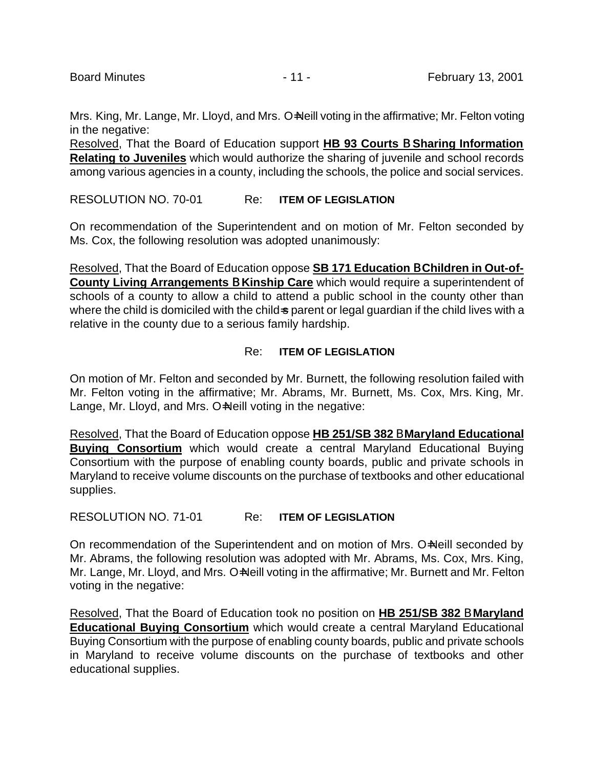Mrs. King, Mr. Lange, Mr. Lloyd, and Mrs. O=Neill voting in the affirmative; Mr. Felton voting in the negative:

Resolved, That the Board of Education support **HB 93 Courts** B **Sharing Information Relating to Juveniles** which would authorize the sharing of juvenile and school records among various agencies in a county, including the schools, the police and social services.

RESOLUTION NO. 70-01 Re: **ITEM OF LEGISLATION**

On recommendation of the Superintendent and on motion of Mr. Felton seconded by Ms. Cox, the following resolution was adopted unanimously:

Resolved, That the Board of Education oppose **SB 171 Education** B **Children in Out-of-County Living Arrangements** B **Kinship Care** which would require a superintendent of schools of a county to allow a child to attend a public school in the county other than where the child is domiciled with the child=s parent or legal guardian if the child lives with a relative in the county due to a serious family hardship.

# Re: **ITEM OF LEGISLATION**

On motion of Mr. Felton and seconded by Mr. Burnett, the following resolution failed with Mr. Felton voting in the affirmative; Mr. Abrams, Mr. Burnett, Ms. Cox, Mrs. King, Mr. Lange, Mr. Lloyd, and Mrs. O=Neill voting in the negative:

Resolved, That the Board of Education oppose **HB 251/SB 382** B **Maryland Educational Buying Consortium** which would create a central Maryland Educational Buying Consortium with the purpose of enabling county boards, public and private schools in Maryland to receive volume discounts on the purchase of textbooks and other educational supplies.

RESOLUTION NO. 71-01 Re: **ITEM OF LEGISLATION**

On recommendation of the Superintendent and on motion of Mrs. O=Neill seconded by Mr. Abrams, the following resolution was adopted with Mr. Abrams, Ms. Cox, Mrs. King, Mr. Lange, Mr. Lloyd, and Mrs. O-Neill voting in the affirmative; Mr. Burnett and Mr. Felton voting in the negative:

Resolved, That the Board of Education took no position on **HB 251/SB 382** B **Maryland Educational Buying Consortium** which would create a central Maryland Educational Buying Consortium with the purpose of enabling county boards, public and private schools in Maryland to receive volume discounts on the purchase of textbooks and other educational supplies.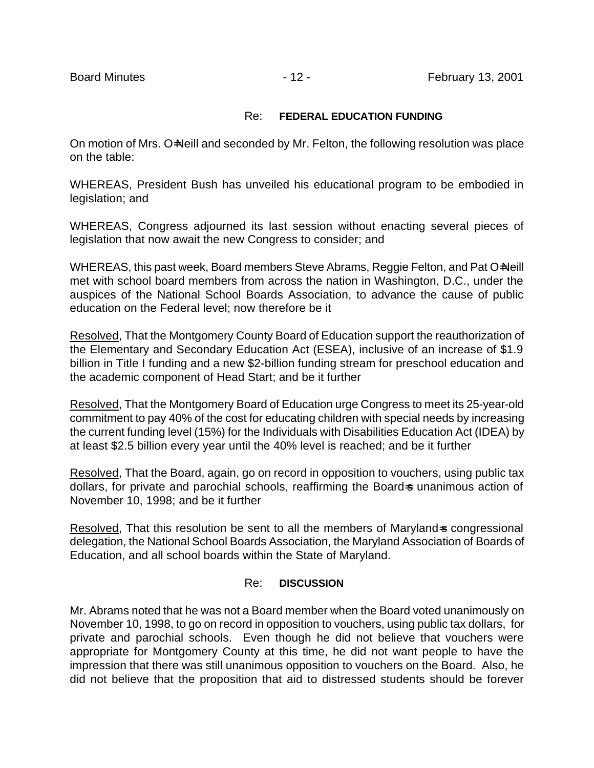#### Re: **FEDERAL EDUCATION FUNDING**

On motion of Mrs. O=Neill and seconded by Mr. Felton, the following resolution was place on the table:

WHEREAS, President Bush has unveiled his educational program to be embodied in legislation; and

WHEREAS, Congress adjourned its last session without enacting several pieces of legislation that now await the new Congress to consider; and

WHEREAS, this past week, Board members Steve Abrams, Reggie Felton, and Pat O=Neill met with school board members from across the nation in Washington, D.C., under the auspices of the National School Boards Association, to advance the cause of public education on the Federal level; now therefore be it

Resolved, That the Montgomery County Board of Education support the reauthorization of the Elementary and Secondary Education Act (ESEA), inclusive of an increase of \$1.9 billion in Title I funding and a new \$2-billion funding stream for preschool education and the academic component of Head Start; and be it further

Resolved, That the Montgomery Board of Education urge Congress to meet its 25-year-old commitment to pay 40% of the cost for educating children with special needs by increasing the current funding level (15%) for the Individuals with Disabilities Education Act (IDEA) by at least \$2.5 billion every year until the 40% level is reached; and be it further

Resolved, That the Board, again, go on record in opposition to vouchers, using public tax dollars, for private and parochial schools, reaffirming the Board-s unanimous action of November 10, 1998; and be it further

Resolved, That this resolution be sent to all the members of Marylands congressional delegation, the National School Boards Association, the Maryland Association of Boards of Education, and all school boards within the State of Maryland.

#### Re: **DISCUSSION**

Mr. Abrams noted that he was not a Board member when the Board voted unanimously on November 10, 1998, to go on record in opposition to vouchers, using public tax dollars, for private and parochial schools. Even though he did not believe that vouchers were appropriate for Montgomery County at this time, he did not want people to have the impression that there was still unanimous opposition to vouchers on the Board. Also, he did not believe that the proposition that aid to distressed students should be forever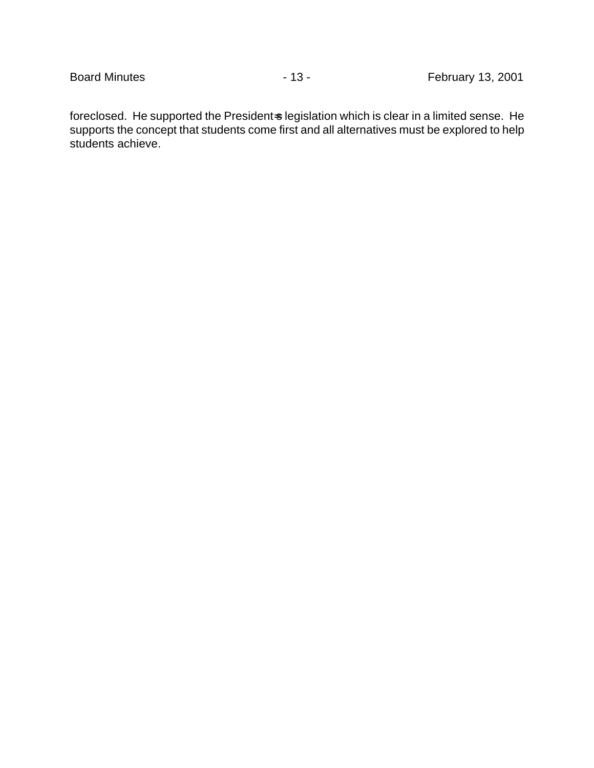foreclosed. He supported the President-s legislation which is clear in a limited sense. He supports the concept that students come first and all alternatives must be explored to help students achieve.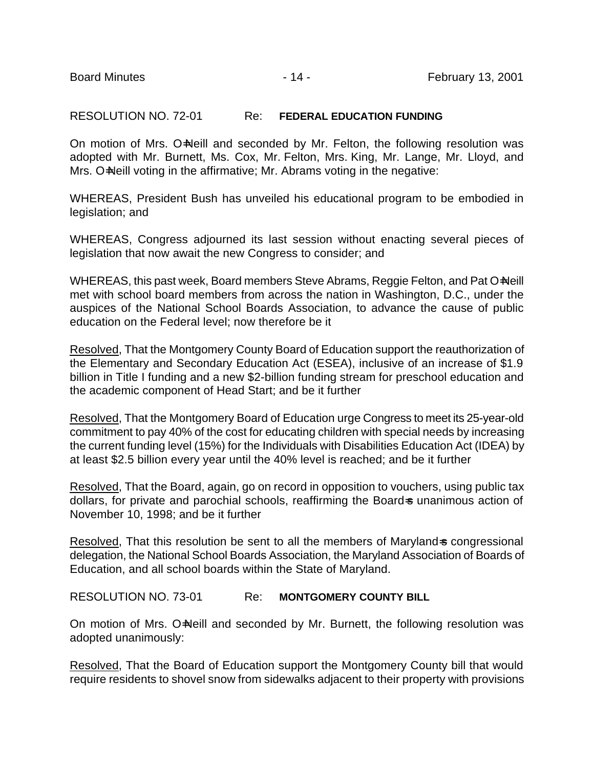RESOLUTION NO. 72-01 Re: **FEDERAL EDUCATION FUNDING**

On motion of Mrs. O=Neill and seconded by Mr. Felton, the following resolution was adopted with Mr. Burnett, Ms. Cox, Mr. Felton, Mrs. King, Mr. Lange, Mr. Lloyd, and Mrs. O=Neill voting in the affirmative; Mr. Abrams voting in the negative:

WHEREAS, President Bush has unveiled his educational program to be embodied in legislation; and

WHEREAS, Congress adjourned its last session without enacting several pieces of legislation that now await the new Congress to consider; and

WHEREAS, this past week, Board members Steve Abrams, Reggie Felton, and Pat O=Neill met with school board members from across the nation in Washington, D.C., under the auspices of the National School Boards Association, to advance the cause of public education on the Federal level; now therefore be it

Resolved, That the Montgomery County Board of Education support the reauthorization of the Elementary and Secondary Education Act (ESEA), inclusive of an increase of \$1.9 billion in Title I funding and a new \$2-billion funding stream for preschool education and the academic component of Head Start; and be it further

Resolved, That the Montgomery Board of Education urge Congress to meet its 25-year-old commitment to pay 40% of the cost for educating children with special needs by increasing the current funding level (15%) for the Individuals with Disabilities Education Act (IDEA) by at least \$2.5 billion every year until the 40% level is reached; and be it further

Resolved, That the Board, again, go on record in opposition to vouchers, using public tax dollars, for private and parochial schools, reaffirming the Board-s unanimous action of November 10, 1998; and be it further

Resolved, That this resolution be sent to all the members of Maryland is congressional delegation, the National School Boards Association, the Maryland Association of Boards of Education, and all school boards within the State of Maryland.

RESOLUTION NO. 73-01 Re: **MONTGOMERY COUNTY BILL**

On motion of Mrs. O=Neill and seconded by Mr. Burnett, the following resolution was adopted unanimously:

Resolved, That the Board of Education support the Montgomery County bill that would require residents to shovel snow from sidewalks adjacent to their property with provisions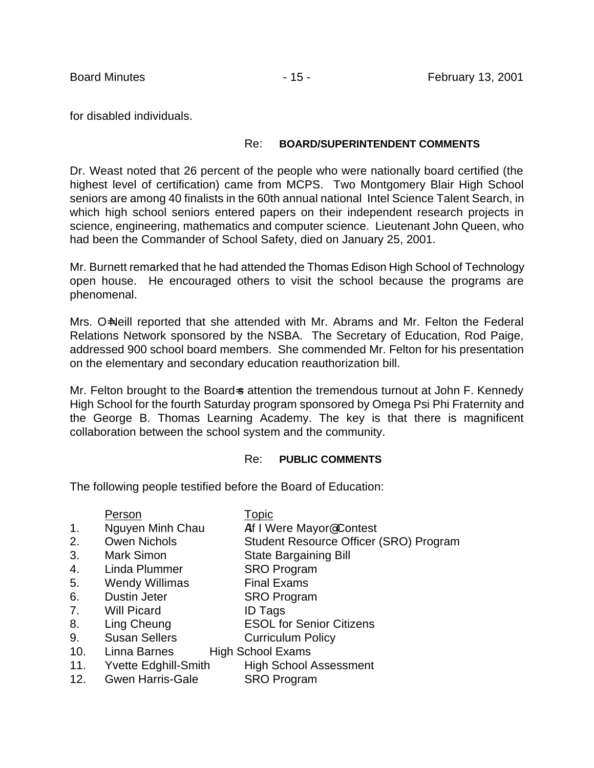for disabled individuals.

### Re: **BOARD/SUPERINTENDENT COMMENTS**

Dr. Weast noted that 26 percent of the people who were nationally board certified (the highest level of certification) came from MCPS. Two Montgomery Blair High School seniors are among 40 finalists in the 60th annual national Intel Science Talent Search, in which high school seniors entered papers on their independent research projects in science, engineering, mathematics and computer science. Lieutenant John Queen, who had been the Commander of School Safety, died on January 25, 2001.

Mr. Burnett remarked that he had attended the Thomas Edison High School of Technology open house. He encouraged others to visit the school because the programs are phenomenal.

Mrs. O=Neill reported that she attended with Mr. Abrams and Mr. Felton the Federal Relations Network sponsored by the NSBA. The Secretary of Education, Rod Paige, addressed 900 school board members. She commended Mr. Felton for his presentation on the elementary and secondary education reauthorization bill.

Mr. Felton brought to the Board-s attention the tremendous turnout at John F. Kennedy High School for the fourth Saturday program sponsored by Omega Psi Phi Fraternity and the George B. Thomas Learning Academy. The key is that there is magnificent collaboration between the school system and the community.

#### Re: **PUBLIC COMMENTS**

The following people testified before the Board of Education:

|                | Person                      | Topic                                  |
|----------------|-----------------------------|----------------------------------------|
| $\mathbf{1}$ . | Nguyen Minh Chau            | Alf I Were Mayor@Contest               |
| 2.             | <b>Owen Nichols</b>         | Student Resource Officer (SRO) Program |
| 3.             | <b>Mark Simon</b>           | <b>State Bargaining Bill</b>           |
| 4.             | Linda Plummer               | <b>SRO Program</b>                     |
| 5.             | <b>Wendy Willimas</b>       | <b>Final Exams</b>                     |
| 6.             | <b>Dustin Jeter</b>         | <b>SRO Program</b>                     |
| 7.             | <b>Will Picard</b>          | <b>ID Tags</b>                         |
| 8.             | Ling Cheung                 | <b>ESOL for Senior Citizens</b>        |
| 9.             | <b>Susan Sellers</b>        | <b>Curriculum Policy</b>               |
| 10.            | Linna Barnes                | <b>High School Exams</b>               |
| 11.            | <b>Yvette Edghill-Smith</b> | <b>High School Assessment</b>          |

12. Gwen Harris-Gale SRO Program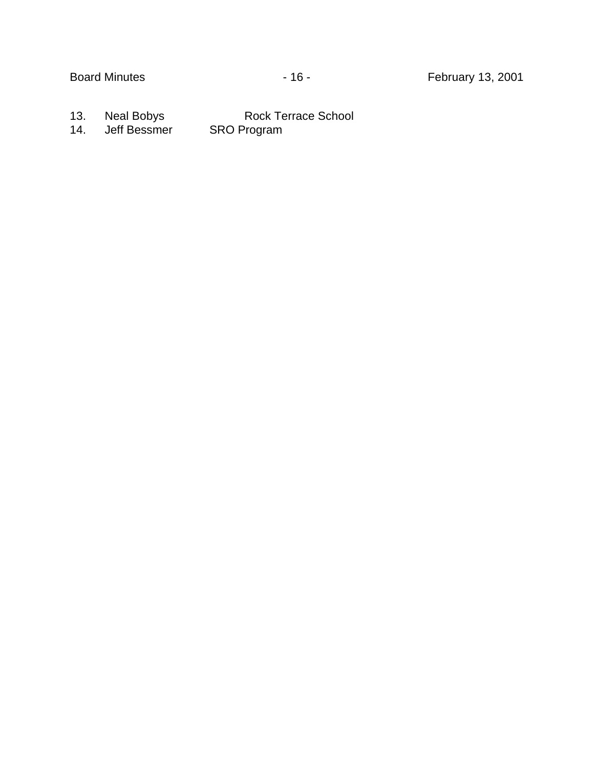13. Neal Bobys Rock Terrace School 14. Jeff Bessmer SRO Program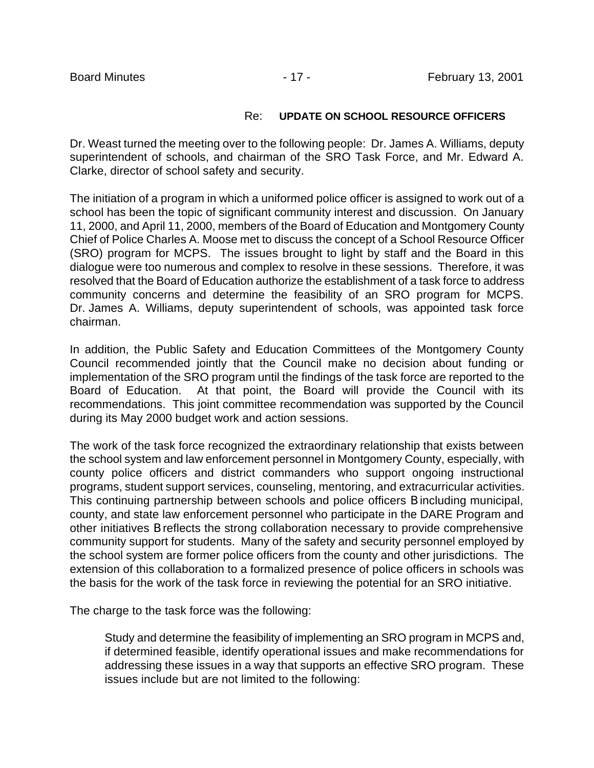### Re: **UPDATE ON SCHOOL RESOURCE OFFICERS**

Dr. Weast turned the meeting over to the following people: Dr. James A. Williams, deputy superintendent of schools, and chairman of the SRO Task Force, and Mr. Edward A. Clarke, director of school safety and security.

The initiation of a program in which a uniformed police officer is assigned to work out of a school has been the topic of significant community interest and discussion. On January 11, 2000, and April 11, 2000, members of the Board of Education and Montgomery County Chief of Police Charles A. Moose met to discuss the concept of a School Resource Officer (SRO) program for MCPS. The issues brought to light by staff and the Board in this dialogue were too numerous and complex to resolve in these sessions. Therefore, it was resolved that the Board of Education authorize the establishment of a task force to address community concerns and determine the feasibility of an SRO program for MCPS. Dr. James A. Williams, deputy superintendent of schools, was appointed task force chairman.

In addition, the Public Safety and Education Committees of the Montgomery County Council recommended jointly that the Council make no decision about funding or implementation of the SRO program until the findings of the task force are reported to the Board of Education. At that point, the Board will provide the Council with its recommendations. This joint committee recommendation was supported by the Council during its May 2000 budget work and action sessions.

The work of the task force recognized the extraordinary relationship that exists between the school system and law enforcement personnel in Montgomery County, especially, with county police officers and district commanders who support ongoing instructional programs, student support services, counseling, mentoring, and extracurricular activities. This continuing partnership between schools and police officers B including municipal, county, and state law enforcement personnel who participate in the DARE Program and other initiatives B reflects the strong collaboration necessary to provide comprehensive community support for students. Many of the safety and security personnel employed by the school system are former police officers from the county and other jurisdictions. The extension of this collaboration to a formalized presence of police officers in schools was the basis for the work of the task force in reviewing the potential for an SRO initiative.

The charge to the task force was the following:

Study and determine the feasibility of implementing an SRO program in MCPS and, if determined feasible, identify operational issues and make recommendations for addressing these issues in a way that supports an effective SRO program. These issues include but are not limited to the following: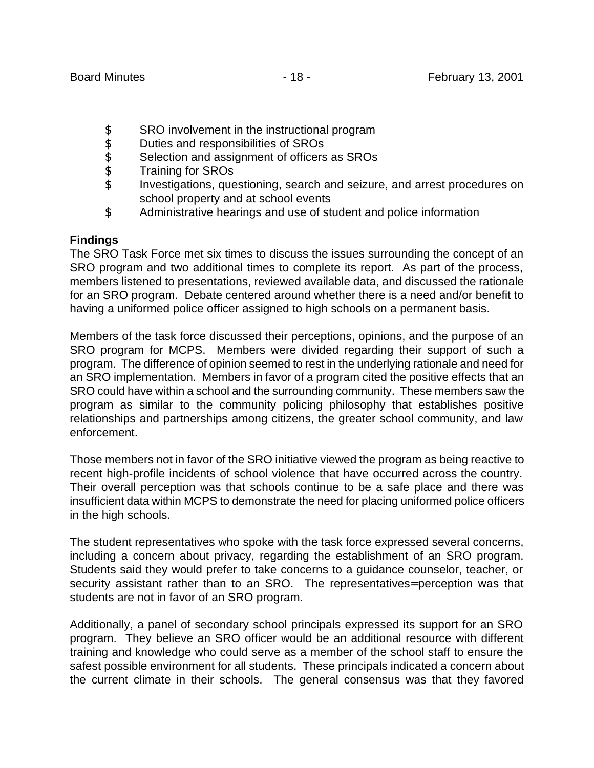- \$ SRO involvement in the instructional program<br>\$ Duties and responsibilities of SROs
- Duties and responsibilities of SROs
- \$ Selection and assignment of officers as SROs
- \$ Training for SROs
- \$ Investigations, questioning, search and seizure, and arrest procedures on school property and at school events
- \$ Administrative hearings and use of student and police information

# **Findings**

The SRO Task Force met six times to discuss the issues surrounding the concept of an SRO program and two additional times to complete its report. As part of the process, members listened to presentations, reviewed available data, and discussed the rationale for an SRO program. Debate centered around whether there is a need and/or benefit to having a uniformed police officer assigned to high schools on a permanent basis.

Members of the task force discussed their perceptions, opinions, and the purpose of an SRO program for MCPS. Members were divided regarding their support of such a program. The difference of opinion seemed to rest in the underlying rationale and need for an SRO implementation. Members in favor of a program cited the positive effects that an SRO could have within a school and the surrounding community. These members saw the program as similar to the community policing philosophy that establishes positive relationships and partnerships among citizens, the greater school community, and law enforcement.

Those members not in favor of the SRO initiative viewed the program as being reactive to recent high-profile incidents of school violence that have occurred across the country. Their overall perception was that schools continue to be a safe place and there was insufficient data within MCPS to demonstrate the need for placing uniformed police officers in the high schools.

The student representatives who spoke with the task force expressed several concerns, including a concern about privacy, regarding the establishment of an SRO program. Students said they would prefer to take concerns to a guidance counselor, teacher, or security assistant rather than to an SRO. The representatives= perception was that students are not in favor of an SRO program.

Additionally, a panel of secondary school principals expressed its support for an SRO program. They believe an SRO officer would be an additional resource with different training and knowledge who could serve as a member of the school staff to ensure the safest possible environment for all students. These principals indicated a concern about the current climate in their schools. The general consensus was that they favored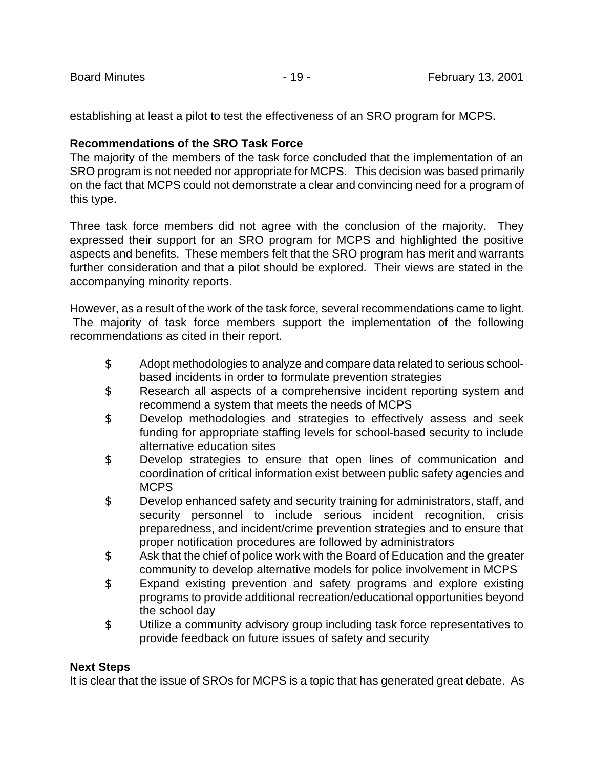establishing at least a pilot to test the effectiveness of an SRO program for MCPS.

# **Recommendations of the SRO Task Force**

The majority of the members of the task force concluded that the implementation of an SRO program is not needed nor appropriate for MCPS. This decision was based primarily on the fact that MCPS could not demonstrate a clear and convincing need for a program of this type.

Three task force members did not agree with the conclusion of the majority. They expressed their support for an SRO program for MCPS and highlighted the positive aspects and benefits. These members felt that the SRO program has merit and warrants further consideration and that a pilot should be explored. Their views are stated in the accompanying minority reports.

However, as a result of the work of the task force, several recommendations came to light. The majority of task force members support the implementation of the following recommendations as cited in their report.

- \$ Adopt methodologies to analyze and compare data related to serious schoolbased incidents in order to formulate prevention strategies
- \$ Research all aspects of a comprehensive incident reporting system and recommend a system that meets the needs of MCPS
- \$ Develop methodologies and strategies to effectively assess and seek funding for appropriate staffing levels for school-based security to include alternative education sites
- \$ Develop strategies to ensure that open lines of communication and coordination of critical information exist between public safety agencies and **MCPS**
- \$ Develop enhanced safety and security training for administrators, staff, and security personnel to include serious incident recognition, crisis preparedness, and incident/crime prevention strategies and to ensure that proper notification procedures are followed by administrators
- \$ Ask that the chief of police work with the Board of Education and the greater community to develop alternative models for police involvement in MCPS
- \$ Expand existing prevention and safety programs and explore existing programs to provide additional recreation/educational opportunities beyond the school day
- \$ Utilize a community advisory group including task force representatives to provide feedback on future issues of safety and security

# **Next Steps**

It is clear that the issue of SROs for MCPS is a topic that has generated great debate. As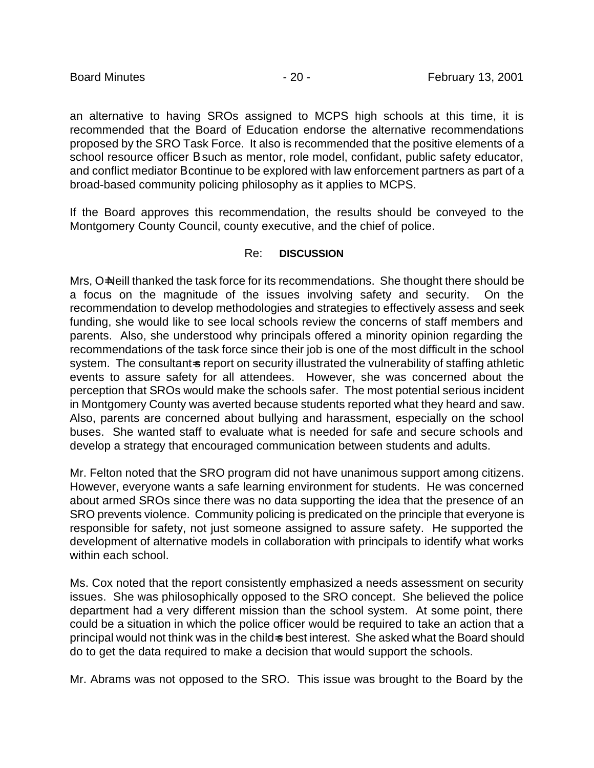an alternative to having SROs assigned to MCPS high schools at this time, it is recommended that the Board of Education endorse the alternative recommendations proposed by the SRO Task Force. It also is recommended that the positive elements of a school resource officer B such as mentor, role model, confidant, public safety educator, and conflict mediator B continue to be explored with law enforcement partners as part of a broad-based community policing philosophy as it applies to MCPS.

If the Board approves this recommendation, the results should be conveyed to the Montgomery County Council, county executive, and the chief of police.

# Re: **DISCUSSION**

Mrs, O=Neill thanked the task force for its recommendations. She thought there should be a focus on the magnitude of the issues involving safety and security. On the recommendation to develop methodologies and strategies to effectively assess and seek funding, she would like to see local schools review the concerns of staff members and parents. Also, she understood why principals offered a minority opinion regarding the recommendations of the task force since their job is one of the most difficult in the school system. The consultant-s report on security illustrated the vulnerability of staffing athletic events to assure safety for all attendees. However, she was concerned about the perception that SROs would make the schools safer. The most potential serious incident in Montgomery County was averted because students reported what they heard and saw. Also, parents are concerned about bullying and harassment, especially on the school buses. She wanted staff to evaluate what is needed for safe and secure schools and develop a strategy that encouraged communication between students and adults.

Mr. Felton noted that the SRO program did not have unanimous support among citizens. However, everyone wants a safe learning environment for students. He was concerned about armed SROs since there was no data supporting the idea that the presence of an SRO prevents violence. Community policing is predicated on the principle that everyone is responsible for safety, not just someone assigned to assure safety. He supported the development of alternative models in collaboration with principals to identify what works within each school.

Ms. Cox noted that the report consistently emphasized a needs assessment on security issues. She was philosophically opposed to the SRO concept. She believed the police department had a very different mission than the school system. At some point, there could be a situation in which the police officer would be required to take an action that a principal would not think was in the child=s best interest. She asked what the Board should do to get the data required to make a decision that would support the schools.

Mr. Abrams was not opposed to the SRO. This issue was brought to the Board by the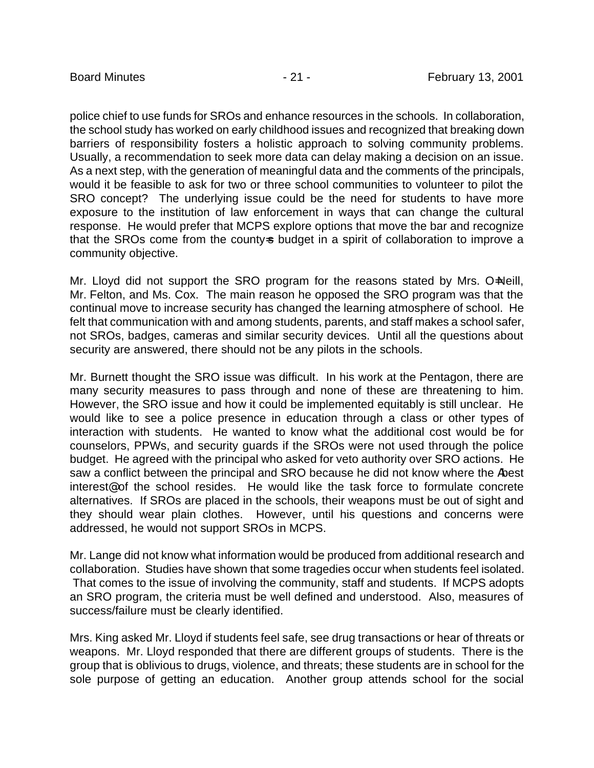police chief to use funds for SROs and enhance resources in the schools. In collaboration, the school study has worked on early childhood issues and recognized that breaking down barriers of responsibility fosters a holistic approach to solving community problems. Usually, a recommendation to seek more data can delay making a decision on an issue. As a next step, with the generation of meaningful data and the comments of the principals, would it be feasible to ask for two or three school communities to volunteer to pilot the SRO concept? The underlying issue could be the need for students to have more exposure to the institution of law enforcement in ways that can change the cultural response. He would prefer that MCPS explore options that move the bar and recognize that the SROs come from the county-s budget in a spirit of collaboration to improve a community objective.

Mr. Lloyd did not support the SRO program for the reasons stated by Mrs. O=Neill, Mr. Felton, and Ms. Cox. The main reason he opposed the SRO program was that the continual move to increase security has changed the learning atmosphere of school. He felt that communication with and among students, parents, and staff makes a school safer, not SROs, badges, cameras and similar security devices. Until all the questions about security are answered, there should not be any pilots in the schools.

Mr. Burnett thought the SRO issue was difficult. In his work at the Pentagon, there are many security measures to pass through and none of these are threatening to him. However, the SRO issue and how it could be implemented equitably is still unclear. He would like to see a police presence in education through a class or other types of interaction with students. He wanted to know what the additional cost would be for counselors, PPWs, and security guards if the SROs were not used through the police budget. He agreed with the principal who asked for veto authority over SRO actions. He saw a conflict between the principal and SRO because he did not know where the Abest interest@ of the school resides. He would like the task force to formulate concrete alternatives. If SROs are placed in the schools, their weapons must be out of sight and they should wear plain clothes. However, until his questions and concerns were addressed, he would not support SROs in MCPS.

Mr. Lange did not know what information would be produced from additional research and collaboration. Studies have shown that some tragedies occur when students feel isolated. That comes to the issue of involving the community, staff and students. If MCPS adopts an SRO program, the criteria must be well defined and understood. Also, measures of success/failure must be clearly identified.

Mrs. King asked Mr. Lloyd if students feel safe, see drug transactions or hear of threats or weapons. Mr. Lloyd responded that there are different groups of students. There is the group that is oblivious to drugs, violence, and threats; these students are in school for the sole purpose of getting an education. Another group attends school for the social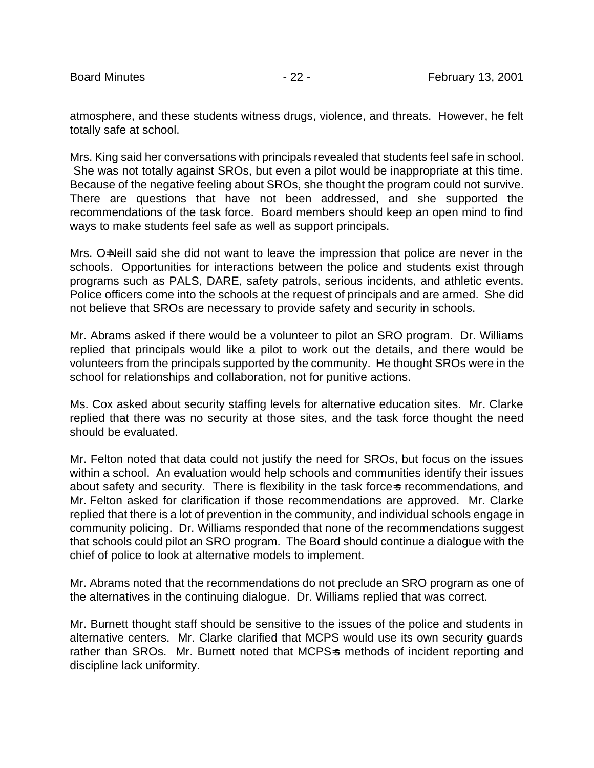atmosphere, and these students witness drugs, violence, and threats. However, he felt totally safe at school.

Mrs. King said her conversations with principals revealed that students feel safe in school. She was not totally against SROs, but even a pilot would be inappropriate at this time. Because of the negative feeling about SROs, she thought the program could not survive. There are questions that have not been addressed, and she supported the recommendations of the task force. Board members should keep an open mind to find ways to make students feel safe as well as support principals.

Mrs. O=Neill said she did not want to leave the impression that police are never in the schools. Opportunities for interactions between the police and students exist through programs such as PALS, DARE, safety patrols, serious incidents, and athletic events. Police officers come into the schools at the request of principals and are armed. She did not believe that SROs are necessary to provide safety and security in schools.

Mr. Abrams asked if there would be a volunteer to pilot an SRO program. Dr. Williams replied that principals would like a pilot to work out the details, and there would be volunteers from the principals supported by the community. He thought SROs were in the school for relationships and collaboration, not for punitive actions.

Ms. Cox asked about security staffing levels for alternative education sites. Mr. Clarke replied that there was no security at those sites, and the task force thought the need should be evaluated.

Mr. Felton noted that data could not justify the need for SROs, but focus on the issues within a school. An evaluation would help schools and communities identify their issues about safety and security. There is flexibility in the task force-s recommendations, and Mr. Felton asked for clarification if those recommendations are approved. Mr. Clarke replied that there is a lot of prevention in the community, and individual schools engage in community policing. Dr. Williams responded that none of the recommendations suggest that schools could pilot an SRO program. The Board should continue a dialogue with the chief of police to look at alternative models to implement.

Mr. Abrams noted that the recommendations do not preclude an SRO program as one of the alternatives in the continuing dialogue. Dr. Williams replied that was correct.

Mr. Burnett thought staff should be sensitive to the issues of the police and students in alternative centers. Mr. Clarke clarified that MCPS would use its own security guards rather than SROs. Mr. Burnett noted that MCPS-s methods of incident reporting and discipline lack uniformity.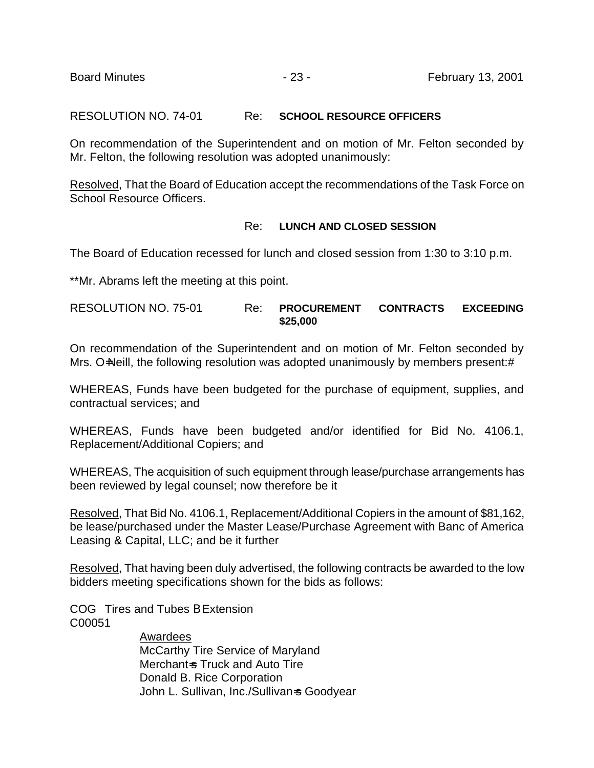RESOLUTION NO. 74-01 Re: **SCHOOL RESOURCE OFFICERS**

On recommendation of the Superintendent and on motion of Mr. Felton seconded by Mr. Felton, the following resolution was adopted unanimously:

Resolved, That the Board of Education accept the recommendations of the Task Force on School Resource Officers.

#### Re: **LUNCH AND CLOSED SESSION**

The Board of Education recessed for lunch and closed session from 1:30 to 3:10 p.m.

\*\*Mr. Abrams left the meeting at this point.

RESOLUTION NO. 75-01 Re: **PROCUREMENT CONTRACTS EXCEEDING \$25,000**

On recommendation of the Superintendent and on motion of Mr. Felton seconded by Mrs. O=Neill, the following resolution was adopted unanimously by members present:#

WHEREAS, Funds have been budgeted for the purchase of equipment, supplies, and contractual services; and

WHEREAS, Funds have been budgeted and/or identified for Bid No. 4106.1, Replacement/Additional Copiers; and

WHEREAS, The acquisition of such equipment through lease/purchase arrangements has been reviewed by legal counsel; now therefore be it

Resolved, That Bid No. 4106.1, Replacement/Additional Copiers in the amount of \$81,162, be lease/purchased under the Master Lease/Purchase Agreement with Banc of America Leasing & Capital, LLC; and be it further

Resolved, That having been duly advertised, the following contracts be awarded to the low bidders meeting specifications shown for the bids as follows:

COG Tires and Tubes B Extension C00051

> Awardees McCarthy Tire Service of Maryland Merchant=s Truck and Auto Tire Donald B. Rice Corporation John L. Sullivan, Inc./Sullivan=s Goodyear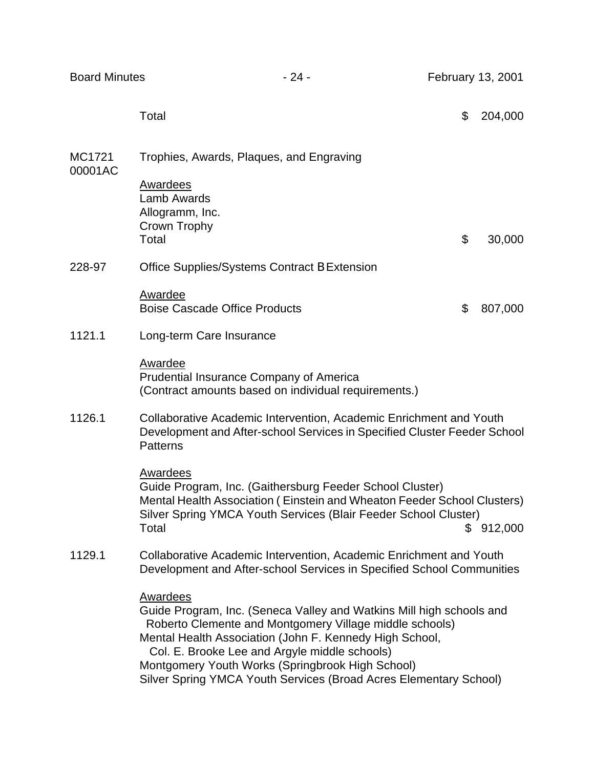| <b>Board Minutes</b> |                                                                                                                                                                                                                                                                                                                                                                                         | $-24-$ | February 13, 2001 |         |
|----------------------|-----------------------------------------------------------------------------------------------------------------------------------------------------------------------------------------------------------------------------------------------------------------------------------------------------------------------------------------------------------------------------------------|--------|-------------------|---------|
|                      | Total                                                                                                                                                                                                                                                                                                                                                                                   |        | \$                | 204,000 |
| MC1721<br>00001AC    | Trophies, Awards, Plaques, and Engraving                                                                                                                                                                                                                                                                                                                                                |        |                   |         |
|                      | <b>Awardees</b><br><b>Lamb Awards</b><br>Allogramm, Inc.<br>Crown Trophy<br>Total                                                                                                                                                                                                                                                                                                       |        | \$                | 30,000  |
| 228-97               | Office Supplies/Systems Contract B Extension                                                                                                                                                                                                                                                                                                                                            |        |                   |         |
|                      | Awardee                                                                                                                                                                                                                                                                                                                                                                                 |        |                   |         |
|                      | <b>Boise Cascade Office Products</b>                                                                                                                                                                                                                                                                                                                                                    |        | \$                | 807,000 |
| 1121.1               | Long-term Care Insurance                                                                                                                                                                                                                                                                                                                                                                |        |                   |         |
|                      | Awardee<br><b>Prudential Insurance Company of America</b><br>(Contract amounts based on individual requirements.)                                                                                                                                                                                                                                                                       |        |                   |         |
| 1126.1               | Collaborative Academic Intervention, Academic Enrichment and Youth<br>Development and After-school Services in Specified Cluster Feeder School<br><b>Patterns</b>                                                                                                                                                                                                                       |        |                   |         |
|                      | Awardees<br>Guide Program, Inc. (Gaithersburg Feeder School Cluster)<br>Mental Health Association (Einstein and Wheaton Feeder School Clusters)<br>Silver Spring YMCA Youth Services (Blair Feeder School Cluster)<br>Total                                                                                                                                                             |        | S.                | 912,000 |
| 1129.1               | Collaborative Academic Intervention, Academic Enrichment and Youth<br>Development and After-school Services in Specified School Communities                                                                                                                                                                                                                                             |        |                   |         |
|                      | <b>Awardees</b><br>Guide Program, Inc. (Seneca Valley and Watkins Mill high schools and<br>Roberto Clemente and Montgomery Village middle schools)<br>Mental Health Association (John F. Kennedy High School,<br>Col. E. Brooke Lee and Argyle middle schools)<br>Montgomery Youth Works (Springbrook High School)<br>Silver Spring YMCA Youth Services (Broad Acres Elementary School) |        |                   |         |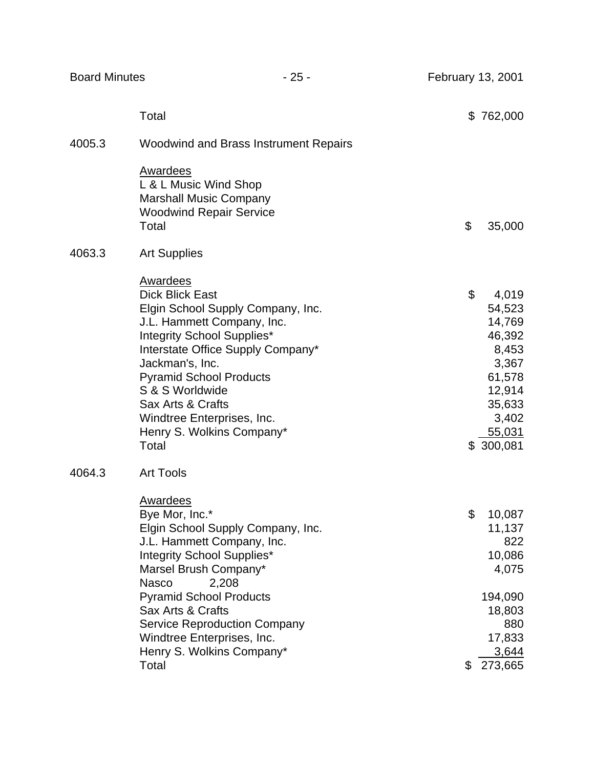|        | Total                                                                                                                                                                                                                                                                                                                                            | \$  | 762,000                                                                                                             |
|--------|--------------------------------------------------------------------------------------------------------------------------------------------------------------------------------------------------------------------------------------------------------------------------------------------------------------------------------------------------|-----|---------------------------------------------------------------------------------------------------------------------|
| 4005.3 | <b>Woodwind and Brass Instrument Repairs</b>                                                                                                                                                                                                                                                                                                     |     |                                                                                                                     |
|        | <b>Awardees</b><br>L & L Music Wind Shop<br><b>Marshall Music Company</b><br><b>Woodwind Repair Service</b><br>Total                                                                                                                                                                                                                             | \$  | 35,000                                                                                                              |
| 4063.3 | <b>Art Supplies</b>                                                                                                                                                                                                                                                                                                                              |     |                                                                                                                     |
|        | <b>Awardees</b><br><b>Dick Blick East</b><br>Elgin School Supply Company, Inc.<br>J.L. Hammett Company, Inc.<br>Integrity School Supplies*<br>Interstate Office Supply Company*<br>Jackman's, Inc.<br><b>Pyramid School Products</b><br>S & S Worldwide<br>Sax Arts & Crafts<br>Windtree Enterprises, Inc.<br>Henry S. Wolkins Company*<br>Total | \$  | 4,019<br>54,523<br>14,769<br>46,392<br>8,453<br>3,367<br>61,578<br>12,914<br>35,633<br>3,402<br>55,031<br>\$300,081 |
| 4064.3 | <b>Art Tools</b>                                                                                                                                                                                                                                                                                                                                 |     |                                                                                                                     |
|        | <b>Awardees</b><br>Bye Mor, Inc.*<br>Elgin School Supply Company, Inc.<br>J.L. Hammett Company, Inc.<br>Integrity School Supplies*<br>Marsel Brush Company*<br><b>Nasco</b><br>2,208<br><b>Pyramid School Products</b>                                                                                                                           | \$  | 10,087<br>11,137<br>822<br>10,086<br>4,075<br>194,090                                                               |
|        | Sax Arts & Crafts<br><b>Service Reproduction Company</b>                                                                                                                                                                                                                                                                                         |     | 18,803<br>880                                                                                                       |
|        | Windtree Enterprises, Inc.                                                                                                                                                                                                                                                                                                                       |     | 17,833                                                                                                              |
|        | Henry S. Wolkins Company*                                                                                                                                                                                                                                                                                                                        |     | 3,644                                                                                                               |
|        | Total                                                                                                                                                                                                                                                                                                                                            | \$. | 273,665                                                                                                             |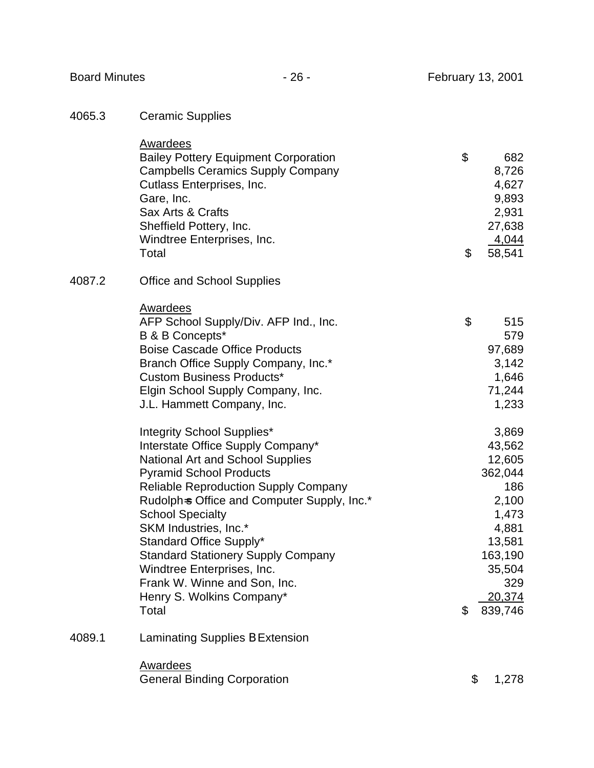| 4065.3 |  | <b>Ceramic Supplies</b> |
|--------|--|-------------------------|
|--------|--|-------------------------|

|        | Awardees                                    |    |         |
|--------|---------------------------------------------|----|---------|
|        | <b>Bailey Pottery Equipment Corporation</b> | \$ | 682     |
|        | <b>Campbells Ceramics Supply Company</b>    |    | 8,726   |
|        | Cutlass Enterprises, Inc.                   |    | 4,627   |
|        | Gare, Inc.                                  |    | 9,893   |
|        | Sax Arts & Crafts                           |    | 2,931   |
|        | Sheffield Pottery, Inc.                     |    | 27,638  |
|        | Windtree Enterprises, Inc.                  |    | 4,044   |
|        | Total                                       | \$ | 58,541  |
| 4087.2 | <b>Office and School Supplies</b>           |    |         |
|        | <b>Awardees</b>                             |    |         |
|        | AFP School Supply/Div. AFP Ind., Inc.       | \$ | 515     |
|        | B & B Concepts*                             |    | 579     |
|        | <b>Boise Cascade Office Products</b>        |    | 97,689  |
|        | Branch Office Supply Company, Inc.*         |    | 3,142   |
|        | <b>Custom Business Products*</b>            |    | 1,646   |
|        | Elgin School Supply Company, Inc.           |    | 71,244  |
|        | J.L. Hammett Company, Inc.                  |    | 1,233   |
|        | Integrity School Supplies*                  |    | 3,869   |
|        | Interstate Office Supply Company*           |    | 43,562  |
|        | <b>National Art and School Supplies</b>     |    | 12,605  |
|        | <b>Pyramid School Products</b>              |    | 362,044 |
|        | <b>Reliable Reproduction Supply Company</b> |    | 186     |
|        | Rudolph=s Office and Computer Supply, Inc.* |    | 2,100   |
|        | <b>School Specialty</b>                     |    | 1,473   |
|        | SKM Industries, Inc.*                       |    | 4,881   |
|        | Standard Office Supply*                     |    | 13,581  |
|        | <b>Standard Stationery Supply Company</b>   |    | 163,190 |
|        | Windtree Enterprises, Inc.                  |    | 35,504  |
|        | Frank W. Winne and Son, Inc.                |    | 329     |
|        | Henry S. Wolkins Company*                   |    | 20,374  |
|        | Total                                       | \$ | 839,746 |
| 4089.1 | Laminating Supplies B Extension             |    |         |
|        | <b>Awardees</b>                             |    |         |
|        | <b>General Binding Corporation</b>          | \$ | 1,278   |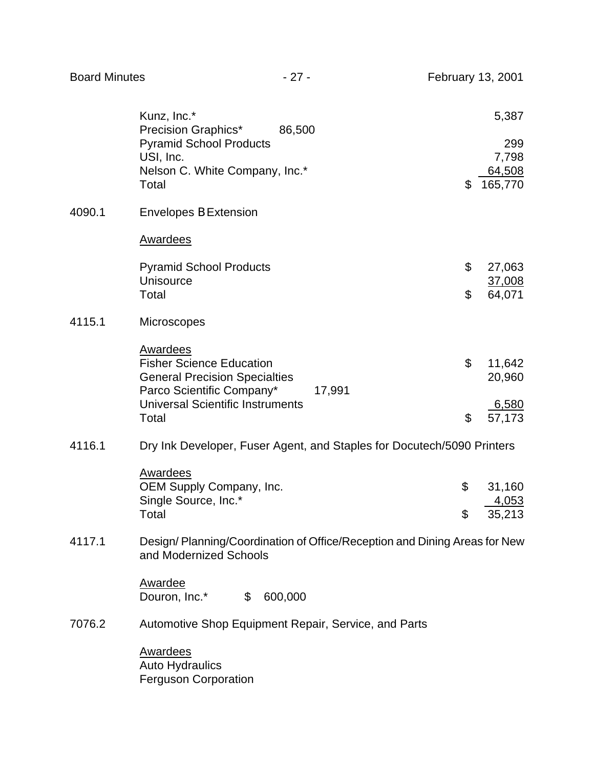|        | Kunz, Inc.*<br>Precision Graphics*<br>86,500                                                                                      | 5,387                                   |
|--------|-----------------------------------------------------------------------------------------------------------------------------------|-----------------------------------------|
|        | <b>Pyramid School Products</b><br>USI, Inc.<br>Nelson C. White Company, Inc.*<br>Total                                            | \$<br>299<br>7,798<br>64,508<br>165,770 |
| 4090.1 | <b>Envelopes B Extension</b>                                                                                                      |                                         |
|        | Awardees                                                                                                                          |                                         |
|        | <b>Pyramid School Products</b><br><b>Unisource</b>                                                                                | \$<br>27,063<br>37,008                  |
|        | Total                                                                                                                             | \$<br>64,071                            |
| 4115.1 | Microscopes                                                                                                                       |                                         |
|        | <b>Awardees</b><br><b>Fisher Science Education</b><br><b>General Precision Specialties</b><br>Parco Scientific Company*<br>17,991 | \$<br>11,642<br>20,960                  |
|        | <b>Universal Scientific Instruments</b><br>Total                                                                                  | \$<br>6,580<br>57,173                   |
| 4116.1 | Dry Ink Developer, Fuser Agent, and Staples for Docutech/5090 Printers                                                            |                                         |
|        | <b>Awardees</b><br>OEM Supply Company, Inc.                                                                                       | \$<br>31,160                            |
|        | Single Source, Inc.*<br>Total                                                                                                     | \$<br>4,053<br>35,213                   |
| 4117.1 | Design/Planning/Coordination of Office/Reception and Dining Areas for New<br>and Modernized Schools                               |                                         |
|        | Awardee<br>Douron, Inc.*<br>$\mathfrak{S}$<br>600,000                                                                             |                                         |
| 7076.2 | Automotive Shop Equipment Repair, Service, and Parts                                                                              |                                         |
|        | <b>Awardees</b><br><b>Auto Hydraulics</b><br><b>Ferguson Corporation</b>                                                          |                                         |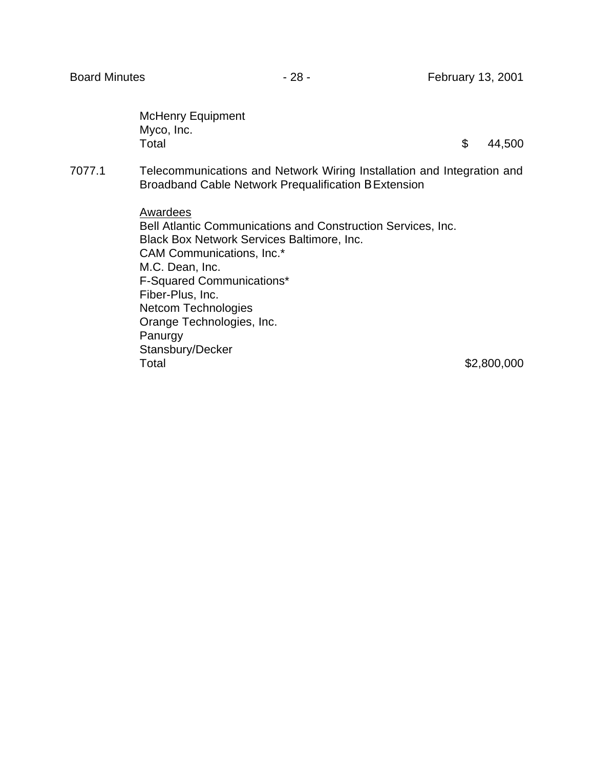McHenry Equipment Myco, Inc.  $\textsf{Total} \quad \textsf{S} \quad \textsf{44,500}$ 

7077.1 Telecommunications and Network Wiring Installation and Integration and Broadband Cable Network Prequalification B Extension

> Awardees Bell Atlantic Communications and Construction Services, Inc. Black Box Network Services Baltimore, Inc. CAM Communications, Inc.\* M.C. Dean, Inc. F-Squared Communications\* Fiber-Plus, Inc. Netcom Technologies Orange Technologies, Inc. Panurgy Stansbury/Decker Total \$2,800,000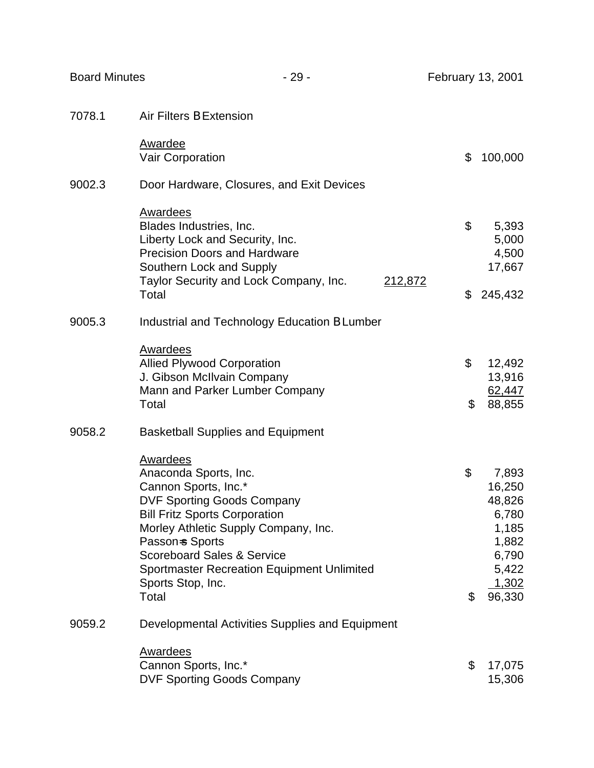| <b>Board Minutes</b> | $-29-$                                                                                                                                                                                                                                                                                                                        |         |          | February 13, 2001                                                                         |
|----------------------|-------------------------------------------------------------------------------------------------------------------------------------------------------------------------------------------------------------------------------------------------------------------------------------------------------------------------------|---------|----------|-------------------------------------------------------------------------------------------|
| 7078.1               | Air Filters B Extension                                                                                                                                                                                                                                                                                                       |         |          |                                                                                           |
|                      | <b>Awardee</b><br>Vair Corporation                                                                                                                                                                                                                                                                                            |         | \$       | 100,000                                                                                   |
| 9002.3               | Door Hardware, Closures, and Exit Devices                                                                                                                                                                                                                                                                                     |         |          |                                                                                           |
|                      | Awardees<br>Blades Industries, Inc.<br>Liberty Lock and Security, Inc.<br><b>Precision Doors and Hardware</b><br>Southern Lock and Supply<br>Taylor Security and Lock Company, Inc.                                                                                                                                           | 212,872 | \$       | 5,393<br>5,000<br>4,500<br>17,667                                                         |
|                      | Total                                                                                                                                                                                                                                                                                                                         |         | \$       | 245,432                                                                                   |
| 9005.3               | Industrial and Technology Education B Lumber                                                                                                                                                                                                                                                                                  |         |          |                                                                                           |
|                      | <b>Awardees</b><br><b>Allied Plywood Corporation</b><br>J. Gibson McIlvain Company<br>Mann and Parker Lumber Company<br>Total                                                                                                                                                                                                 |         | \$<br>\$ | 12,492<br>13,916<br>62,447<br>88,855                                                      |
| 9058.2               | <b>Basketball Supplies and Equipment</b>                                                                                                                                                                                                                                                                                      |         |          |                                                                                           |
|                      | <b>Awardees</b><br>Anaconda Sports, Inc.<br>Cannon Sports, Inc.*<br><b>DVF Sporting Goods Company</b><br><b>Bill Fritz Sports Corporation</b><br>Morley Athletic Supply Company, Inc.<br>Passon-s Sports<br><b>Scoreboard Sales &amp; Service</b><br>Sportmaster Recreation Equipment Unlimited<br>Sports Stop, Inc.<br>Total |         | \$<br>\$ | 7,893<br>16,250<br>48,826<br>6,780<br>1,185<br>1,882<br>6,790<br>5,422<br>1,302<br>96,330 |
| 9059.2               | Developmental Activities Supplies and Equipment                                                                                                                                                                                                                                                                               |         |          |                                                                                           |
|                      | <b>Awardees</b>                                                                                                                                                                                                                                                                                                               |         |          |                                                                                           |
|                      | Cannon Sports, Inc.*<br><b>DVF Sporting Goods Company</b>                                                                                                                                                                                                                                                                     |         | \$       | 17,075<br>15,306                                                                          |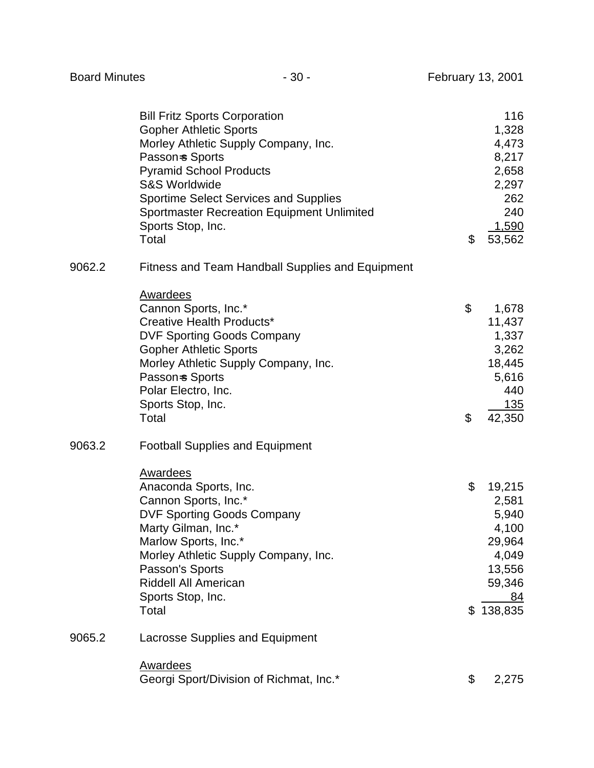|        | <b>Bill Fritz Sports Corporation</b><br><b>Gopher Athletic Sports</b><br>Morley Athletic Supply Company, Inc.<br>Passon = Sports<br><b>Pyramid School Products</b><br><b>S&amp;S Worldwide</b><br><b>Sportime Select Services and Supplies</b><br><b>Sportmaster Recreation Equipment Unlimited</b><br>Sports Stop, Inc.<br>Total | \$       | 116<br>1,328<br>4,473<br>8,217<br>2,658<br>2,297<br>262<br>240<br>1,590<br>53,562           |
|--------|-----------------------------------------------------------------------------------------------------------------------------------------------------------------------------------------------------------------------------------------------------------------------------------------------------------------------------------|----------|---------------------------------------------------------------------------------------------|
| 9062.2 | Fitness and Team Handball Supplies and Equipment                                                                                                                                                                                                                                                                                  |          |                                                                                             |
|        | <b>Awardees</b><br>Cannon Sports, Inc.*<br>Creative Health Products*<br><b>DVF Sporting Goods Company</b><br><b>Gopher Athletic Sports</b><br>Morley Athletic Supply Company, Inc.<br>Passon=s Sports<br>Polar Electro, Inc.<br>Sports Stop, Inc.<br>Total                                                                        | \$<br>\$ | 1,678<br>11,437<br>1,337<br>3,262<br>18,445<br>5,616<br>440<br>135<br>42,350                |
| 9063.2 | <b>Football Supplies and Equipment</b>                                                                                                                                                                                                                                                                                            |          |                                                                                             |
|        | <b>Awardees</b><br>Anaconda Sports, Inc.<br>Cannon Sports, Inc.*<br><b>DVF Sporting Goods Company</b><br>Marty Gilman, Inc.*<br>Marlow Sports, Inc.*<br>Morley Athletic Supply Company, Inc.<br>Passon's Sports<br>Riddell All American<br>Sports Stop, Inc.<br>Total                                                             | \$       | 19,215<br>2,581<br>5,940<br>4,100<br>29,964<br>4,049<br>13,556<br>59,346<br>84<br>\$138,835 |
| 9065.2 | <b>Lacrosse Supplies and Equipment</b>                                                                                                                                                                                                                                                                                            |          |                                                                                             |
|        | <b>Awardees</b><br>Georgi Sport/Division of Richmat, Inc.*                                                                                                                                                                                                                                                                        | \$       | 2,275                                                                                       |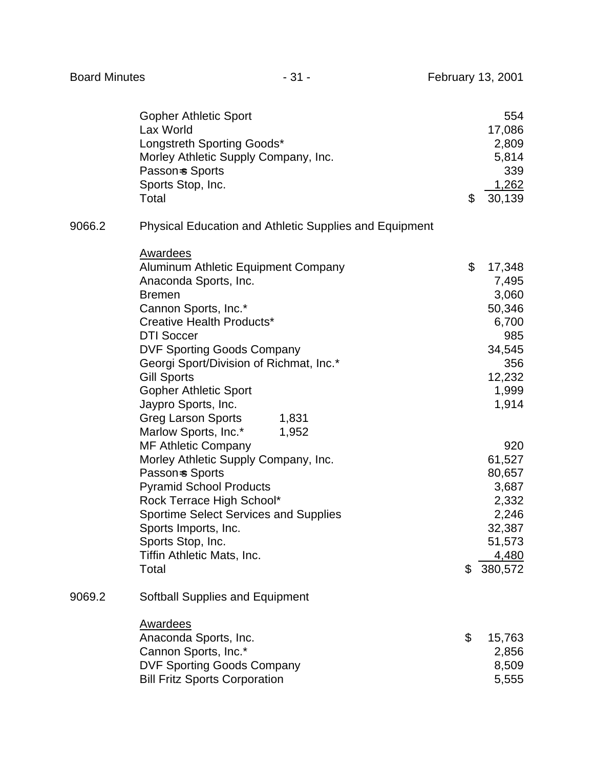|        | <b>Gopher Athletic Sport</b><br>Lax World<br>Longstreth Sporting Goods*<br>Morley Athletic Supply Company, Inc.<br>Passon=s Sports<br>Sports Stop, Inc.<br>Total                                                                                                                                                                                                                                                                                                                                                       | \$<br>554<br>17,086<br>2,809<br>5,814<br>339<br>1,262<br>30,139                                                                           |
|--------|------------------------------------------------------------------------------------------------------------------------------------------------------------------------------------------------------------------------------------------------------------------------------------------------------------------------------------------------------------------------------------------------------------------------------------------------------------------------------------------------------------------------|-------------------------------------------------------------------------------------------------------------------------------------------|
| 9066.2 | <b>Physical Education and Athletic Supplies and Equipment</b>                                                                                                                                                                                                                                                                                                                                                                                                                                                          |                                                                                                                                           |
|        | <b>Awardees</b>                                                                                                                                                                                                                                                                                                                                                                                                                                                                                                        |                                                                                                                                           |
|        | Aluminum Athletic Equipment Company<br>Anaconda Sports, Inc.<br><b>Bremen</b><br>Cannon Sports, Inc.*<br>Creative Health Products*<br><b>DTI Soccer</b><br><b>DVF Sporting Goods Company</b><br>Georgi Sport/Division of Richmat, Inc.*<br><b>Gill Sports</b><br><b>Gopher Athletic Sport</b><br>Jaypro Sports, Inc.<br><b>Greg Larson Sports</b><br>1,831<br>Marlow Sports, Inc.*<br>1,952<br><b>MF Athletic Company</b><br>Morley Athletic Supply Company, Inc.<br>Passon-s Sports<br><b>Pyramid School Products</b> | \$<br>17,348<br>7,495<br>3,060<br>50,346<br>6,700<br>985<br>34,545<br>356<br>12,232<br>1,999<br>1,914<br>920<br>61,527<br>80,657<br>3,687 |
|        | Rock Terrace High School*<br><b>Sportime Select Services and Supplies</b>                                                                                                                                                                                                                                                                                                                                                                                                                                              | 2,332<br>2,246                                                                                                                            |
|        | Sports Imports, Inc.<br>Sports Stop, Inc.                                                                                                                                                                                                                                                                                                                                                                                                                                                                              | 32,387<br>51,573                                                                                                                          |
|        | Tiffin Athletic Mats, Inc.                                                                                                                                                                                                                                                                                                                                                                                                                                                                                             | <u>4,480</u>                                                                                                                              |
|        | Total                                                                                                                                                                                                                                                                                                                                                                                                                                                                                                                  | \$<br>380,572                                                                                                                             |
| 9069.2 | Softball Supplies and Equipment                                                                                                                                                                                                                                                                                                                                                                                                                                                                                        |                                                                                                                                           |
|        | <b>Awardees</b><br>Anaconda Sports, Inc.<br>Cannon Sports, Inc.*<br><b>DVF Sporting Goods Company</b><br><b>Bill Fritz Sports Corporation</b>                                                                                                                                                                                                                                                                                                                                                                          | \$<br>15,763<br>2,856<br>8,509<br>5,555                                                                                                   |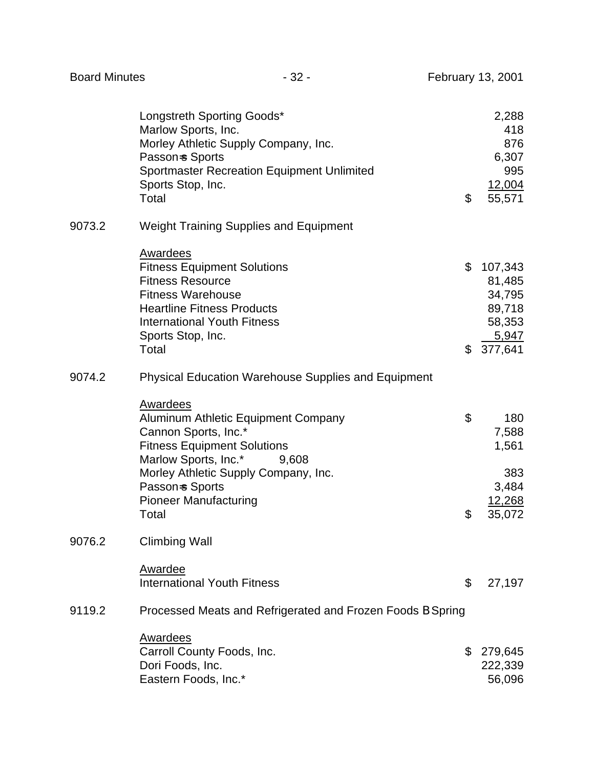|        | Longstreth Sporting Goods*<br>Marlow Sports, Inc.<br>Morley Athletic Supply Company, Inc.<br>Passon-s Sports<br><b>Sportmaster Recreation Equipment Unlimited</b><br>Sports Stop, Inc.<br>Total                                                           | \$       | 2,288<br>418<br>876<br>6,307<br>995<br>12,004<br>55,571               |
|--------|-----------------------------------------------------------------------------------------------------------------------------------------------------------------------------------------------------------------------------------------------------------|----------|-----------------------------------------------------------------------|
| 9073.2 | <b>Weight Training Supplies and Equipment</b>                                                                                                                                                                                                             |          |                                                                       |
|        | Awardees<br><b>Fitness Equipment Solutions</b><br><b>Fitness Resource</b><br><b>Fitness Warehouse</b><br><b>Heartline Fitness Products</b><br><b>International Youth Fitness</b><br>Sports Stop, Inc.<br>Total                                            | \$       | 107,343<br>81,485<br>34,795<br>89,718<br>58,353<br>5,947<br>\$377,641 |
| 9074.2 | <b>Physical Education Warehouse Supplies and Equipment</b>                                                                                                                                                                                                |          |                                                                       |
|        | <b>Awardees</b><br>Aluminum Athletic Equipment Company<br>Cannon Sports, Inc.*<br><b>Fitness Equipment Solutions</b><br>Marlow Sports, Inc.*<br>9,608<br>Morley Athletic Supply Company, Inc.<br>Passon=s Sports<br><b>Pioneer Manufacturing</b><br>Total | \$<br>\$ | 180<br>7,588<br>1,561<br>383<br>3,484<br>12,268<br>35,072             |
| 9076.2 | <b>Climbing Wall</b>                                                                                                                                                                                                                                      |          |                                                                       |
| 9119.2 | Awardee<br><b>International Youth Fitness</b><br>Processed Meats and Refrigerated and Frozen Foods B Spring                                                                                                                                               | \$       | 27,197                                                                |
|        |                                                                                                                                                                                                                                                           |          |                                                                       |
|        | <b>Awardees</b><br>Carroll County Foods, Inc.<br>Dori Foods, Inc.<br>Eastern Foods, Inc.*                                                                                                                                                                 | \$       | 279,645<br>222,339<br>56,096                                          |

Board Minutes **- 32 - February 13, 2001**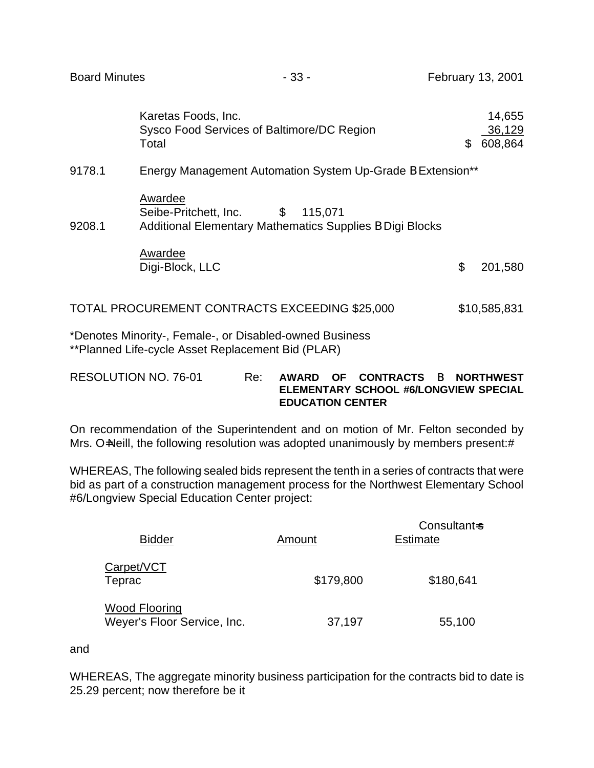| <b>Board Minutes</b> |                                                                                                                       | $-33-$  | February 13, 2001 |                             |
|----------------------|-----------------------------------------------------------------------------------------------------------------------|---------|-------------------|-----------------------------|
|                      | Karetas Foods, Inc.<br>Sysco Food Services of Baltimore/DC Region<br>Total                                            |         | \$                | 14,655<br>36,129<br>608,864 |
| 9178.1               | Energy Management Automation System Up-Grade B Extension**                                                            |         |                   |                             |
| 9208.1               | Awardee<br>$\mathfrak{S}$<br>Seibe-Pritchett, Inc.<br><b>Additional Elementary Mathematics Supplies B Digi Blocks</b> | 115,071 |                   |                             |
|                      | Awardee<br>Digi-Block, LLC                                                                                            |         | \$                | 201,580                     |
|                      | TOTAL PROCUREMENT CONTRACTS EXCEEDING \$25,000                                                                        |         |                   | \$10,585,831                |

\*Denotes Minority-, Female-, or Disabled-owned Business \*\*Planned Life-cycle Asset Replacement Bid (PLAR)

RESOLUTION NO. 76-01 Re: **AWARD OF CONTRACTS** B **NORTHWEST ELEMENTARY SCHOOL #6/LONGVIEW SPECIAL EDUCATION CENTER**

On recommendation of the Superintendent and on motion of Mr. Felton seconded by Mrs. O=Neill, the following resolution was adopted unanimously by members present:#

WHEREAS, The following sealed bids represent the tenth in a series of contracts that were bid as part of a construction management process for the Northwest Elementary School #6/Longview Special Education Center project:

| <b>Bidder</b>                                       | Amount    | Consultant-s<br><b>Estimate</b> |
|-----------------------------------------------------|-----------|---------------------------------|
| Carpet/VCT<br>Teprac                                | \$179,800 | \$180,641                       |
| <u>Wood Flooring</u><br>Weyer's Floor Service, Inc. | 37,197    | 55,100                          |

and

WHEREAS, The aggregate minority business participation for the contracts bid to date is 25.29 percent; now therefore be it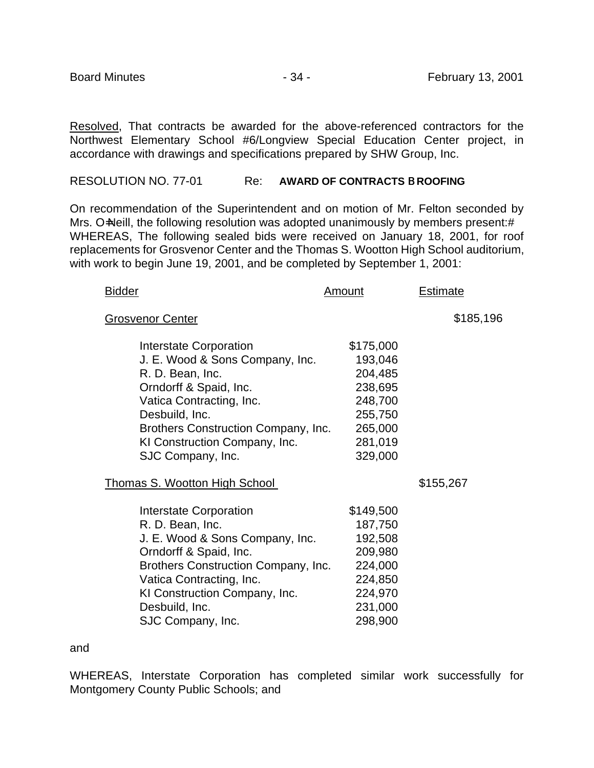Resolved, That contracts be awarded for the above-referenced contractors for the Northwest Elementary School #6/Longview Special Education Center project, in accordance with drawings and specifications prepared by SHW Group, Inc.

#### RESOLUTION NO. 77-01 Re: **AWARD OF CONTRACTS** B **ROOFING**

On recommendation of the Superintendent and on motion of Mr. Felton seconded by Mrs. O=Neill, the following resolution was adopted unanimously by members present:# WHEREAS, The following sealed bids were received on January 18, 2001, for roof replacements for Grosvenor Center and the Thomas S. Wootton High School auditorium, with work to begin June 19, 2001, and be completed by September 1, 2001:

| <b>Bidder</b>                                                                                                                                                                                                                                      | <u>Amount</u>                                                                                     | <b>Estimate</b> |
|----------------------------------------------------------------------------------------------------------------------------------------------------------------------------------------------------------------------------------------------------|---------------------------------------------------------------------------------------------------|-----------------|
| <b>Grosvenor Center</b>                                                                                                                                                                                                                            |                                                                                                   | \$185,196       |
| Interstate Corporation<br>J. E. Wood & Sons Company, Inc.<br>R. D. Bean, Inc.<br>Orndorff & Spaid, Inc.<br>Vatica Contracting, Inc.<br>Desbuild, Inc.<br>Brothers Construction Company, Inc.<br>KI Construction Company, Inc.<br>SJC Company, Inc. | \$175,000<br>193,046<br>204,485<br>238,695<br>248,700<br>255,750<br>265,000<br>281,019<br>329,000 |                 |
| <b>Thomas S. Wootton High School</b>                                                                                                                                                                                                               |                                                                                                   | \$155,267       |
| Interstate Corporation<br>R. D. Bean, Inc.<br>J. E. Wood & Sons Company, Inc.<br>Orndorff & Spaid, Inc.<br>Brothers Construction Company, Inc.<br>Vatica Contracting, Inc.<br>KI Construction Company, Inc.<br>Desbuild, Inc.<br>SJC Company, Inc. | \$149,500<br>187,750<br>192,508<br>209,980<br>224,000<br>224,850<br>224,970<br>231,000<br>298,900 |                 |

#### and

WHEREAS, Interstate Corporation has completed similar work successfully for Montgomery County Public Schools; and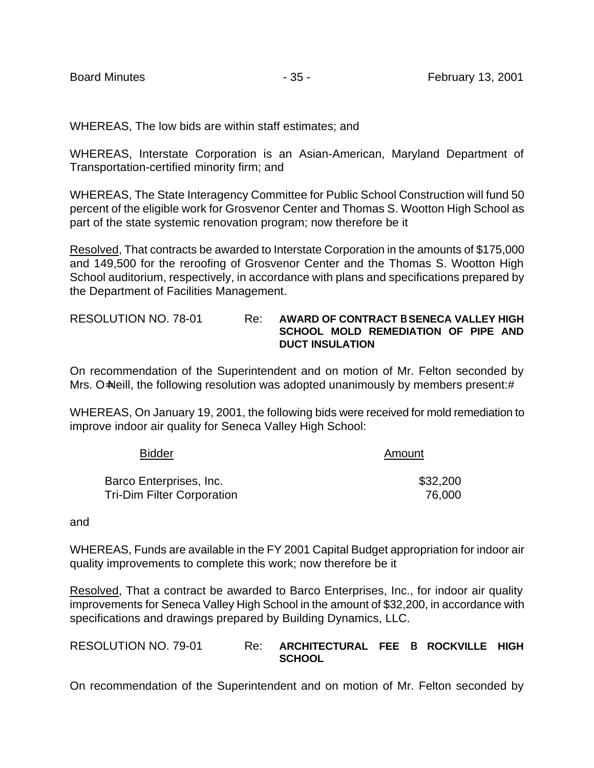WHEREAS, The low bids are within staff estimates; and

WHEREAS, Interstate Corporation is an Asian-American, Maryland Department of Transportation-certified minority firm; and

WHEREAS, The State Interagency Committee for Public School Construction will fund 50 percent of the eligible work for Grosvenor Center and Thomas S. Wootton High School as part of the state systemic renovation program; now therefore be it

Resolved, That contracts be awarded to Interstate Corporation in the amounts of \$175,000 and 149,500 for the reroofing of Grosvenor Center and the Thomas S. Wootton High School auditorium, respectively, in accordance with plans and specifications prepared by the Department of Facilities Management.

#### RESOLUTION NO. 78-01 Re: **AWARD OF CONTRACT** B **SENECA VALLEY HIGH SCHOOL MOLD REMEDIATION OF PIPE AND DUCT INSULATION**

On recommendation of the Superintendent and on motion of Mr. Felton seconded by Mrs. O=Neill, the following resolution was adopted unanimously by members present:#

WHEREAS, On January 19, 2001, the following bids were received for mold remediation to improve indoor air quality for Seneca Valley High School:

| <b>Bidder</b>                     | Amount   |
|-----------------------------------|----------|
| Barco Enterprises, Inc.           | \$32,200 |
| <b>Tri-Dim Filter Corporation</b> | 76,000   |

and

WHEREAS, Funds are available in the FY 2001 Capital Budget appropriation for indoor air quality improvements to complete this work; now therefore be it

Resolved, That a contract be awarded to Barco Enterprises, Inc., for indoor air quality improvements for Seneca Valley High School in the amount of \$32,200, in accordance with specifications and drawings prepared by Building Dynamics, LLC.

RESOLUTION NO. 79-01 Re: **ARCHITECTURAL FEE** B **ROCKVILLE HIGH SCHOOL**

On recommendation of the Superintendent and on motion of Mr. Felton seconded by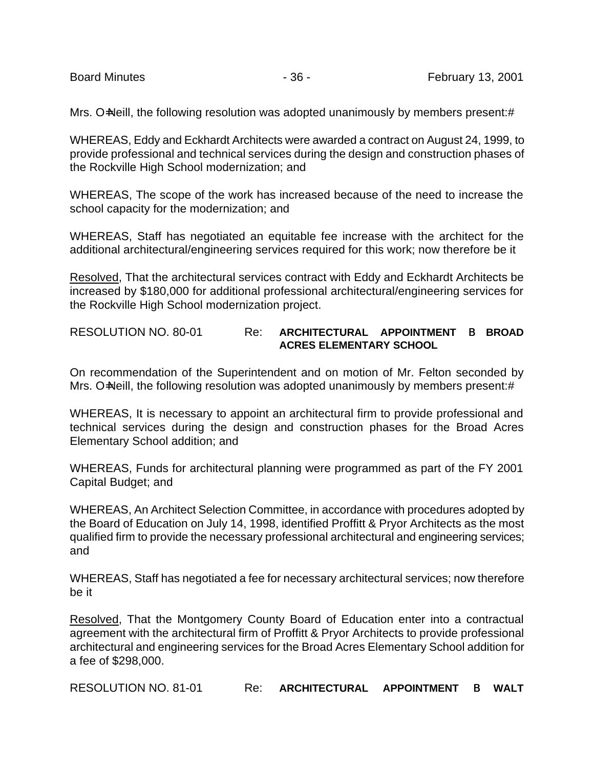Mrs. O=Neill, the following resolution was adopted unanimously by members present:#

WHEREAS, Eddy and Eckhardt Architects were awarded a contract on August 24, 1999, to provide professional and technical services during the design and construction phases of the Rockville High School modernization; and

WHEREAS, The scope of the work has increased because of the need to increase the school capacity for the modernization; and

WHEREAS, Staff has negotiated an equitable fee increase with the architect for the additional architectural/engineering services required for this work; now therefore be it

Resolved, That the architectural services contract with Eddy and Eckhardt Architects be increased by \$180,000 for additional professional architectural/engineering services for the Rockville High School modernization project.

# RESOLUTION NO. 80-01 Re: **ARCHITECTURAL APPOINTMENT** B **BROAD ACRES ELEMENTARY SCHOOL**

On recommendation of the Superintendent and on motion of Mr. Felton seconded by Mrs. O=Neill, the following resolution was adopted unanimously by members present:#

WHEREAS, It is necessary to appoint an architectural firm to provide professional and technical services during the design and construction phases for the Broad Acres Elementary School addition; and

WHEREAS, Funds for architectural planning were programmed as part of the FY 2001 Capital Budget; and

WHEREAS, An Architect Selection Committee, in accordance with procedures adopted by the Board of Education on July 14, 1998, identified Proffitt & Pryor Architects as the most qualified firm to provide the necessary professional architectural and engineering services; and

WHEREAS, Staff has negotiated a fee for necessary architectural services; now therefore be it

Resolved, That the Montgomery County Board of Education enter into a contractual agreement with the architectural firm of Proffitt & Pryor Architects to provide professional architectural and engineering services for the Broad Acres Elementary School addition for a fee of \$298,000.

RESOLUTION NO. 81-01 Re: **ARCHITECTURAL APPOINTMENT** B **WALT**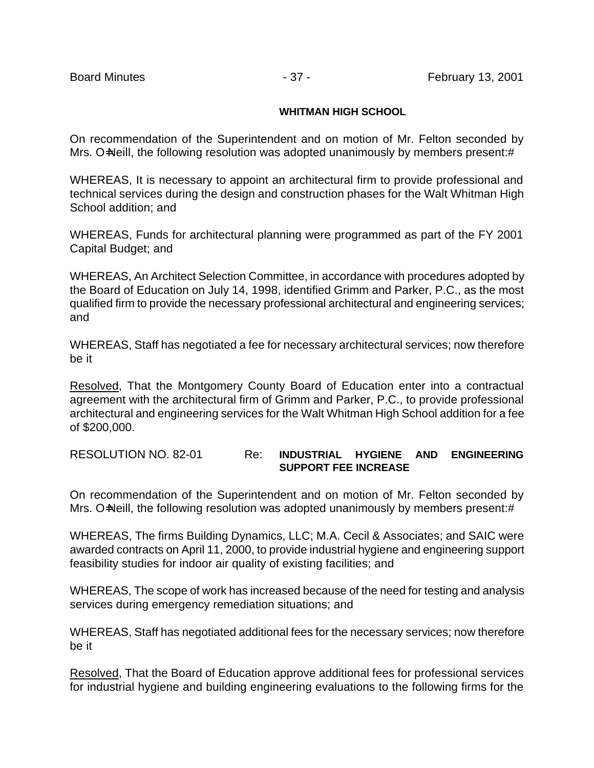### **WHITMAN HIGH SCHOOL**

On recommendation of the Superintendent and on motion of Mr. Felton seconded by Mrs. O=Neill, the following resolution was adopted unanimously by members present:#

WHEREAS, It is necessary to appoint an architectural firm to provide professional and technical services during the design and construction phases for the Walt Whitman High School addition; and

WHEREAS, Funds for architectural planning were programmed as part of the FY 2001 Capital Budget; and

WHEREAS, An Architect Selection Committee, in accordance with procedures adopted by the Board of Education on July 14, 1998, identified Grimm and Parker, P.C., as the most qualified firm to provide the necessary professional architectural and engineering services; and

WHEREAS, Staff has negotiated a fee for necessary architectural services; now therefore be it

Resolved, That the Montgomery County Board of Education enter into a contractual agreement with the architectural firm of Grimm and Parker, P.C., to provide professional architectural and engineering services for the Walt Whitman High School addition for a fee of \$200,000.

### RESOLUTION NO. 82-01 Re: **INDUSTRIAL HYGIENE AND ENGINEERING SUPPORT FEE INCREASE**

On recommendation of the Superintendent and on motion of Mr. Felton seconded by Mrs. O=Neill, the following resolution was adopted unanimously by members present:#

WHEREAS, The firms Building Dynamics, LLC; M.A. Cecil & Associates; and SAIC were awarded contracts on April 11, 2000, to provide industrial hygiene and engineering support feasibility studies for indoor air quality of existing facilities; and

WHEREAS, The scope of work has increased because of the need for testing and analysis services during emergency remediation situations; and

WHEREAS, Staff has negotiated additional fees for the necessary services; now therefore be it

Resolved, That the Board of Education approve additional fees for professional services for industrial hygiene and building engineering evaluations to the following firms for the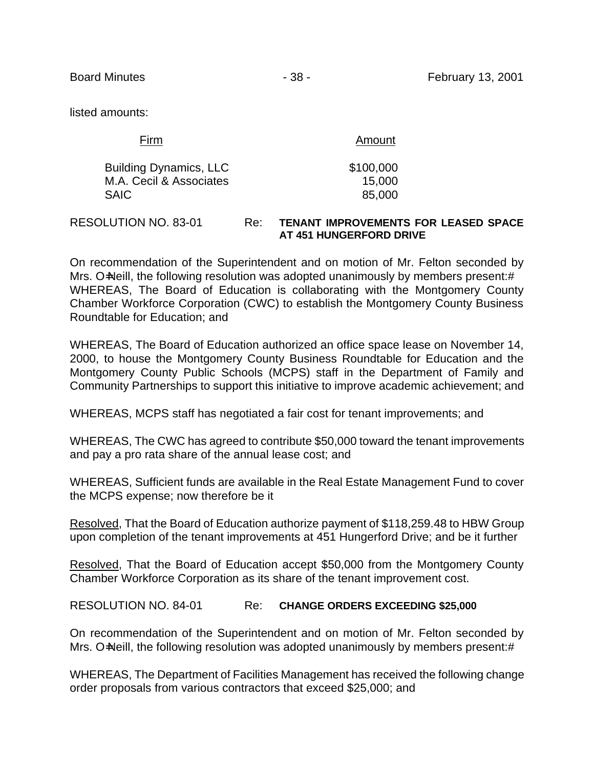listed amounts:

| Firm                          | Amount    |
|-------------------------------|-----------|
| <b>Building Dynamics, LLC</b> | \$100,000 |
| M.A. Cecil & Associates       | 15,000    |
| <b>SAIC</b>                   | 85,000    |

RESOLUTION NO. 83-01 Re: **TENANT IMPROVEMENTS FOR LEASED SPACE AT 451 HUNGERFORD DRIVE**

On recommendation of the Superintendent and on motion of Mr. Felton seconded by Mrs. O=Neill, the following resolution was adopted unanimously by members present:# WHEREAS, The Board of Education is collaborating with the Montgomery County Chamber Workforce Corporation (CWC) to establish the Montgomery County Business Roundtable for Education; and

WHEREAS, The Board of Education authorized an office space lease on November 14, 2000, to house the Montgomery County Business Roundtable for Education and the Montgomery County Public Schools (MCPS) staff in the Department of Family and Community Partnerships to support this initiative to improve academic achievement; and

WHEREAS, MCPS staff has negotiated a fair cost for tenant improvements; and

WHEREAS, The CWC has agreed to contribute \$50,000 toward the tenant improvements and pay a pro rata share of the annual lease cost; and

WHEREAS, Sufficient funds are available in the Real Estate Management Fund to cover the MCPS expense; now therefore be it

Resolved, That the Board of Education authorize payment of \$118,259.48 to HBW Group upon completion of the tenant improvements at 451 Hungerford Drive; and be it further

Resolved, That the Board of Education accept \$50,000 from the Montgomery County Chamber Workforce Corporation as its share of the tenant improvement cost.

RESOLUTION NO. 84-01 Re: **CHANGE ORDERS EXCEEDING \$25,000**

On recommendation of the Superintendent and on motion of Mr. Felton seconded by Mrs. O=Neill, the following resolution was adopted unanimously by members present:#

WHEREAS, The Department of Facilities Management has received the following change order proposals from various contractors that exceed \$25,000; and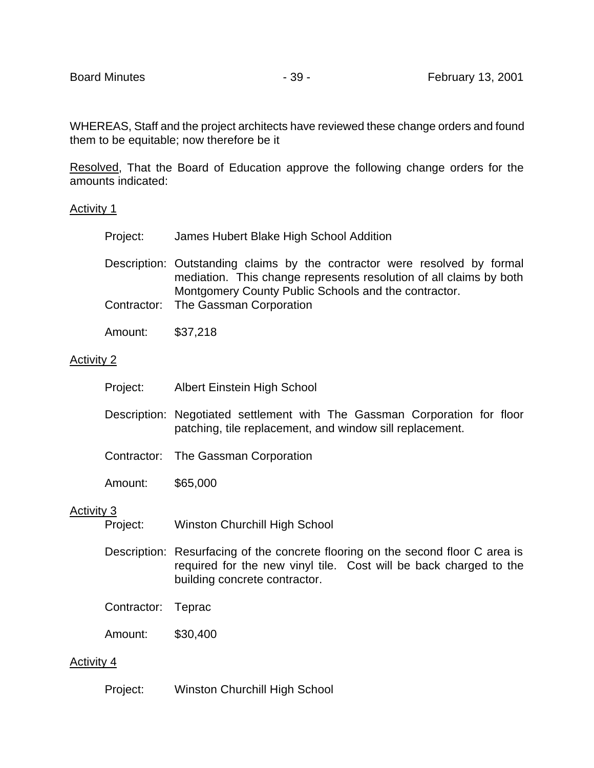WHEREAS, Staff and the project architects have reviewed these change orders and found them to be equitable; now therefore be it

Resolved, That the Board of Education approve the following change orders for the amounts indicated:

### Activity 1

| Project: | James Hubert Blake High School Addition |
|----------|-----------------------------------------|
|          |                                         |

Description: Outstanding claims by the contractor were resolved by formal mediation. This change represents resolution of all claims by both Montgomery County Public Schools and the contractor.

- Contractor: The Gassman Corporation
- Amount: \$37,218

#### Activity 2

|                   | Project:         | <b>Albert Einstein High School</b>                                                                                                    |
|-------------------|------------------|---------------------------------------------------------------------------------------------------------------------------------------|
|                   |                  | Description: Negotiated settlement with The Gassman Corporation for floor<br>patching, tile replacement, and window sill replacement. |
|                   |                  | Contractor: The Gassman Corporation                                                                                                   |
|                   | Amount:          | \$65,000                                                                                                                              |
| <b>Activity 3</b> | $D_{\text{max}}$ | $M_{\rm in\, 2}$ Churchill Lieb Ceheel                                                                                                |

- Project: Winston Churchill High School
- Description: Resurfacing of the concrete flooring on the second floor C area is required for the new vinyl tile. Cost will be back charged to the building concrete contractor.
- Contractor: Teprac
- Amount: \$30,400

### Activity 4

Project: Winston Churchill High School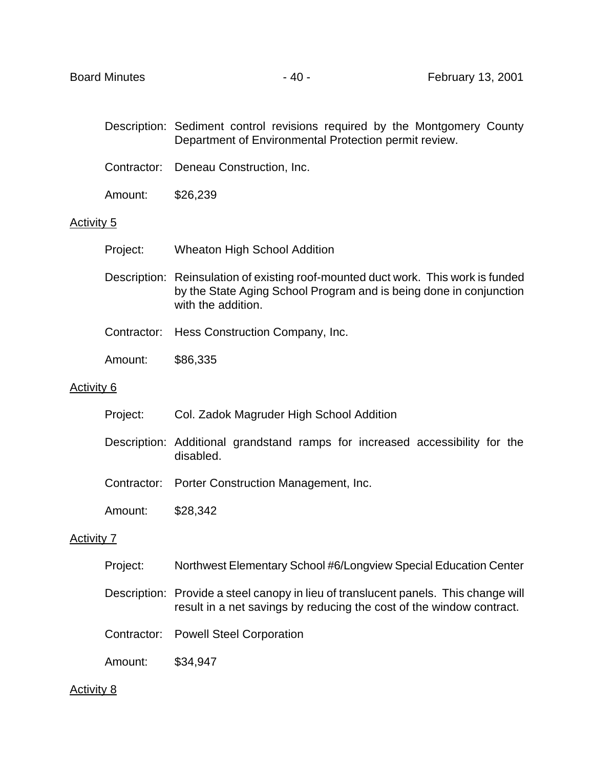- Description: Sediment control revisions required by the Montgomery County Department of Environmental Protection permit review.
- Contractor: Deneau Construction, Inc.
- Amount: \$26,239

#### Activity 5

- Project: Wheaton High School Addition
- Description: Reinsulation of existing roof-mounted duct work. This work is funded by the State Aging School Program and is being done in conjunction with the addition.
- Contractor: Hess Construction Company, Inc.
- Amount: \$86,335

#### Activity 6

- Project: Col. Zadok Magruder High School Addition
- Description: Additional grandstand ramps for increased accessibility for the disabled.
- Contractor: Porter Construction Management, Inc.
- Amount: \$28,342

### Activity 7

- Project: Northwest Elementary School #6/Longview Special Education Center
- Description: Provide a steel canopy in lieu of translucent panels. This change will result in a net savings by reducing the cost of the window contract.
- Contractor: Powell Steel Corporation
- Amount: \$34,947

#### Activity 8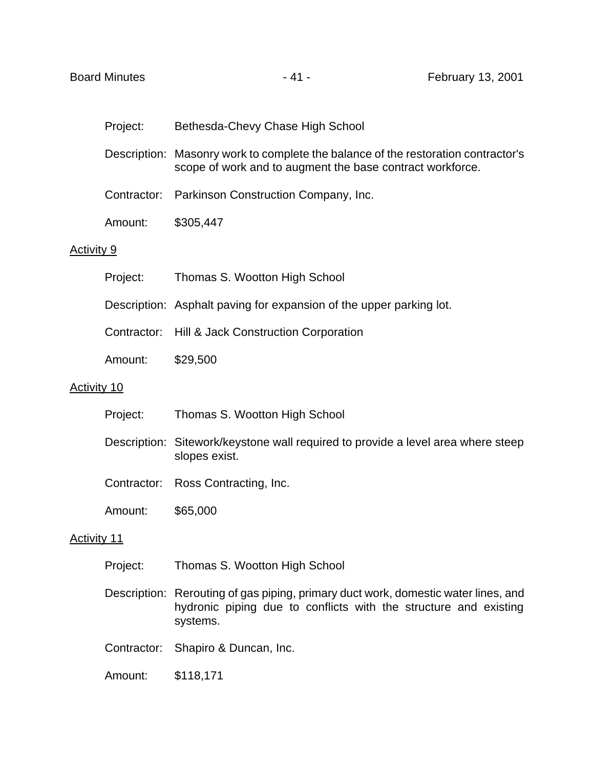|            | Project: | Bethesda-Chevy Chase High School                                                                                                               |
|------------|----------|------------------------------------------------------------------------------------------------------------------------------------------------|
|            |          | Description: Masonry work to complete the balance of the restoration contractor's<br>scope of work and to augment the base contract workforce. |
|            |          | Contractor: Parkinson Construction Company, Inc.                                                                                               |
|            | Amount:  | \$305,447                                                                                                                                      |
| Activity 9 |          |                                                                                                                                                |
|            | Project: | Thomas S. Wootton High School                                                                                                                  |
|            |          |                                                                                                                                                |

- Description: Asphalt paving for expansion of the upper parking lot.
- Contractor: Hill & Jack Construction Corporation
- Amount: \$29,500

### Activity 10

|                    | Project:    | Thomas S. Wootton High School                                                                     |
|--------------------|-------------|---------------------------------------------------------------------------------------------------|
|                    |             | Description: Sitework/keystone wall required to provide a level area where steep<br>slopes exist. |
|                    | Contractor: | Ross Contracting, Inc.                                                                            |
|                    | Amount:     | \$65,000                                                                                          |
| <b>Activity 11</b> |             |                                                                                                   |
|                    | Project:    | Thomas S. Wootton High School                                                                     |
|                    |             | Description: Rerouting of gas piping, primary duct work, domestic water lines, and                |

- hydronic piping due to conflicts with the structure and existing systems.
- Contractor: Shapiro & Duncan, Inc.
- Amount: \$118,171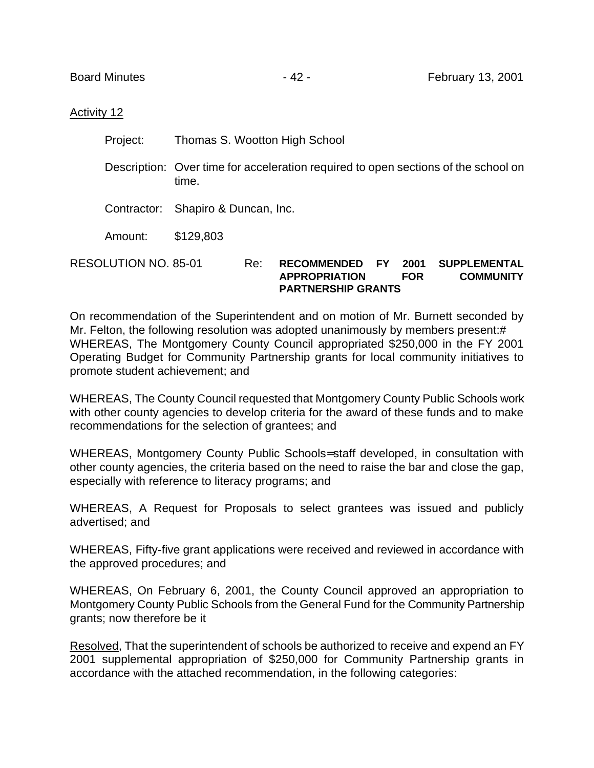### Activity 12

Project: Thomas S. Wootton High School

Description: Over time for acceleration required to open sections of the school on time.

Contractor: Shapiro & Duncan, Inc.

Amount: \$129,803

RESOLUTION NO. 85-01 Re: **RECOMMENDED FY 2001 SUPPLEMENTAL APPROPRIATION FOR COMMUNITY PARTNERSHIP GRANTS**

On recommendation of the Superintendent and on motion of Mr. Burnett seconded by Mr. Felton, the following resolution was adopted unanimously by members present:# WHEREAS, The Montgomery County Council appropriated \$250,000 in the FY 2001 Operating Budget for Community Partnership grants for local community initiatives to promote student achievement; and

WHEREAS, The County Council requested that Montgomery County Public Schools work with other county agencies to develop criteria for the award of these funds and to make recommendations for the selection of grantees; and

WHEREAS, Montgomery County Public Schools= staff developed, in consultation with other county agencies, the criteria based on the need to raise the bar and close the gap, especially with reference to literacy programs; and

WHEREAS, A Request for Proposals to select grantees was issued and publicly advertised; and

WHEREAS, Fifty-five grant applications were received and reviewed in accordance with the approved procedures; and

WHEREAS, On February 6, 2001, the County Council approved an appropriation to Montgomery County Public Schools from the General Fund for the Community Partnership grants; now therefore be it

Resolved, That the superintendent of schools be authorized to receive and expend an FY 2001 supplemental appropriation of \$250,000 for Community Partnership grants in accordance with the attached recommendation, in the following categories: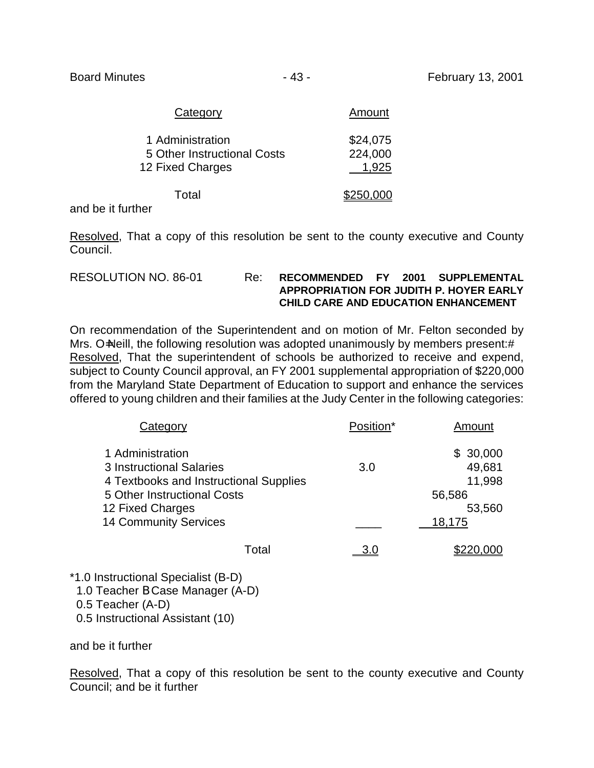| Category                                                            | Amount                       |
|---------------------------------------------------------------------|------------------------------|
| 1 Administration<br>5 Other Instructional Costs<br>12 Fixed Charges | \$24,075<br>224,000<br>1,925 |
| Total                                                               | \$250,000                    |

and be it further

Resolved, That a copy of this resolution be sent to the county executive and County Council.

| RESOLUTION NO. 86-01 | Re. | <b>RECOMMENDED FY</b>                       |  | <b>2001 SUPPLEMENTAL</b> |
|----------------------|-----|---------------------------------------------|--|--------------------------|
|                      |     | APPROPRIATION FOR JUDITH P. HOYER EARLY     |  |                          |
|                      |     | <b>CHILD CARE AND EDUCATION ENHANCEMENT</b> |  |                          |

On recommendation of the Superintendent and on motion of Mr. Felton seconded by Mrs. O=Neill, the following resolution was adopted unanimously by members present:# Resolved, That the superintendent of schools be authorized to receive and expend, subject to County Council approval, an FY 2001 supplemental appropriation of \$220,000 from the Maryland State Department of Education to support and enhance the services offered to young children and their families at the Judy Center in the following categories:

| Category                                                                                                                                                                  | Position* | Amount                                                     |
|---------------------------------------------------------------------------------------------------------------------------------------------------------------------------|-----------|------------------------------------------------------------|
| 1 Administration<br>3 Instructional Salaries<br>4 Textbooks and Instructional Supplies<br>5 Other Instructional Costs<br>12 Fixed Charges<br><b>14 Community Services</b> | 3.0       | \$30,000<br>49,681<br>11,998<br>56,586<br>53,560<br>18,175 |
| Total                                                                                                                                                                     |           |                                                            |

\*1.0 Instructional Specialist (B-D) 1.0 Teacher B Case Manager (A-D) 0.5 Teacher (A-D) 0.5 Instructional Assistant (10)

and be it further

Resolved, That a copy of this resolution be sent to the county executive and County Council; and be it further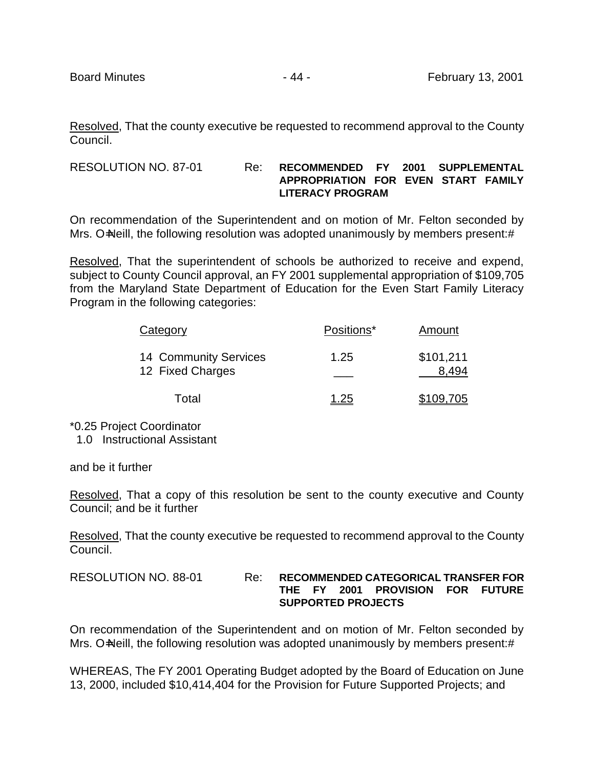Resolved, That the county executive be requested to recommend approval to the County Council.

RESOLUTION NO. 87-01 Re: **RECOMMENDED FY 2001 SUPPLEMENTAL APPROPRIATION FOR EVEN START FAMILY LITERACY PROGRAM**

On recommendation of the Superintendent and on motion of Mr. Felton seconded by Mrs. O=Neill, the following resolution was adopted unanimously by members present:#

Resolved, That the superintendent of schools be authorized to receive and expend, subject to County Council approval, an FY 2001 supplemental appropriation of \$109,705 from the Maryland State Department of Education for the Even Start Family Literacy Program in the following categories:

| Category                                  | Positions* | Amount    |
|-------------------------------------------|------------|-----------|
| 14 Community Services<br>12 Fixed Charges | 1.25       | \$101,211 |
| Total                                     | 1.25       | \$109.705 |

\*0.25 Project Coordinator

1.0 Instructional Assistant

and be it further

Resolved, That a copy of this resolution be sent to the county executive and County Council; and be it further

Resolved, That the county executive be requested to recommend approval to the County Council.

| RESOLUTION NO. 88-01 | Re: | <b>RECOMMENDED CATEGORICAL TRANSFER FOR</b> |  |  |                                  |  |  |
|----------------------|-----|---------------------------------------------|--|--|----------------------------------|--|--|
|                      |     |                                             |  |  | THE FY 2001 PROVISION FOR FUTURE |  |  |
|                      |     |                                             |  |  | <b>SUPPORTED PROJECTS</b>        |  |  |

On recommendation of the Superintendent and on motion of Mr. Felton seconded by Mrs. O=Neill, the following resolution was adopted unanimously by members present:#

WHEREAS, The FY 2001 Operating Budget adopted by the Board of Education on June 13, 2000, included \$10,414,404 for the Provision for Future Supported Projects; and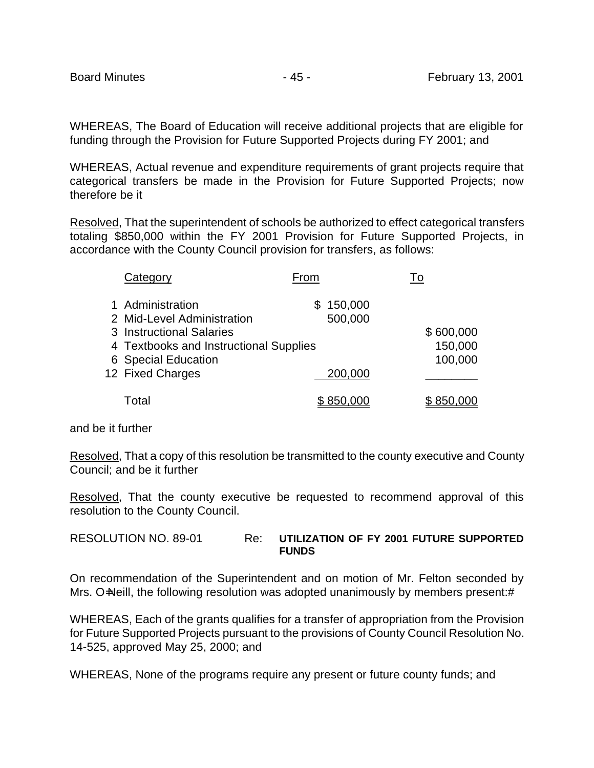WHEREAS, The Board of Education will receive additional projects that are eligible for funding through the Provision for Future Supported Projects during FY 2001; and

WHEREAS, Actual revenue and expenditure requirements of grant projects require that categorical transfers be made in the Provision for Future Supported Projects; now therefore be it

Resolved, That the superintendent of schools be authorized to effect categorical transfers totaling \$850,000 within the FY 2001 Provision for Future Supported Projects, in accordance with the County Council provision for transfers, as follows:

| Category                               | From          | To        |
|----------------------------------------|---------------|-----------|
| 1 Administration                       | 150,000<br>S. |           |
| 2 Mid-Level Administration             | 500,000       |           |
| 3 Instructional Salaries               |               | \$600,000 |
| 4 Textbooks and Instructional Supplies |               | 150,000   |
| 6 Special Education                    |               | 100,000   |
| 12 Fixed Charges                       | 200,000       |           |
| Total                                  |               |           |

and be it further

Resolved, That a copy of this resolution be transmitted to the county executive and County Council; and be it further

Resolved, That the county executive be requested to recommend approval of this resolution to the County Council.

### RESOLUTION NO. 89-01 Re: **UTILIZATION OF FY 2001 FUTURE SUPPORTED FUNDS**

On recommendation of the Superintendent and on motion of Mr. Felton seconded by Mrs. O=Neill, the following resolution was adopted unanimously by members present:#

WHEREAS, Each of the grants qualifies for a transfer of appropriation from the Provision for Future Supported Projects pursuant to the provisions of County Council Resolution No. 14-525, approved May 25, 2000; and

WHEREAS, None of the programs require any present or future county funds; and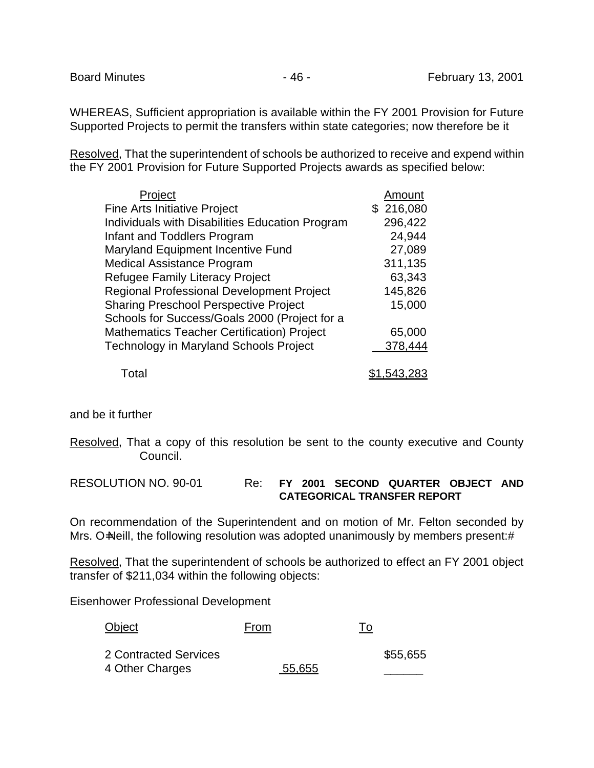WHEREAS, Sufficient appropriation is available within the FY 2001 Provision for Future Supported Projects to permit the transfers within state categories; now therefore be it

Resolved, That the superintendent of schools be authorized to receive and expend within the FY 2001 Provision for Future Supported Projects awards as specified below:

| Project                                           | Amount      |
|---------------------------------------------------|-------------|
| <b>Fine Arts Initiative Project</b>               | \$216,080   |
| Individuals with Disabilities Education Program   | 296,422     |
| Infant and Toddlers Program                       | 24,944      |
| Maryland Equipment Incentive Fund                 | 27,089      |
| <b>Medical Assistance Program</b>                 | 311,135     |
| <b>Refugee Family Literacy Project</b>            | 63,343      |
| <b>Regional Professional Development Project</b>  | 145,826     |
| <b>Sharing Preschool Perspective Project</b>      | 15,000      |
| Schools for Success/Goals 2000 (Project for a     |             |
| <b>Mathematics Teacher Certification) Project</b> | 65,000      |
| <b>Technology in Maryland Schools Project</b>     | 378,444     |
| Total                                             | \$1,543,283 |

and be it further

Resolved, That a copy of this resolution be sent to the county executive and County Council.

RESOLUTION NO. 90-01 Re: **FY 2001 SECOND QUARTER OBJECT AND CATEGORICAL TRANSFER REPORT**

On recommendation of the Superintendent and on motion of Mr. Felton seconded by Mrs. O=Neill, the following resolution was adopted unanimously by members present:#

Resolved, That the superintendent of schools be authorized to effect an FY 2001 object transfer of \$211,034 within the following objects:

Eisenhower Professional Development

| Object                | From   | To |          |
|-----------------------|--------|----|----------|
| 2 Contracted Services |        |    | \$55,655 |
| 4 Other Charges       | 55,655 |    |          |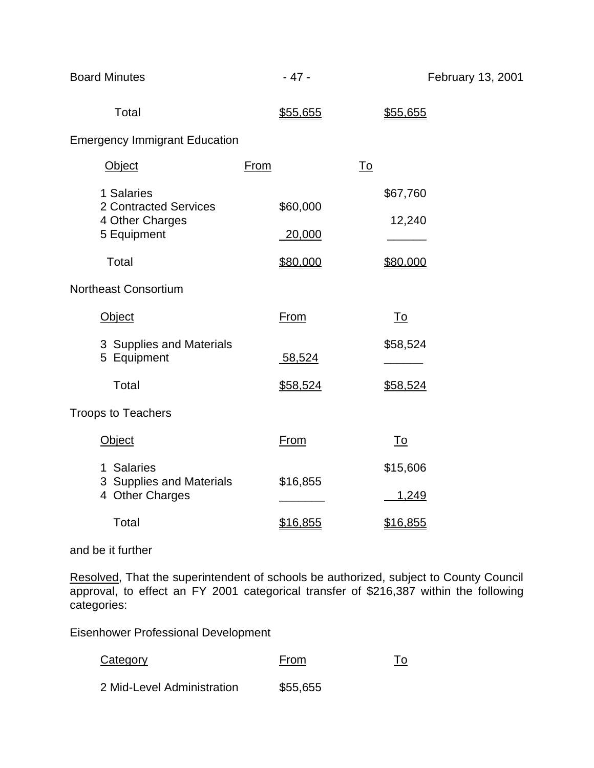| <b>Board Minutes</b>                                                  | $-47-$             | February 13, 2001  |  |
|-----------------------------------------------------------------------|--------------------|--------------------|--|
| Total                                                                 | \$55,655           | \$55,655           |  |
| <b>Emergency Immigrant Education</b>                                  |                    |                    |  |
| Object                                                                | <b>From</b>        | <u>To</u>          |  |
| 1 Salaries<br>2 Contracted Services<br>4 Other Charges<br>5 Equipment | \$60,000<br>20,000 | \$67,760<br>12,240 |  |
| Total                                                                 | \$80,000           | \$80,000           |  |
| <b>Northeast Consortium</b>                                           |                    |                    |  |
| Object                                                                | <b>From</b>        | <u>To</u>          |  |
| 3 Supplies and Materials<br>5 Equipment                               | 58,524             | \$58,524           |  |
| Total                                                                 | \$58,524           | \$58,524           |  |
| <b>Troops to Teachers</b>                                             |                    |                    |  |
| Object                                                                | <b>From</b>        | <u>To</u>          |  |
| 1 Salaries<br>3 Supplies and Materials<br>4 Other Charges             | \$16,855           | \$15,606<br>1,249  |  |
| Total                                                                 | \$16,855           | <u>\$16,855</u>    |  |

### and be it further

Resolved, That the superintendent of schools be authorized, subject to County Council approval, to effect an FY 2001 categorical transfer of \$216,387 within the following categories:

Eisenhower Professional Development

| <b>Category</b>            | From     | <u>To</u> |
|----------------------------|----------|-----------|
| 2 Mid-Level Administration | \$55,655 |           |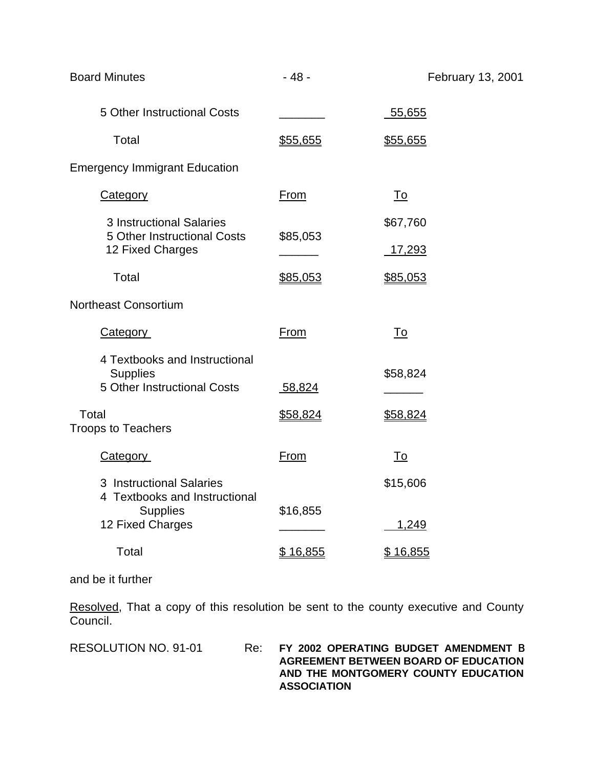| <b>Board Minutes</b>                                                            | $-48-$          | February 13, 2001 |
|---------------------------------------------------------------------------------|-----------------|-------------------|
| 5 Other Instructional Costs                                                     |                 | 55,655            |
| Total                                                                           | \$55,655        | <u>\$55,655</u>   |
| <b>Emergency Immigrant Education</b>                                            |                 |                   |
| <b>Category</b>                                                                 | From            | <u>To</u>         |
| <b>3 Instructional Salaries</b><br>5 Other Instructional Costs                  | \$85,053        | \$67,760          |
| 12 Fixed Charges                                                                |                 | <u>17,293</u>     |
| Total                                                                           | \$85,053        | <u>\$85,053</u>   |
| <b>Northeast Consortium</b>                                                     |                 |                   |
| <b>Category</b>                                                                 | <u>From</u>     | <u>To</u>         |
| 4 Textbooks and Instructional<br><b>Supplies</b><br>5 Other Instructional Costs | 58,824          | \$58,824          |
|                                                                                 |                 |                   |
| Total<br><b>Troops to Teachers</b>                                              | <u>\$58,824</u> | <u>\$58,824</u>   |
| <b>Category</b>                                                                 | <b>From</b>     | <u>To</u>         |
| 3 Instructional Salaries<br>4 Textbooks and Instructional                       |                 | \$15,606          |
| <b>Supplies</b><br>12 Fixed Charges                                             | \$16,855        | 1,249             |
| Total                                                                           | \$16,855        | <u>\$16,855</u>   |
|                                                                                 |                 |                   |

and be it further

Resolved, That a copy of this resolution be sent to the county executive and County Council.

### RESOLUTION NO. 91-01 Re: **FY 2002 OPERATING BUDGET AMENDMENT** B **AGREEMENT BETWEEN BOARD OF EDUCATION AND THE MONTGOMERY COUNTY EDUCATION ASSOCIATION**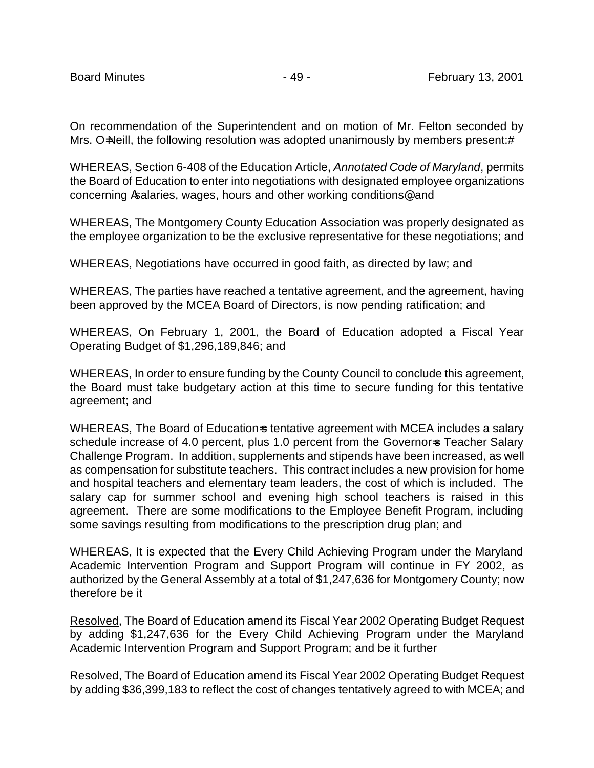On recommendation of the Superintendent and on motion of Mr. Felton seconded by Mrs. O=Neill, the following resolution was adopted unanimously by members present:#

WHEREAS, Section 6-408 of the Education Article, *Annotated Code of Maryland*, permits the Board of Education to enter into negotiations with designated employee organizations concerning Asalaries, wages, hours and other working conditions@, and

WHEREAS, The Montgomery County Education Association was properly designated as the employee organization to be the exclusive representative for these negotiations; and

WHEREAS, Negotiations have occurred in good faith, as directed by law; and

WHEREAS, The parties have reached a tentative agreement, and the agreement, having been approved by the MCEA Board of Directors, is now pending ratification; and

WHEREAS, On February 1, 2001, the Board of Education adopted a Fiscal Year Operating Budget of \$1,296,189,846; and

WHEREAS, In order to ensure funding by the County Council to conclude this agreement, the Board must take budgetary action at this time to secure funding for this tentative agreement; and

WHEREAS, The Board of Education-s tentative agreement with MCEA includes a salary schedule increase of 4.0 percent, plus 1.0 percent from the Governor-s Teacher Salary Challenge Program. In addition, supplements and stipends have been increased, as well as compensation for substitute teachers. This contract includes a new provision for home and hospital teachers and elementary team leaders, the cost of which is included. The salary cap for summer school and evening high school teachers is raised in this agreement. There are some modifications to the Employee Benefit Program, including some savings resulting from modifications to the prescription drug plan; and

WHEREAS, It is expected that the Every Child Achieving Program under the Maryland Academic Intervention Program and Support Program will continue in FY 2002, as authorized by the General Assembly at a total of \$1,247,636 for Montgomery County; now therefore be it

Resolved, The Board of Education amend its Fiscal Year 2002 Operating Budget Request by adding \$1,247,636 for the Every Child Achieving Program under the Maryland Academic Intervention Program and Support Program; and be it further

Resolved, The Board of Education amend its Fiscal Year 2002 Operating Budget Request by adding \$36,399,183 to reflect the cost of changes tentatively agreed to with MCEA; and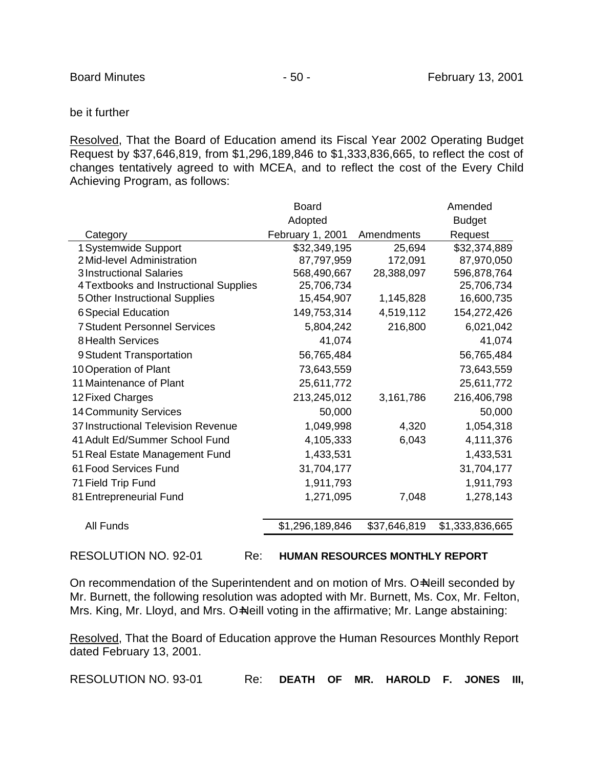### be it further

Resolved, That the Board of Education amend its Fiscal Year 2002 Operating Budget Request by \$37,646,819, from \$1,296,189,846 to \$1,333,836,665, to reflect the cost of changes tentatively agreed to with MCEA, and to reflect the cost of the Every Child Achieving Program, as follows:

| Adopted<br>February 1, 2001 | Amendments   | <b>Budget</b>   |
|-----------------------------|--------------|-----------------|
|                             |              |                 |
|                             |              | Request         |
|                             | 25,694       | \$32,374,889    |
| 87,797,959                  | 172,091      | 87,970,050      |
| 568,490,667                 | 28,388,097   | 596,878,764     |
| 25,706,734                  |              | 25,706,734      |
| 15,454,907                  | 1,145,828    | 16,600,735      |
| 149,753,314                 | 4,519,112    | 154,272,426     |
| 5,804,242                   | 216,800      | 6,021,042       |
| 41,074                      |              | 41,074          |
| 56,765,484                  |              | 56,765,484      |
| 73,643,559                  |              | 73,643,559      |
| 25,611,772                  |              | 25,611,772      |
| 213,245,012                 | 3,161,786    | 216,406,798     |
| 50,000                      |              | 50,000          |
| 1,049,998                   | 4,320        | 1,054,318       |
| 4,105,333                   | 6,043        | 4,111,376       |
| 1,433,531                   |              | 1,433,531       |
| 31,704,177                  |              | 31,704,177      |
| 1,911,793                   |              | 1,911,793       |
| 1,271,095                   | 7,048        | 1,278,143       |
| \$1,296,189,846             | \$37,646,819 | \$1,333,836,665 |
|                             | \$32,349,195 |                 |

RESOLUTION NO. 92-01 Re: **HUMAN RESOURCES MONTHLY REPORT**

On recommendation of the Superintendent and on motion of Mrs. O=Neill seconded by Mr. Burnett, the following resolution was adopted with Mr. Burnett, Ms. Cox, Mr. Felton, Mrs. King, Mr. Lloyd, and Mrs. O=Neill voting in the affirmative; Mr. Lange abstaining:

Resolved, That the Board of Education approve the Human Resources Monthly Report dated February 13, 2001.

RESOLUTION NO. 93-01 Re: **DEATH OF MR. HAROLD F. JONES III,**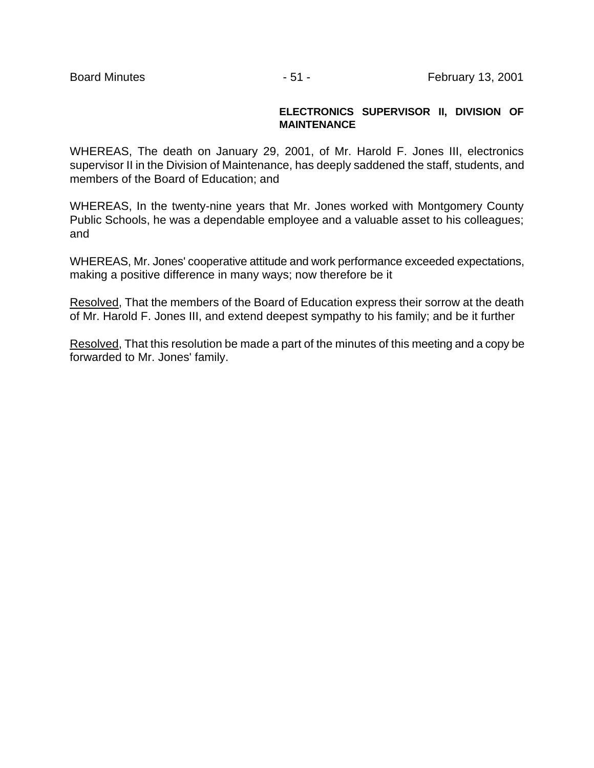### **ELECTRONICS SUPERVISOR II, DIVISION OF MAINTENANCE**

WHEREAS, The death on January 29, 2001, of Mr. Harold F. Jones III, electronics supervisor II in the Division of Maintenance, has deeply saddened the staff, students, and members of the Board of Education; and

WHEREAS, In the twenty-nine years that Mr. Jones worked with Montgomery County Public Schools, he was a dependable employee and a valuable asset to his colleagues; and

WHEREAS, Mr. Jones' cooperative attitude and work performance exceeded expectations, making a positive difference in many ways; now therefore be it

Resolved, That the members of the Board of Education express their sorrow at the death of Mr. Harold F. Jones III, and extend deepest sympathy to his family; and be it further

Resolved, That this resolution be made a part of the minutes of this meeting and a copy be forwarded to Mr. Jones' family.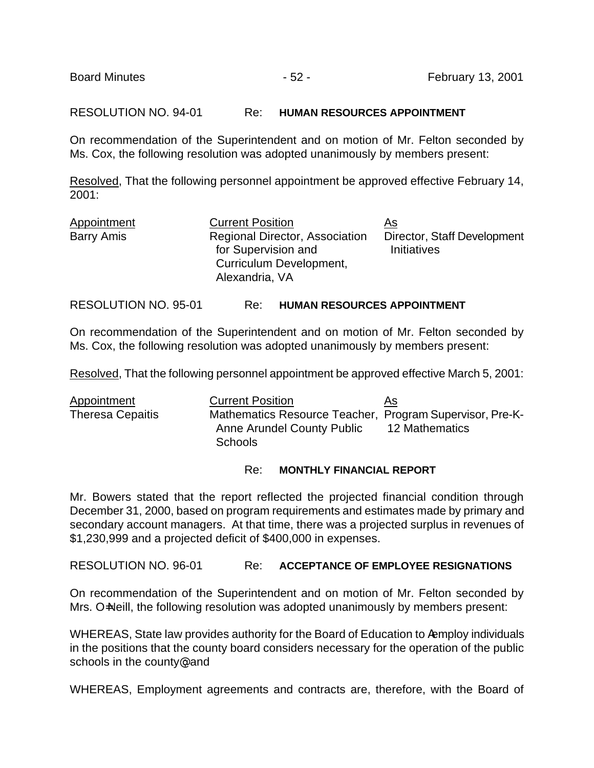RESOLUTION NO. 94-01 Re: **HUMAN RESOURCES APPOINTMENT**

On recommendation of the Superintendent and on motion of Mr. Felton seconded by Ms. Cox, the following resolution was adopted unanimously by members present:

Resolved, That the following personnel appointment be approved effective February 14, 2001:

| Appointment | <b>Current Position</b>                                                                                   | <u>As</u>                                         |
|-------------|-----------------------------------------------------------------------------------------------------------|---------------------------------------------------|
| Barry Amis  | <b>Regional Director, Association</b><br>for Supervision and<br>Curriculum Development,<br>Alexandria, VA | Director, Staff Development<br><b>Initiatives</b> |
|             |                                                                                                           |                                                   |

RESOLUTION NO. 95-01 Re: **HUMAN RESOURCES APPOINTMENT**

On recommendation of the Superintendent and on motion of Mr. Felton seconded by Ms. Cox, the following resolution was adopted unanimously by members present:

Resolved, That the following personnel appointment be approved effective March 5, 2001:

| Appointment             | <b>Current Position</b>                                  | As             |
|-------------------------|----------------------------------------------------------|----------------|
| <b>Theresa Cepaitis</b> | Mathematics Resource Teacher, Program Supervisor, Pre-K- |                |
|                         | Anne Arundel County Public                               | 12 Mathematics |
|                         | <b>Schools</b>                                           |                |

### Re: **MONTHLY FINANCIAL REPORT**

Mr. Bowers stated that the report reflected the projected financial condition through December 31, 2000, based on program requirements and estimates made by primary and secondary account managers. At that time, there was a projected surplus in revenues of \$1,230,999 and a projected deficit of \$400,000 in expenses.

RESOLUTION NO. 96-01 Re: **ACCEPTANCE OF EMPLOYEE RESIGNATIONS**

On recommendation of the Superintendent and on motion of Mr. Felton seconded by Mrs. O=Neill, the following resolution was adopted unanimously by members present:

WHEREAS, State law provides authority for the Board of Education to Aemploy individuals in the positions that the county board considers necessary for the operation of the public schools in the county<sup>®</sup>, and

WHEREAS, Employment agreements and contracts are, therefore, with the Board of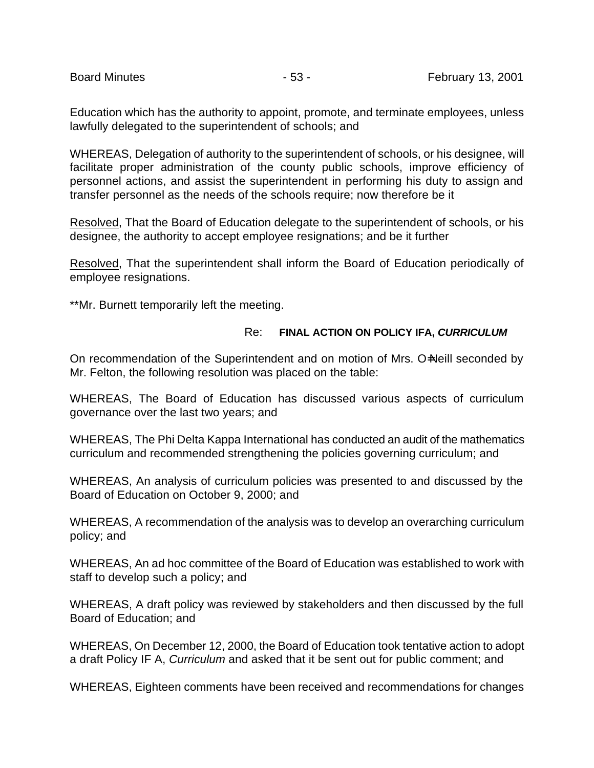Education which has the authority to appoint, promote, and terminate employees, unless lawfully delegated to the superintendent of schools; and

WHEREAS, Delegation of authority to the superintendent of schools, or his designee, will facilitate proper administration of the county public schools, improve efficiency of personnel actions, and assist the superintendent in performing his duty to assign and transfer personnel as the needs of the schools require; now therefore be it

Resolved, That the Board of Education delegate to the superintendent of schools, or his designee, the authority to accept employee resignations; and be it further

Resolved, That the superintendent shall inform the Board of Education periodically of employee resignations.

\*\*Mr. Burnett temporarily left the meeting.

# Re: **FINAL ACTION ON POLICY IFA,** *CURRICULUM*

On recommendation of the Superintendent and on motion of Mrs. O=Neill seconded by Mr. Felton, the following resolution was placed on the table:

WHEREAS, The Board of Education has discussed various aspects of curriculum governance over the last two years; and

WHEREAS, The Phi Delta Kappa International has conducted an audit of the mathematics curriculum and recommended strengthening the policies governing curriculum; and

WHEREAS, An analysis of curriculum policies was presented to and discussed by the Board of Education on October 9, 2000; and

WHEREAS, A recommendation of the analysis was to develop an overarching curriculum policy; and

WHEREAS, An ad hoc committee of the Board of Education was established to work with staff to develop such a policy; and

WHEREAS, A draft policy was reviewed by stakeholders and then discussed by the full Board of Education; and

WHEREAS, On December 12, 2000, the Board of Education took tentative action to adopt a draft Policy IF A, *Curriculum* and asked that it be sent out for public comment; and

WHEREAS, Eighteen comments have been received and recommendations for changes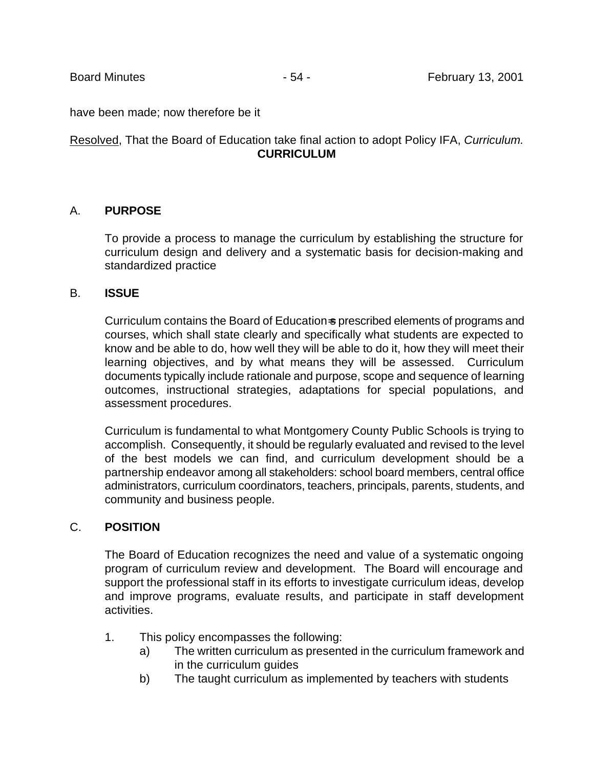have been made; now therefore be it

# Resolved, That the Board of Education take final action to adopt Policy IFA, *Curriculum.*  **CURRICULUM**

### A. **PURPOSE**

To provide a process to manage the curriculum by establishing the structure for curriculum design and delivery and a systematic basis for decision-making and standardized practice

### B. **ISSUE**

Curriculum contains the Board of Education=s prescribed elements of programs and courses, which shall state clearly and specifically what students are expected to know and be able to do, how well they will be able to do it, how they will meet their learning objectives, and by what means they will be assessed. Curriculum documents typically include rationale and purpose, scope and sequence of learning outcomes, instructional strategies, adaptations for special populations, and assessment procedures.

Curriculum is fundamental to what Montgomery County Public Schools is trying to accomplish. Consequently, it should be regularly evaluated and revised to the level of the best models we can find, and curriculum development should be a partnership endeavor among all stakeholders: school board members, central office administrators, curriculum coordinators, teachers, principals, parents, students, and community and business people.

# C. **POSITION**

The Board of Education recognizes the need and value of a systematic ongoing program of curriculum review and development. The Board will encourage and support the professional staff in its efforts to investigate curriculum ideas, develop and improve programs, evaluate results, and participate in staff development activities.

- 1. This policy encompasses the following:
	- a) The written curriculum as presented in the curriculum framework and in the curriculum guides
	- b) The taught curriculum as implemented by teachers with students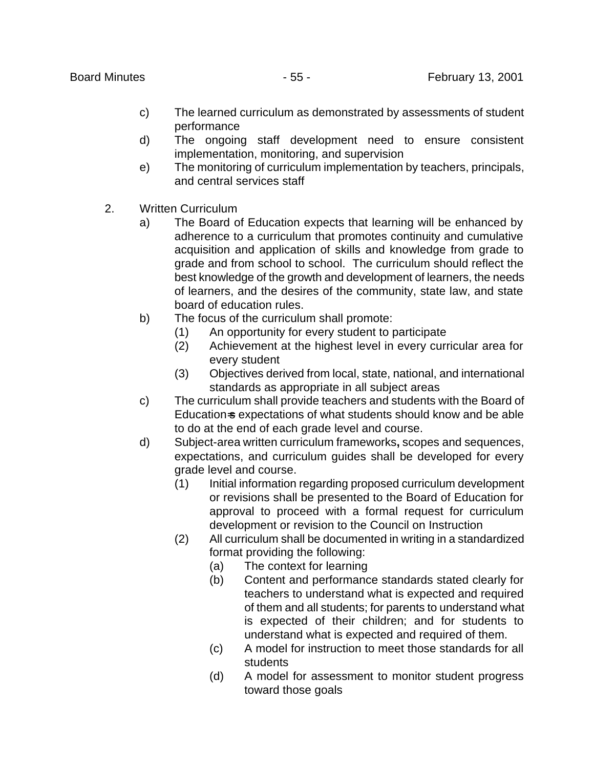- c) The learned curriculum as demonstrated by assessments of student performance
- d) The ongoing staff development need to ensure consistent implementation, monitoring, and supervision
- e) The monitoring of curriculum implementation by teachers, principals, and central services staff
- 2. Written Curriculum
	- a) The Board of Education expects that learning will be enhanced by adherence to a curriculum that promotes continuity and cumulative acquisition and application of skills and knowledge from grade to grade and from school to school. The curriculum should reflect the best knowledge of the growth and development of learners, the needs of learners, and the desires of the community, state law, and state board of education rules.
	- b) The focus of the curriculum shall promote:
		- (1) An opportunity for every student to participate
		- (2) Achievement at the highest level in every curricular area for every student
		- (3) Objectives derived from local, state, national, and international standards as appropriate in all subject areas
	- c) The curriculum shall provide teachers and students with the Board of Education-s expectations of what students should know and be able to do at the end of each grade level and course.
	- d) Subject-area written curriculum frameworks**,** scopes and sequences, expectations, and curriculum guides shall be developed for every grade level and course.
		- (1) Initial information regarding proposed curriculum development or revisions shall be presented to the Board of Education for approval to proceed with a formal request for curriculum development or revision to the Council on Instruction
		- (2) All curriculum shall be documented in writing in a standardized format providing the following:
			- (a) The context for learning
			- (b) Content and performance standards stated clearly for teachers to understand what is expected and required of them and all students; for parents to understand what is expected of their children; and for students to understand what is expected and required of them.
			- (c) A model for instruction to meet those standards for all students
			- (d) A model for assessment to monitor student progress toward those goals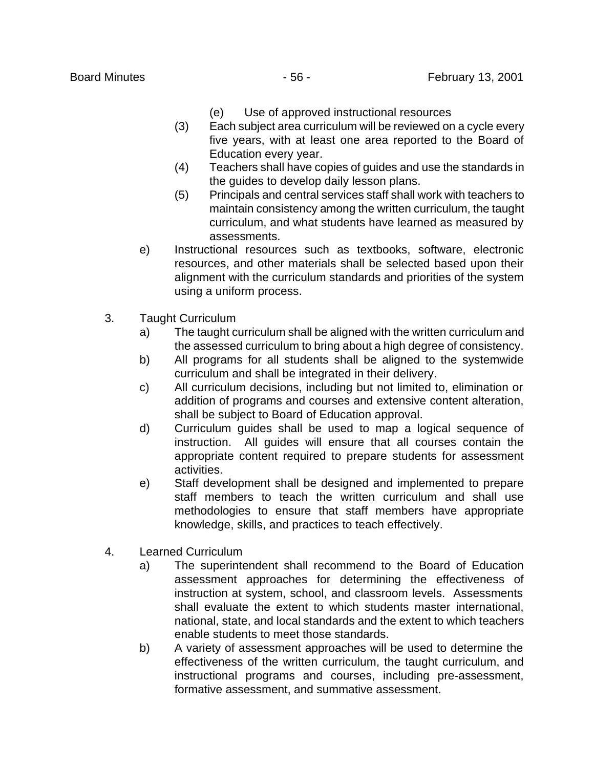- (e) Use of approved instructional resources
- (3) Each subject area curriculum will be reviewed on a cycle every five years, with at least one area reported to the Board of Education every year.
- (4) Teachers shall have copies of guides and use the standards in the guides to develop daily lesson plans.
- (5) Principals and central services staff shall work with teachers to maintain consistency among the written curriculum, the taught curriculum, and what students have learned as measured by assessments.
- e) Instructional resources such as textbooks, software, electronic resources, and other materials shall be selected based upon their alignment with the curriculum standards and priorities of the system using a uniform process.
- 3. Taught Curriculum
	- a) The taught curriculum shall be aligned with the written curriculum and the assessed curriculum to bring about a high degree of consistency.
	- b) All programs for all students shall be aligned to the systemwide curriculum and shall be integrated in their delivery.
	- c) All curriculum decisions, including but not limited to, elimination or addition of programs and courses and extensive content alteration, shall be subject to Board of Education approval.
	- d) Curriculum guides shall be used to map a logical sequence of instruction. All guides will ensure that all courses contain the appropriate content required to prepare students for assessment activities.
	- e) Staff development shall be designed and implemented to prepare staff members to teach the written curriculum and shall use methodologies to ensure that staff members have appropriate knowledge, skills, and practices to teach effectively.
- 4. Learned Curriculum
	- a) The superintendent shall recommend to the Board of Education assessment approaches for determining the effectiveness of instruction at system, school, and classroom levels. Assessments shall evaluate the extent to which students master international, national, state, and local standards and the extent to which teachers enable students to meet those standards.
	- b) A variety of assessment approaches will be used to determine the effectiveness of the written curriculum, the taught curriculum, and instructional programs and courses, including pre-assessment, formative assessment, and summative assessment.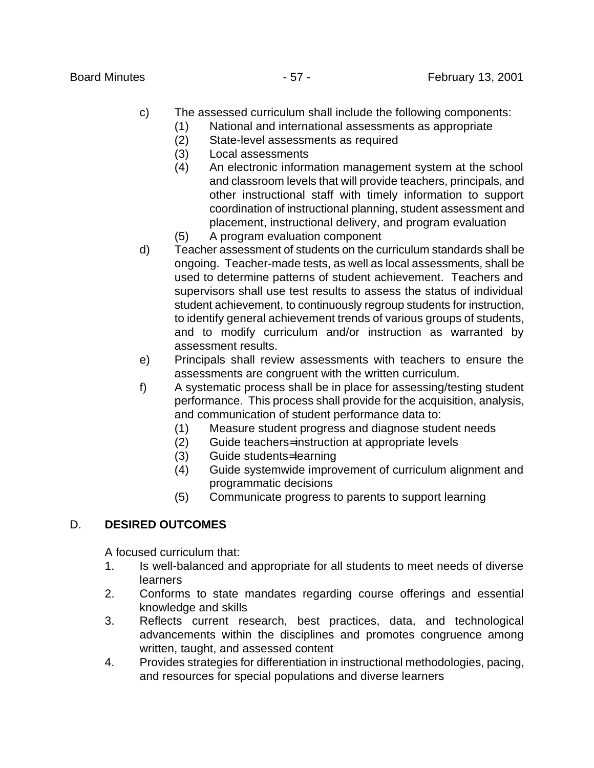- c) The assessed curriculum shall include the following components:
	- (1) National and international assessments as appropriate
	- (2) State-level assessments as required
	- (3) Local assessments
	- (4) An electronic information management system at the school and classroom levels that will provide teachers, principals, and other instructional staff with timely information to support coordination of instructional planning, student assessment and placement, instructional delivery, and program evaluation
	- (5) A program evaluation component
- d) Teacher assessment of students on the curriculum standards shall be ongoing. Teacher-made tests, as well as local assessments, shall be used to determine patterns of student achievement. Teachers and supervisors shall use test results to assess the status of individual student achievement, to continuously regroup students for instruction, to identify general achievement trends of various groups of students, and to modify curriculum and/or instruction as warranted by assessment results.
- e) Principals shall review assessments with teachers to ensure the assessments are congruent with the written curriculum.
- f) A systematic process shall be in place for assessing/testing student performance. This process shall provide for the acquisition, analysis, and communication of student performance data to:
	- (1) Measure student progress and diagnose student needs
	- (2) Guide teachers= instruction at appropriate levels
	- (3) Guide students= learning
	- (4) Guide systemwide improvement of curriculum alignment and programmatic decisions
	- (5) Communicate progress to parents to support learning

# D. **DESIRED OUTCOMES**

A focused curriculum that:

- 1. Is well-balanced and appropriate for all students to meet needs of diverse learners
- 2. Conforms to state mandates regarding course offerings and essential knowledge and skills
- 3. Reflects current research, best practices, data, and technological advancements within the disciplines and promotes congruence among written, taught, and assessed content
- 4. Provides strategies for differentiation in instructional methodologies, pacing, and resources for special populations and diverse learners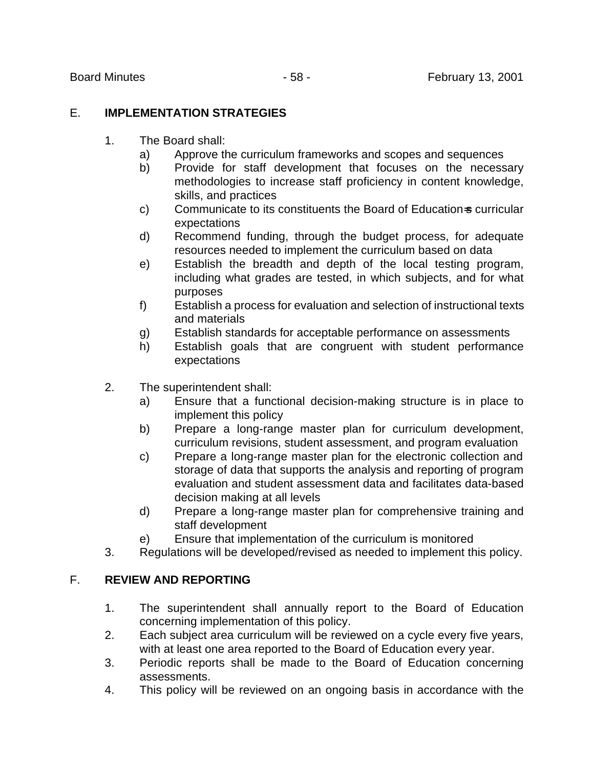# E. **IMPLEMENTATION STRATEGIES**

- 1. The Board shall:
	- a) Approve the curriculum frameworks and scopes and sequences
	- b) Provide for staff development that focuses on the necessary methodologies to increase staff proficiency in content knowledge, skills, and practices
	- c) Communicate to its constituents the Board of Education=s curricular expectations
	- d) Recommend funding, through the budget process, for adequate resources needed to implement the curriculum based on data
	- e) Establish the breadth and depth of the local testing program, including what grades are tested, in which subjects, and for what purposes
	- f) Establish a process for evaluation and selection of instructional texts and materials
	- g) Establish standards for acceptable performance on assessments
	- h) Establish goals that are congruent with student performance expectations
- 2. The superintendent shall:
	- a) Ensure that a functional decision-making structure is in place to implement this policy
	- b) Prepare a long-range master plan for curriculum development, curriculum revisions, student assessment, and program evaluation
	- c) Prepare a long-range master plan for the electronic collection and storage of data that supports the analysis and reporting of program evaluation and student assessment data and facilitates data-based decision making at all levels
	- d) Prepare a long-range master plan for comprehensive training and staff development
	- e) Ensure that implementation of the curriculum is monitored
- 3. Regulations will be developed/revised as needed to implement this policy.

# F. **REVIEW AND REPORTING**

- 1. The superintendent shall annually report to the Board of Education concerning implementation of this policy.
- 2. Each subject area curriculum will be reviewed on a cycle every five years, with at least one area reported to the Board of Education every year.
- 3. Periodic reports shall be made to the Board of Education concerning assessments.
- 4. This policy will be reviewed on an ongoing basis in accordance with the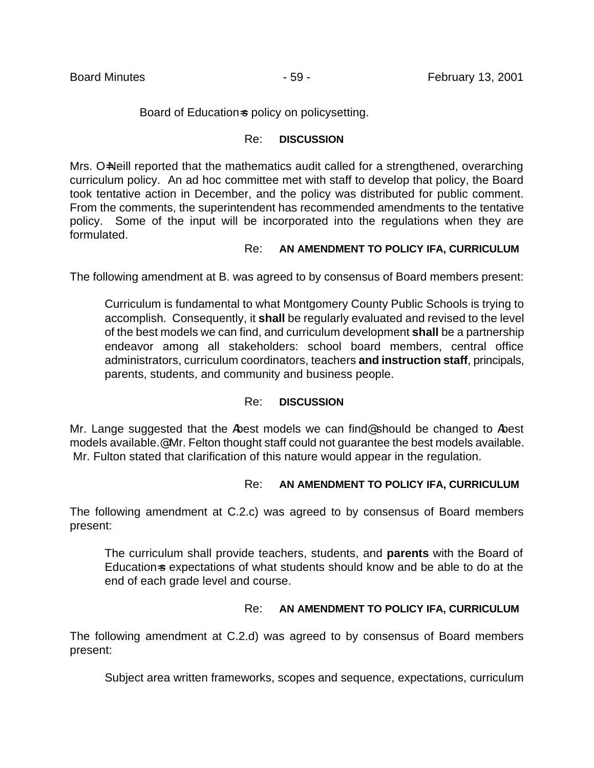### Board of Education-s policy on policy setting.

### Re: **DISCUSSION**

Mrs. O=Neill reported that the mathematics audit called for a strengthened, overarching curriculum policy. An ad hoc committee met with staff to develop that policy, the Board took tentative action in December, and the policy was distributed for public comment. From the comments, the superintendent has recommended amendments to the tentative policy. Some of the input will be incorporated into the regulations when they are formulated.

### Re: **AN AMENDMENT TO POLICY IFA, CURRICULUM**

The following amendment at B. was agreed to by consensus of Board members present:

Curriculum is fundamental to what Montgomery County Public Schools is trying to accomplish. Consequently, it **shall** be regularly evaluated and revised to the level of the best models we can find, and curriculum development **shall** be a partnership endeavor among all stakeholders: school board members, central office administrators, curriculum coordinators, teachers **and instruction staff**, principals, parents, students, and community and business people.

# Re: **DISCUSSION**

Mr. Lange suggested that the Abest models we can find *should be changed to Abest* models available.@ Mr. Felton thought staff could not guarantee the best models available. Mr. Fulton stated that clarification of this nature would appear in the regulation.

# Re: **AN AMENDMENT TO POLICY IFA, CURRICULUM**

The following amendment at C.2.c) was agreed to by consensus of Board members present:

The curriculum shall provide teachers, students, and **parents** with the Board of Education-s expectations of what students should know and be able to do at the end of each grade level and course.

# Re: **AN AMENDMENT TO POLICY IFA, CURRICULUM**

The following amendment at C.2.d) was agreed to by consensus of Board members present:

Subject area written frameworks, scopes and sequence, expectations, curriculum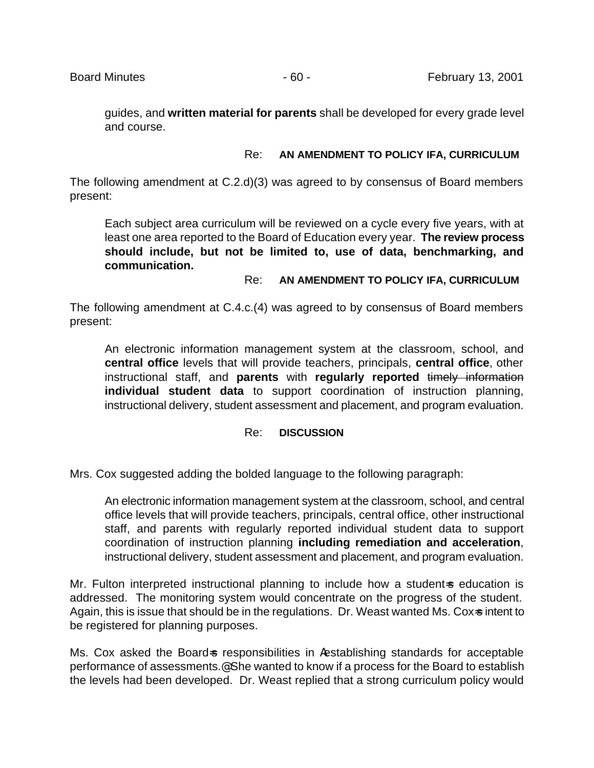guides, and **written material for parents** shall be developed for every grade level and course.

### Re: **AN AMENDMENT TO POLICY IFA, CURRICULUM**

The following amendment at C.2.d)(3) was agreed to by consensus of Board members present:

Each subject area curriculum will be reviewed on a cycle every five years, with at least one area reported to the Board of Education every year. **The review process should include, but not be limited to, use of data, benchmarking, and communication.**

### Re: **AN AMENDMENT TO POLICY IFA, CURRICULUM**

The following amendment at C.4.c.(4) was agreed to by consensus of Board members present:

An electronic information management system at the classroom, school, and **central office** levels that will provide teachers, principals, **central office**, other instructional staff, and **parents** with **regularly reported** timely information **individual student data** to support coordination of instruction planning, instructional delivery, student assessment and placement, and program evaluation.

# Re: **DISCUSSION**

Mrs. Cox suggested adding the bolded language to the following paragraph:

An electronic information management system at the classroom, school, and central office levels that will provide teachers, principals, central office, other instructional staff, and parents with regularly reported individual student data to support coordination of instruction planning **including remediation and acceleration**, instructional delivery, student assessment and placement, and program evaluation.

Mr. Fulton interpreted instructional planning to include how a student-s education is addressed. The monitoring system would concentrate on the progress of the student. Again, this is issue that should be in the regulations. Dr. Weast wanted Ms. Cox-s intent to be registered for planning purposes.

Ms. Cox asked the Board-s responsibilities in Aestablishing standards for acceptable performance of assessments.@ She wanted to know if a process for the Board to establish the levels had been developed. Dr. Weast replied that a strong curriculum policy would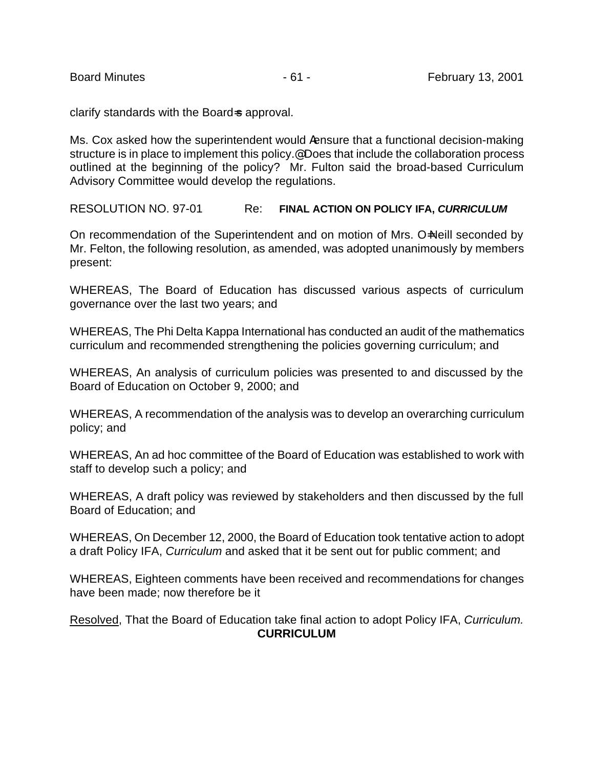clarify standards with the Board-s approval.

Ms. Cox asked how the superintendent would Aensure that a functional decision-making structure is in place to implement this policy.<sup>@</sup> Does that include the collaboration process outlined at the beginning of the policy? Mr. Fulton said the broad-based Curriculum Advisory Committee would develop the regulations.

RESOLUTION NO. 97-01 Re: **FINAL ACTION ON POLICY IFA,** *CURRICULUM*

On recommendation of the Superintendent and on motion of Mrs. O-Neill seconded by Mr. Felton, the following resolution, as amended, was adopted unanimously by members present:

WHEREAS, The Board of Education has discussed various aspects of curriculum governance over the last two years; and

WHEREAS, The Phi Delta Kappa International has conducted an audit of the mathematics curriculum and recommended strengthening the policies governing curriculum; and

WHEREAS, An analysis of curriculum policies was presented to and discussed by the Board of Education on October 9, 2000; and

WHEREAS, A recommendation of the analysis was to develop an overarching curriculum policy; and

WHEREAS, An ad hoc committee of the Board of Education was established to work with staff to develop such a policy; and

WHEREAS, A draft policy was reviewed by stakeholders and then discussed by the full Board of Education; and

WHEREAS, On December 12, 2000, the Board of Education took tentative action to adopt a draft Policy IFA, *Curriculum* and asked that it be sent out for public comment; and

WHEREAS, Eighteen comments have been received and recommendations for changes have been made; now therefore be it

Resolved, That the Board of Education take final action to adopt Policy IFA, *Curriculum.*  **CURRICULUM**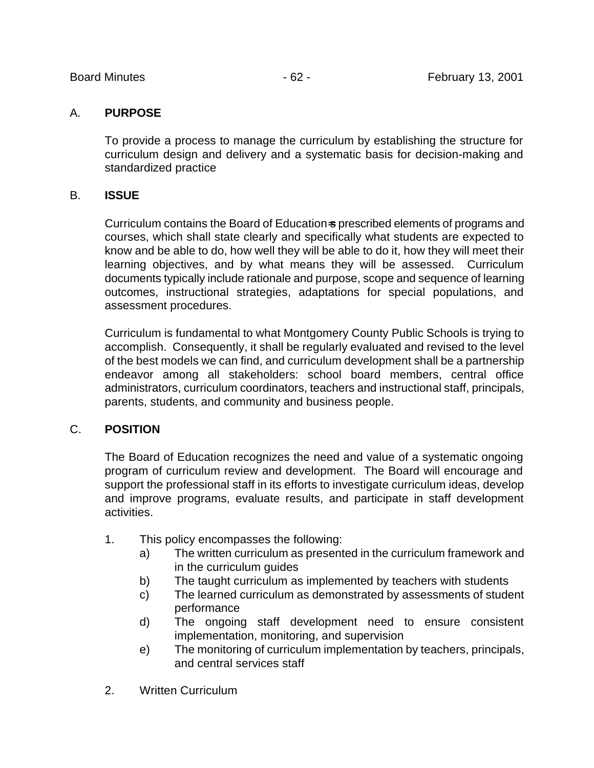# A. **PURPOSE**

To provide a process to manage the curriculum by establishing the structure for curriculum design and delivery and a systematic basis for decision-making and standardized practice

# B. **ISSUE**

Curriculum contains the Board of Education=s prescribed elements of programs and courses, which shall state clearly and specifically what students are expected to know and be able to do, how well they will be able to do it, how they will meet their learning objectives, and by what means they will be assessed. Curriculum documents typically include rationale and purpose, scope and sequence of learning outcomes, instructional strategies, adaptations for special populations, and assessment procedures.

Curriculum is fundamental to what Montgomery County Public Schools is trying to accomplish. Consequently, it shall be regularly evaluated and revised to the level of the best models we can find, and curriculum development shall be a partnership endeavor among all stakeholders: school board members, central office administrators, curriculum coordinators, teachers and instructional staff, principals, parents, students, and community and business people.

# C. **POSITION**

The Board of Education recognizes the need and value of a systematic ongoing program of curriculum review and development. The Board will encourage and support the professional staff in its efforts to investigate curriculum ideas, develop and improve programs, evaluate results, and participate in staff development activities.

- 1. This policy encompasses the following:
	- a) The written curriculum as presented in the curriculum framework and in the curriculum guides
	- b) The taught curriculum as implemented by teachers with students
	- c) The learned curriculum as demonstrated by assessments of student performance
	- d) The ongoing staff development need to ensure consistent implementation, monitoring, and supervision
	- e) The monitoring of curriculum implementation by teachers, principals, and central services staff
- 2. Written Curriculum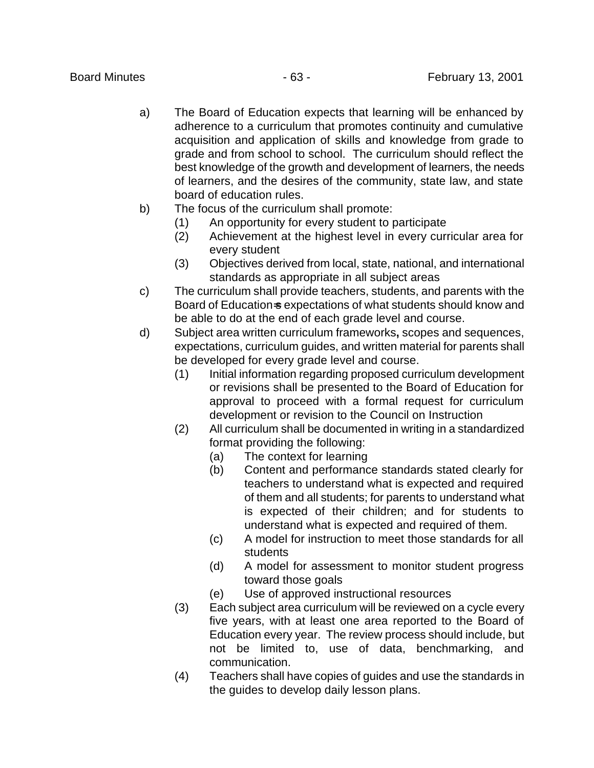- a) The Board of Education expects that learning will be enhanced by adherence to a curriculum that promotes continuity and cumulative acquisition and application of skills and knowledge from grade to grade and from school to school. The curriculum should reflect the best knowledge of the growth and development of learners, the needs of learners, and the desires of the community, state law, and state board of education rules.
- b) The focus of the curriculum shall promote:
	- (1) An opportunity for every student to participate
	- (2) Achievement at the highest level in every curricular area for every student
	- (3) Objectives derived from local, state, national, and international standards as appropriate in all subject areas
- c) The curriculum shall provide teachers, students, and parents with the Board of Education-s expectations of what students should know and be able to do at the end of each grade level and course.
- d) Subject area written curriculum frameworks**,** scopes and sequences, expectations, curriculum guides, and written material for parents shall be developed for every grade level and course.
	- (1) Initial information regarding proposed curriculum development or revisions shall be presented to the Board of Education for approval to proceed with a formal request for curriculum development or revision to the Council on Instruction
	- (2) All curriculum shall be documented in writing in a standardized format providing the following:
		- (a) The context for learning
		- (b) Content and performance standards stated clearly for teachers to understand what is expected and required of them and all students; for parents to understand what is expected of their children; and for students to understand what is expected and required of them.
		- (c) A model for instruction to meet those standards for all students
		- (d) A model for assessment to monitor student progress toward those goals
		- (e) Use of approved instructional resources
	- (3) Each subject area curriculum will be reviewed on a cycle every five years, with at least one area reported to the Board of Education every year. The review process should include, but not be limited to, use of data, benchmarking, and communication.
	- (4) Teachers shall have copies of guides and use the standards in the guides to develop daily lesson plans.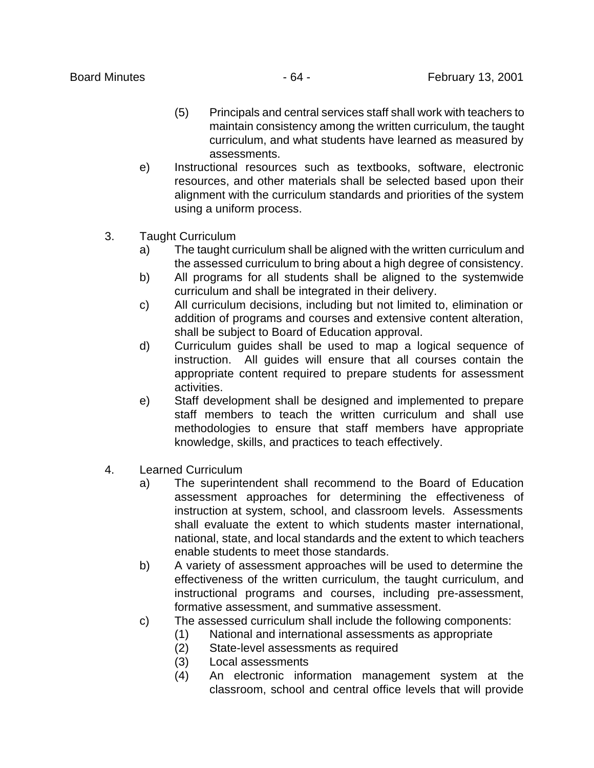- (5) Principals and central services staff shall work with teachers to maintain consistency among the written curriculum, the taught curriculum, and what students have learned as measured by assessments.
- e) Instructional resources such as textbooks, software, electronic resources, and other materials shall be selected based upon their alignment with the curriculum standards and priorities of the system using a uniform process.
- 3. Taught Curriculum
	- a) The taught curriculum shall be aligned with the written curriculum and the assessed curriculum to bring about a high degree of consistency.
	- b) All programs for all students shall be aligned to the systemwide curriculum and shall be integrated in their delivery.
	- c) All curriculum decisions, including but not limited to, elimination or addition of programs and courses and extensive content alteration, shall be subject to Board of Education approval.
	- d) Curriculum guides shall be used to map a logical sequence of instruction. All guides will ensure that all courses contain the appropriate content required to prepare students for assessment activities.
	- e) Staff development shall be designed and implemented to prepare staff members to teach the written curriculum and shall use methodologies to ensure that staff members have appropriate knowledge, skills, and practices to teach effectively.
- 4. Learned Curriculum
	- a) The superintendent shall recommend to the Board of Education assessment approaches for determining the effectiveness of instruction at system, school, and classroom levels. Assessments shall evaluate the extent to which students master international, national, state, and local standards and the extent to which teachers enable students to meet those standards.
	- b) A variety of assessment approaches will be used to determine the effectiveness of the written curriculum, the taught curriculum, and instructional programs and courses, including pre-assessment, formative assessment, and summative assessment.
	- c) The assessed curriculum shall include the following components:
		- (1) National and international assessments as appropriate
		- (2) State-level assessments as required
		- (3) Local assessments
		- (4) An electronic information management system at the classroom, school and central office levels that will provide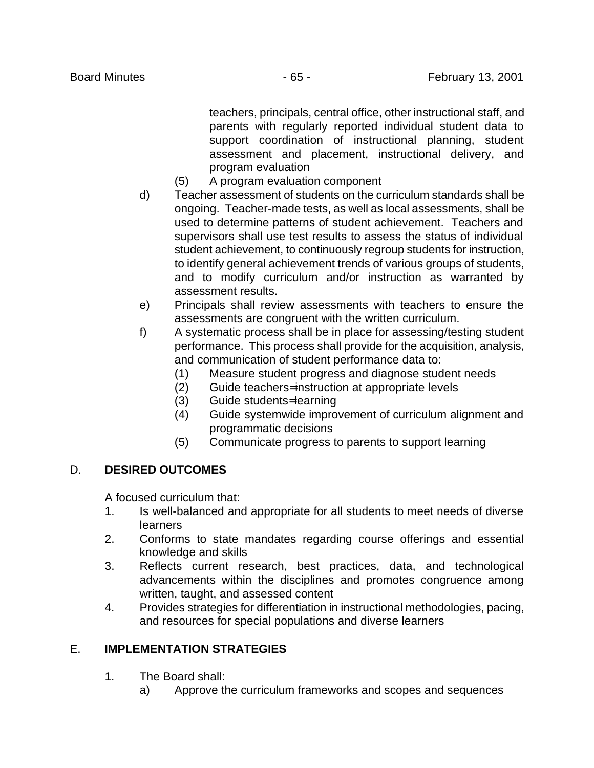teachers, principals, central office, other instructional staff, and parents with regularly reported individual student data to support coordination of instructional planning, student assessment and placement, instructional delivery, and program evaluation

- (5) A program evaluation component
- d) Teacher assessment of students on the curriculum standards shall be ongoing. Teacher-made tests, as well as local assessments, shall be used to determine patterns of student achievement. Teachers and supervisors shall use test results to assess the status of individual student achievement, to continuously regroup students for instruction, to identify general achievement trends of various groups of students, and to modify curriculum and/or instruction as warranted by assessment results.
- e) Principals shall review assessments with teachers to ensure the assessments are congruent with the written curriculum.
- f) A systematic process shall be in place for assessing/testing student performance. This process shall provide for the acquisition, analysis, and communication of student performance data to:
	- (1) Measure student progress and diagnose student needs
	- (2) Guide teachers= instruction at appropriate levels
	- (3) Guide students= learning
	- (4) Guide systemwide improvement of curriculum alignment and programmatic decisions
	- (5) Communicate progress to parents to support learning

# D. **DESIRED OUTCOMES**

A focused curriculum that:

- 1. Is well-balanced and appropriate for all students to meet needs of diverse learners
- 2. Conforms to state mandates regarding course offerings and essential knowledge and skills
- 3. Reflects current research, best practices, data, and technological advancements within the disciplines and promotes congruence among written, taught, and assessed content
- 4. Provides strategies for differentiation in instructional methodologies, pacing, and resources for special populations and diverse learners

# E. **IMPLEMENTATION STRATEGIES**

- 1. The Board shall:
	- a) Approve the curriculum frameworks and scopes and sequences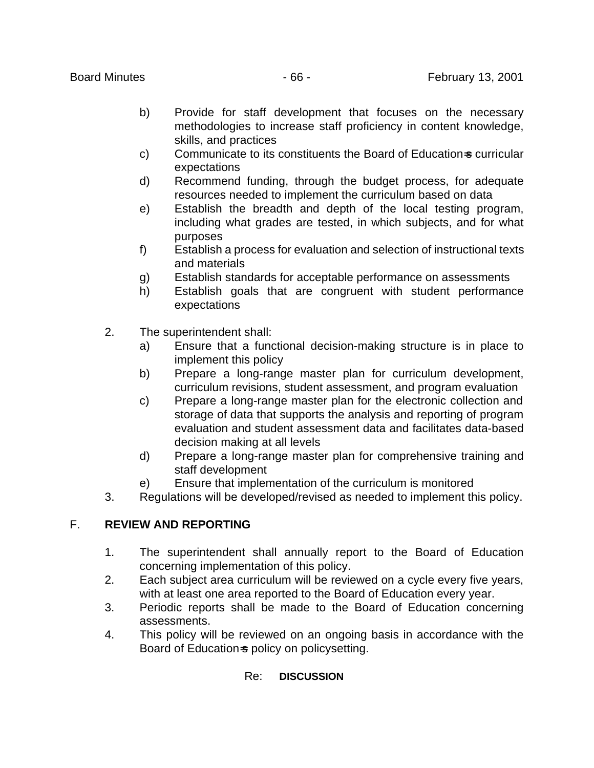- b) Provide for staff development that focuses on the necessary methodologies to increase staff proficiency in content knowledge, skills, and practices
- c) Communicate to its constituents the Board of Education-s curricular expectations
- d) Recommend funding, through the budget process, for adequate resources needed to implement the curriculum based on data
- e) Establish the breadth and depth of the local testing program, including what grades are tested, in which subjects, and for what purposes
- f) Establish a process for evaluation and selection of instructional texts and materials
- g) Establish standards for acceptable performance on assessments
- h) Establish goals that are congruent with student performance expectations
- 2. The superintendent shall:
	- a) Ensure that a functional decision-making structure is in place to implement this policy
	- b) Prepare a long-range master plan for curriculum development, curriculum revisions, student assessment, and program evaluation
	- c) Prepare a long-range master plan for the electronic collection and storage of data that supports the analysis and reporting of program evaluation and student assessment data and facilitates data-based decision making at all levels
	- d) Prepare a long-range master plan for comprehensive training and staff development
	- e) Ensure that implementation of the curriculum is monitored
- 3. Regulations will be developed/revised as needed to implement this policy.

# F. **REVIEW AND REPORTING**

- 1. The superintendent shall annually report to the Board of Education concerning implementation of this policy.
- 2. Each subject area curriculum will be reviewed on a cycle every five years, with at least one area reported to the Board of Education every year.
- 3. Periodic reports shall be made to the Board of Education concerning assessments.
- 4. This policy will be reviewed on an ongoing basis in accordance with the Board of Education-s policy on policysetting.

# Re: **DISCUSSION**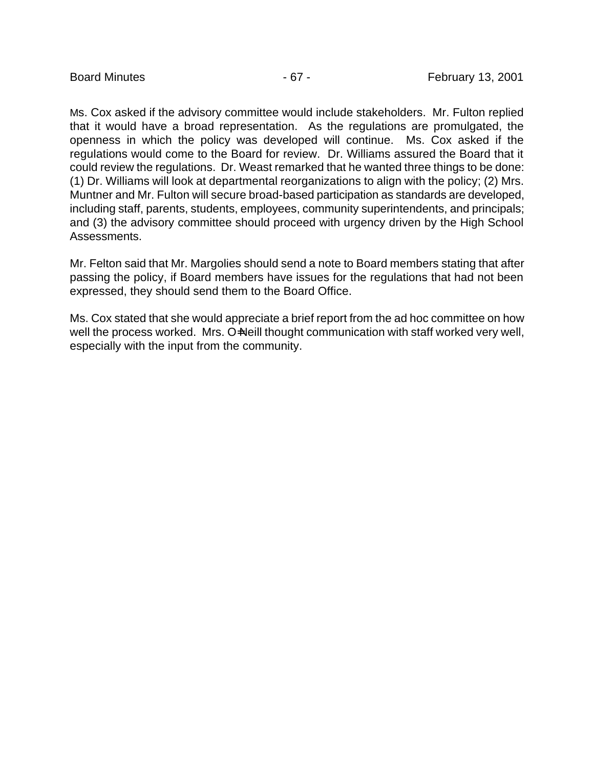Ms. Cox asked if the advisory committee would include stakeholders. Mr. Fulton replied that it would have a broad representation. As the regulations are promulgated, the openness in which the policy was developed will continue. Ms. Cox asked if the regulations would come to the Board for review. Dr. Williams assured the Board that it could review the regulations. Dr. Weast remarked that he wanted three things to be done: (1) Dr. Williams will look at departmental reorganizations to align with the policy; (2) Mrs. Muntner and Mr. Fulton will secure broad-based participation as standards are developed, including staff, parents, students, employees, community superintendents, and principals; and (3) the advisory committee should proceed with urgency driven by the High School Assessments.

Mr. Felton said that Mr. Margolies should send a note to Board members stating that after passing the policy, if Board members have issues for the regulations that had not been expressed, they should send them to the Board Office.

Ms. Cox stated that she would appreciate a brief report from the ad hoc committee on how well the process worked. Mrs. O=Neill thought communication with staff worked very well, especially with the input from the community.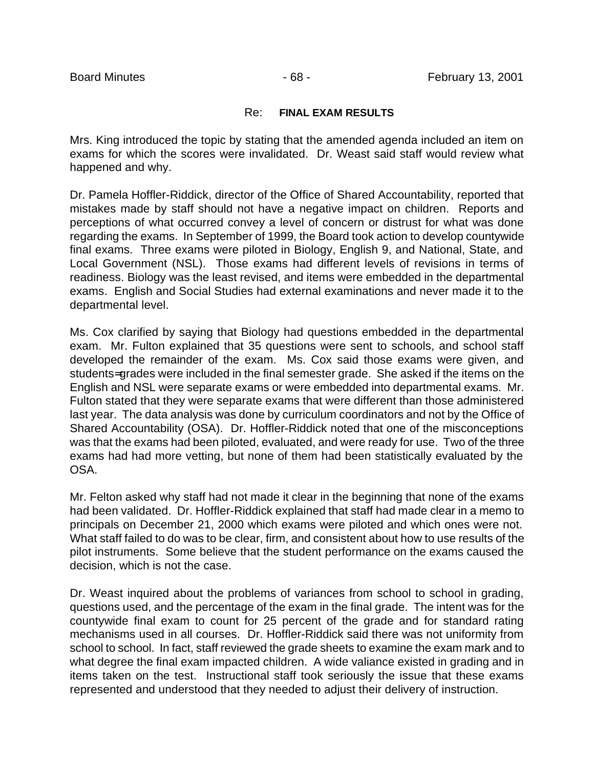### Re: **FINAL EXAM RESULTS**

Mrs. King introduced the topic by stating that the amended agenda included an item on exams for which the scores were invalidated. Dr. Weast said staff would review what happened and why.

Dr. Pamela Hoffler-Riddick, director of the Office of Shared Accountability, reported that mistakes made by staff should not have a negative impact on children. Reports and perceptions of what occurred convey a level of concern or distrust for what was done regarding the exams. In September of 1999, the Board took action to develop countywide final exams. Three exams were piloted in Biology, English 9, and National, State, and Local Government (NSL). Those exams had different levels of revisions in terms of readiness. Biology was the least revised, and items were embedded in the departmental exams. English and Social Studies had external examinations and never made it to the departmental level.

Ms. Cox clarified by saying that Biology had questions embedded in the departmental exam. Mr. Fulton explained that 35 questions were sent to schools, and school staff developed the remainder of the exam. Ms. Cox said those exams were given, and students= grades were included in the final semester grade. She asked if the items on the English and NSL were separate exams or were embedded into departmental exams. Mr. Fulton stated that they were separate exams that were different than those administered last year. The data analysis was done by curriculum coordinators and not by the Office of Shared Accountability (OSA). Dr. Hoffler-Riddick noted that one of the misconceptions was that the exams had been piloted, evaluated, and were ready for use. Two of the three exams had had more vetting, but none of them had been statistically evaluated by the OSA.

Mr. Felton asked why staff had not made it clear in the beginning that none of the exams had been validated. Dr. Hoffler-Riddick explained that staff had made clear in a memo to principals on December 21, 2000 which exams were piloted and which ones were not. What staff failed to do was to be clear, firm, and consistent about how to use results of the pilot instruments. Some believe that the student performance on the exams caused the decision, which is not the case.

Dr. Weast inquired about the problems of variances from school to school in grading, questions used, and the percentage of the exam in the final grade. The intent was for the countywide final exam to count for 25 percent of the grade and for standard rating mechanisms used in all courses. Dr. Hoffler-Riddick said there was not uniformity from school to school. In fact, staff reviewed the grade sheets to examine the exam mark and to what degree the final exam impacted children. A wide valiance existed in grading and in items taken on the test. Instructional staff took seriously the issue that these exams represented and understood that they needed to adjust their delivery of instruction.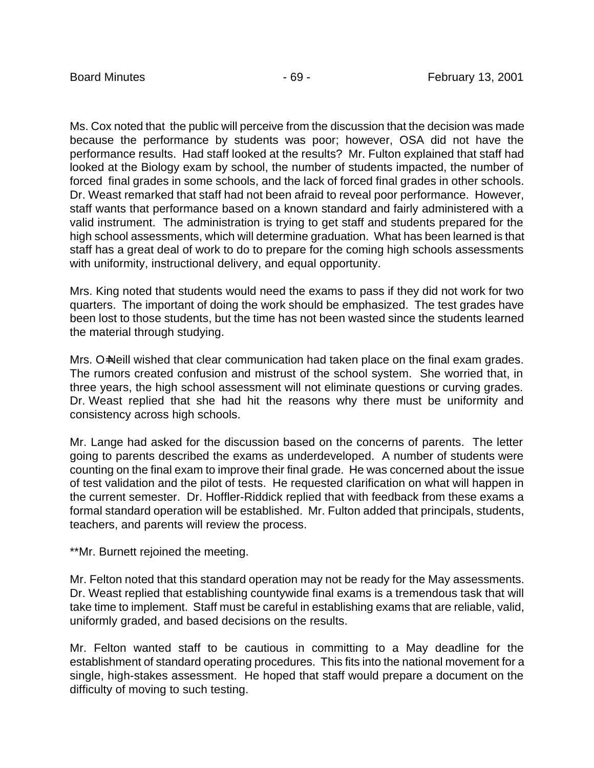Ms. Cox noted that the public will perceive from the discussion that the decision was made because the performance by students was poor; however, OSA did not have the performance results. Had staff looked at the results? Mr. Fulton explained that staff had looked at the Biology exam by school, the number of students impacted, the number of forced final grades in some schools, and the lack of forced final grades in other schools. Dr. Weast remarked that staff had not been afraid to reveal poor performance. However, staff wants that performance based on a known standard and fairly administered with a valid instrument. The administration is trying to get staff and students prepared for the high school assessments, which will determine graduation. What has been learned is that staff has a great deal of work to do to prepare for the coming high schools assessments with uniformity, instructional delivery, and equal opportunity.

Mrs. King noted that students would need the exams to pass if they did not work for two quarters. The important of doing the work should be emphasized. The test grades have been lost to those students, but the time has not been wasted since the students learned the material through studying.

Mrs. O=Neill wished that clear communication had taken place on the final exam grades. The rumors created confusion and mistrust of the school system. She worried that, in three years, the high school assessment will not eliminate questions or curving grades. Dr. Weast replied that she had hit the reasons why there must be uniformity and consistency across high schools.

Mr. Lange had asked for the discussion based on the concerns of parents. The letter going to parents described the exams as underdeveloped. A number of students were counting on the final exam to improve their final grade. He was concerned about the issue of test validation and the pilot of tests. He requested clarification on what will happen in the current semester. Dr. Hoffler-Riddick replied that with feedback from these exams a formal standard operation will be established. Mr. Fulton added that principals, students, teachers, and parents will review the process.

\*\*Mr. Burnett rejoined the meeting.

Mr. Felton noted that this standard operation may not be ready for the May assessments. Dr. Weast replied that establishing countywide final exams is a tremendous task that will take time to implement. Staff must be careful in establishing exams that are reliable, valid, uniformly graded, and based decisions on the results.

Mr. Felton wanted staff to be cautious in committing to a May deadline for the establishment of standard operating procedures. This fits into the national movement for a single, high-stakes assessment. He hoped that staff would prepare a document on the difficulty of moving to such testing.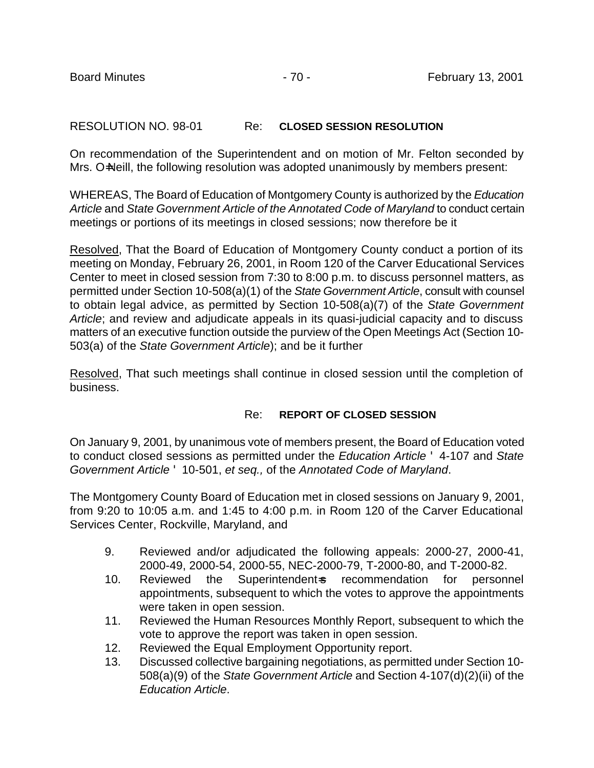# RESOLUTION NO. 98-01 Re: **CLOSED SESSION RESOLUTION**

On recommendation of the Superintendent and on motion of Mr. Felton seconded by Mrs. O=Neill, the following resolution was adopted unanimously by members present:

WHEREAS, The Board of Education of Montgomery County is authorized by the *Education Article* and *State Government Article of the Annotated Code of Maryland* to conduct certain meetings or portions of its meetings in closed sessions; now therefore be it

Resolved, That the Board of Education of Montgomery County conduct a portion of its meeting on Monday, February 26, 2001, in Room 120 of the Carver Educational Services Center to meet in closed session from 7:30 to 8:00 p.m. to discuss personnel matters, as permitted under Section 10-508(a)(1) of the *State Government Article*, consult with counsel to obtain legal advice, as permitted by Section 10-508(a)(7) of the *State Government Article*; and review and adjudicate appeals in its quasi-judicial capacity and to discuss matters of an executive function outside the purview of the Open Meetings Act (Section 10- 503(a) of the *State Government Article*); and be it further

Resolved, That such meetings shall continue in closed session until the completion of business.

# Re: **REPORT OF CLOSED SESSION**

On January 9, 2001, by unanimous vote of members present, the Board of Education voted to conduct closed sessions as permitted under the *Education Article* ' 4-107 and *State Government Article* ' 10-501, *et seq.,* of the *Annotated Code of Maryland*.

The Montgomery County Board of Education met in closed sessions on January 9, 2001, from 9:20 to 10:05 a.m. and 1:45 to 4:00 p.m. in Room 120 of the Carver Educational Services Center, Rockville, Maryland, and

- 9. Reviewed and/or adjudicated the following appeals: 2000-27, 2000-41, 2000-49, 2000-54, 2000-55, NEC-2000-79, T-2000-80, and T-2000-82.
- 10. Reviewed the Superintendent-s recommendation for personnel appointments, subsequent to which the votes to approve the appointments were taken in open session.
- 11. Reviewed the Human Resources Monthly Report, subsequent to which the vote to approve the report was taken in open session.
- 12. Reviewed the Equal Employment Opportunity report.
- 13. Discussed collective bargaining negotiations, as permitted under Section 10- 508(a)(9) of the *State Government Article* and Section 4-107(d)(2)(ii) of the *Education Article*.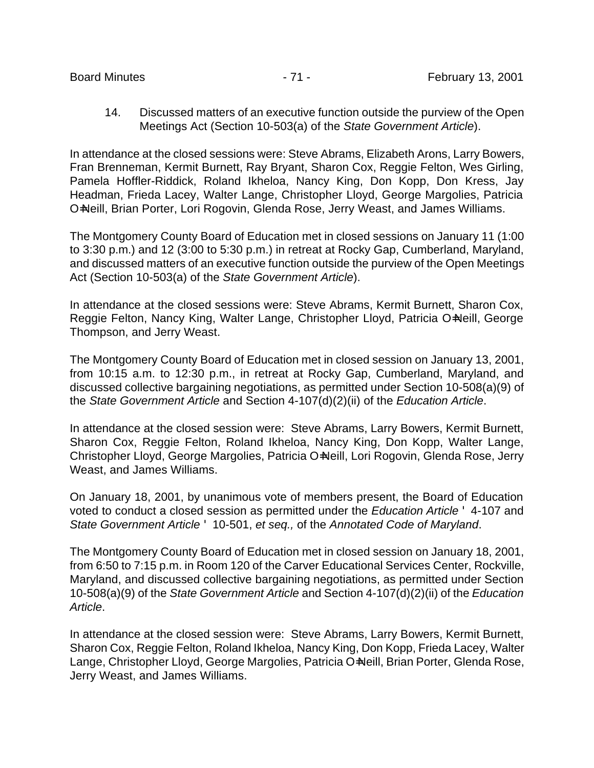14. Discussed matters of an executive function outside the purview of the Open Meetings Act (Section 10-503(a) of the *State Government Article*).

In attendance at the closed sessions were: Steve Abrams, Elizabeth Arons, Larry Bowers, Fran Brenneman, Kermit Burnett, Ray Bryant, Sharon Cox, Reggie Felton, Wes Girling, Pamela Hoffler-Riddick, Roland Ikheloa, Nancy King, Don Kopp, Don Kress, Jay Headman, Frieda Lacey, Walter Lange, Christopher Lloyd, George Margolies, Patricia O=Neill, Brian Porter, Lori Rogovin, Glenda Rose, Jerry Weast, and James Williams.

The Montgomery County Board of Education met in closed sessions on January 11 (1:00 to 3:30 p.m.) and 12 (3:00 to 5:30 p.m.) in retreat at Rocky Gap, Cumberland, Maryland, and discussed matters of an executive function outside the purview of the Open Meetings Act (Section 10-503(a) of the *State Government Article*).

In attendance at the closed sessions were: Steve Abrams, Kermit Burnett, Sharon Cox, Reggie Felton, Nancy King, Walter Lange, Christopher Lloyd, Patricia O=Neill, George Thompson, and Jerry Weast.

The Montgomery County Board of Education met in closed session on January 13, 2001, from 10:15 a.m. to 12:30 p.m., in retreat at Rocky Gap, Cumberland, Maryland, and discussed collective bargaining negotiations, as permitted under Section 10-508(a)(9) of the *State Government Article* and Section 4-107(d)(2)(ii) of the *Education Article*.

In attendance at the closed session were: Steve Abrams, Larry Bowers, Kermit Burnett, Sharon Cox, Reggie Felton, Roland Ikheloa, Nancy King, Don Kopp, Walter Lange, Christopher Lloyd, George Margolies, Patricia O=Neill, Lori Rogovin, Glenda Rose, Jerry Weast, and James Williams.

On January 18, 2001, by unanimous vote of members present, the Board of Education voted to conduct a closed session as permitted under the *Education Article* ' 4-107 and *State Government Article* ' 10-501, *et seq.,* of the *Annotated Code of Maryland*.

The Montgomery County Board of Education met in closed session on January 18, 2001, from 6:50 to 7:15 p.m. in Room 120 of the Carver Educational Services Center, Rockville, Maryland, and discussed collective bargaining negotiations, as permitted under Section 10-508(a)(9) of the *State Government Article* and Section 4-107(d)(2)(ii) of the *Education Article*.

In attendance at the closed session were: Steve Abrams, Larry Bowers, Kermit Burnett, Sharon Cox, Reggie Felton, Roland Ikheloa, Nancy King, Don Kopp, Frieda Lacey, Walter Lange, Christopher Lloyd, George Margolies, Patricia O=Neill, Brian Porter, Glenda Rose, Jerry Weast, and James Williams.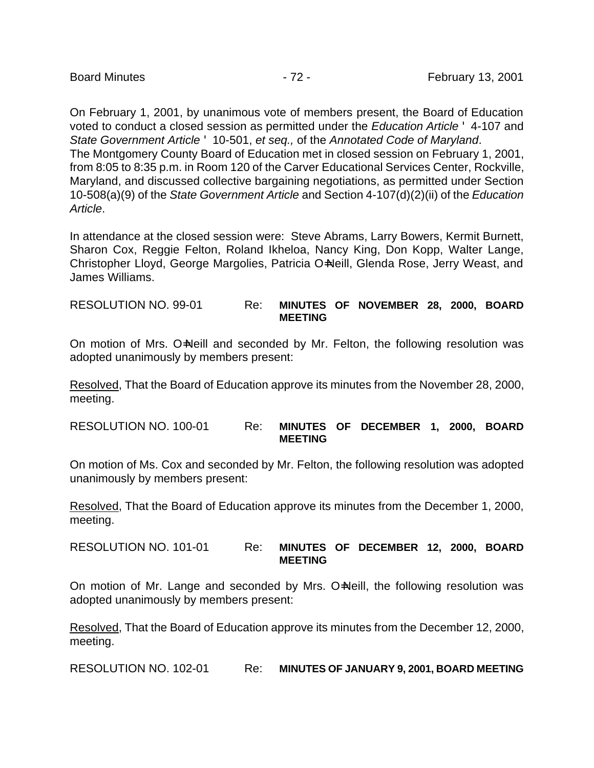On February 1, 2001, by unanimous vote of members present, the Board of Education voted to conduct a closed session as permitted under the *Education Article* ' 4-107 and *State Government Article* ' 10-501, *et seq.,* of the *Annotated Code of Maryland*. The Montgomery County Board of Education met in closed session on February 1, 2001, from 8:05 to 8:35 p.m. in Room 120 of the Carver Educational Services Center, Rockville, Maryland, and discussed collective bargaining negotiations, as permitted under Section 10-508(a)(9) of the *State Government Article* and Section 4-107(d)(2)(ii) of the *Education Article*.

In attendance at the closed session were: Steve Abrams, Larry Bowers, Kermit Burnett, Sharon Cox, Reggie Felton, Roland Ikheloa, Nancy King, Don Kopp, Walter Lange, Christopher Lloyd, George Margolies, Patricia O=Neill, Glenda Rose, Jerry Weast, and James Williams.

RESOLUTION NO. 99-01 Re: **MINUTES OF NOVEMBER 28, 2000, BOARD MEETING**

On motion of Mrs. O=Neill and seconded by Mr. Felton, the following resolution was adopted unanimously by members present:

Resolved, That the Board of Education approve its minutes from the November 28, 2000, meeting.

RESOLUTION NO. 100-01 Re: **MINUTES OF DECEMBER 1, 2000, BOARD MEETING**

On motion of Ms. Cox and seconded by Mr. Felton, the following resolution was adopted unanimously by members present:

Resolved, That the Board of Education approve its minutes from the December 1, 2000, meeting.

RESOLUTION NO. 101-01 Re: **MINUTES OF DECEMBER 12, 2000, BOARD MEETING**

On motion of Mr. Lange and seconded by Mrs. O=Neill, the following resolution was adopted unanimously by members present:

Resolved, That the Board of Education approve its minutes from the December 12, 2000, meeting.

RESOLUTION NO. 102-01 Re: **MINUTES OF JANUARY 9, 2001, BOARD MEETING**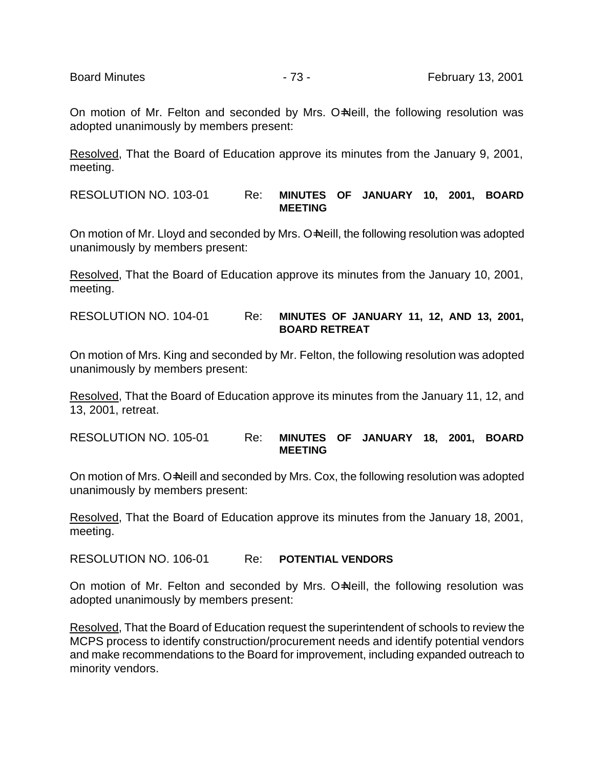On motion of Mr. Felton and seconded by Mrs. O=Neill, the following resolution was adopted unanimously by members present:

Resolved, That the Board of Education approve its minutes from the January 9, 2001, meeting.

RESOLUTION NO. 103-01 Re: **MINUTES OF JANUARY 10, 2001, BOARD MEETING**

On motion of Mr. Lloyd and seconded by Mrs. O=Neill, the following resolution was adopted unanimously by members present:

Resolved, That the Board of Education approve its minutes from the January 10, 2001, meeting.

RESOLUTION NO. 104-01 Re: **MINUTES OF JANUARY 11, 12, AND 13, 2001, BOARD RETREAT**

On motion of Mrs. King and seconded by Mr. Felton, the following resolution was adopted unanimously by members present:

Resolved, That the Board of Education approve its minutes from the January 11, 12, and 13, 2001, retreat.

RESOLUTION NO. 105-01 Re: **MINUTES OF JANUARY 18, 2001, BOARD MEETING**

On motion of Mrs. O=Neill and seconded by Mrs. Cox, the following resolution was adopted unanimously by members present:

Resolved, That the Board of Education approve its minutes from the January 18, 2001, meeting.

RESOLUTION NO. 106-01 Re: **POTENTIAL VENDORS**

On motion of Mr. Felton and seconded by Mrs. O=Neill, the following resolution was adopted unanimously by members present:

Resolved, That the Board of Education request the superintendent of schools to review the MCPS process to identify construction/procurement needs and identify potential vendors and make recommendations to the Board for improvement, including expanded outreach to minority vendors.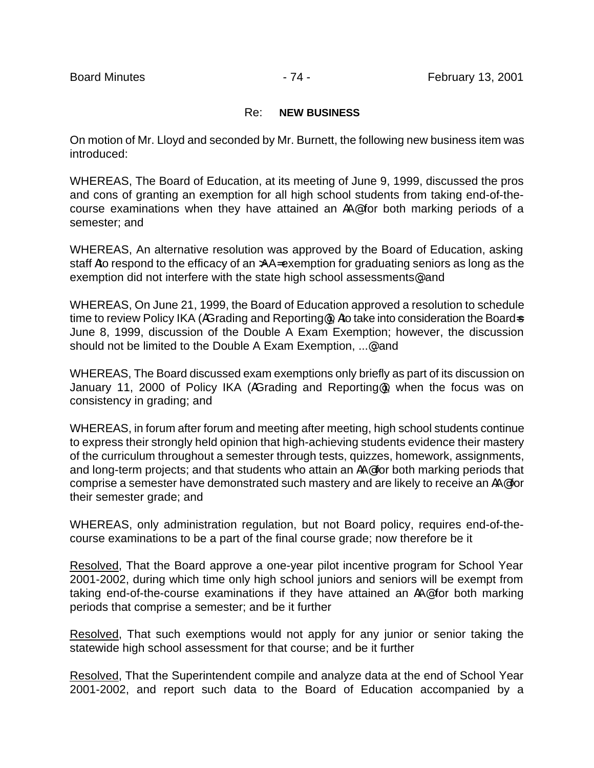## Re: **NEW BUSINESS**

On motion of Mr. Lloyd and seconded by Mr. Burnett, the following new business item was introduced:

WHEREAS, The Board of Education, at its meeting of June 9, 1999, discussed the pros and cons of granting an exemption for all high school students from taking end-of-thecourse examinations when they have attained an AA@ for both marking periods of a semester; and

WHEREAS, An alternative resolution was approved by the Board of Education, asking staff Ato respond to the efficacy of an >AA= exemption for graduating seniors as long as the exemption did not interfere with the state high school assessments@ and

WHEREAS, On June 21, 1999, the Board of Education approved a resolution to schedule time to review Policy IKA (AGrading and Reporting<sup>®</sup>), Ato take into consideration the Board-s June 8, 1999, discussion of the Double A Exam Exemption; however, the discussion should not be limited to the Double A Exam Exemption, ... og and

WHEREAS, The Board discussed exam exemptions only briefly as part of its discussion on January 11, 2000 of Policy IKA (AGrading and Reporting@), when the focus was on consistency in grading; and

WHEREAS, in forum after forum and meeting after meeting, high school students continue to express their strongly held opinion that high-achieving students evidence their mastery of the curriculum throughout a semester through tests, quizzes, homework, assignments, and long-term projects; and that students who attain an AA@ for both marking periods that comprise a semester have demonstrated such mastery and are likely to receive an AA@ for their semester grade; and

WHEREAS, only administration regulation, but not Board policy, requires end-of-thecourse examinations to be a part of the final course grade; now therefore be it

Resolved, That the Board approve a one-year pilot incentive program for School Year 2001-2002, during which time only high school juniors and seniors will be exempt from taking end-of-the-course examinations if they have attained an AA@ for both marking periods that comprise a semester; and be it further

Resolved, That such exemptions would not apply for any junior or senior taking the statewide high school assessment for that course; and be it further

Resolved, That the Superintendent compile and analyze data at the end of School Year 2001-2002, and report such data to the Board of Education accompanied by a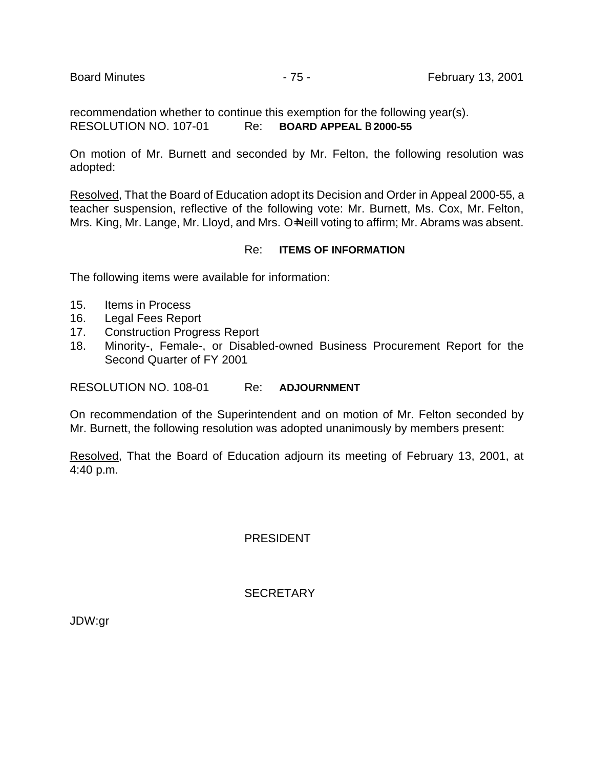recommendation whether to continue this exemption for the following year(s). RESOLUTION NO. 107-01 Re: **BOARD APPEAL** B **2000-55**

On motion of Mr. Burnett and seconded by Mr. Felton, the following resolution was adopted:

Resolved, That the Board of Education adopt its Decision and Order in Appeal 2000-55, a teacher suspension, reflective of the following vote: Mr. Burnett, Ms. Cox, Mr. Felton, Mrs. King, Mr. Lange, Mr. Lloyd, and Mrs. O=Neill voting to affirm; Mr. Abrams was absent.

## Re: **ITEMS OF INFORMATION**

The following items were available for information:

- 15. Items in Process
- 16. Legal Fees Report
- 17. Construction Progress Report
- 18. Minority-, Female-, or Disabled-owned Business Procurement Report for the Second Quarter of FY 2001

RESOLUTION NO. 108-01 Re: **ADJOURNMENT**

On recommendation of the Superintendent and on motion of Mr. Felton seconded by Mr. Burnett, the following resolution was adopted unanimously by members present:

Resolved, That the Board of Education adjourn its meeting of February 13, 2001, at 4:40 p.m.

PRESIDENT

**SECRETARY** 

JDW:gr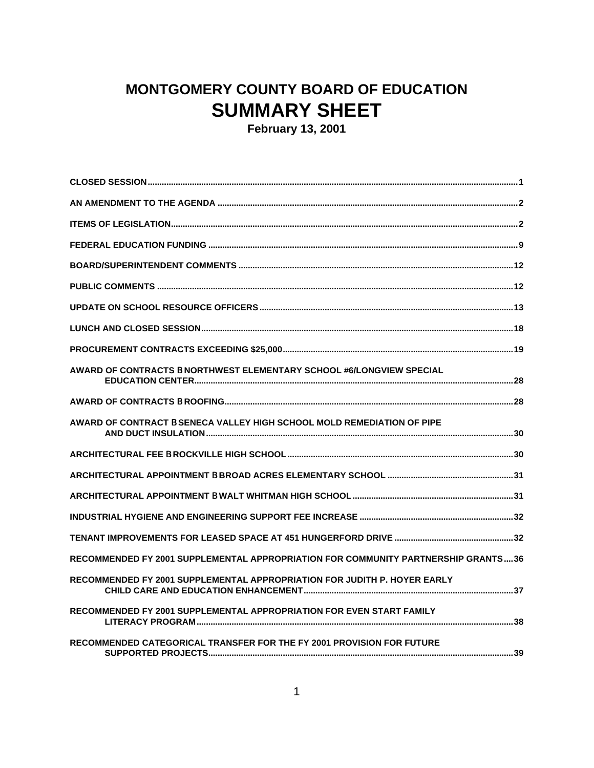## **MONTGOMERY COUNTY BOARD OF EDUCATION SUMMARY SHEET**

**February 13, 2001**

| AWARD OF CONTRACTS B NORTHWEST ELEMENTARY SCHOOL #6/LONGVIEW SPECIAL              |
|-----------------------------------------------------------------------------------|
|                                                                                   |
| AWARD OF CONTRACT B SENECA VALLEY HIGH SCHOOL MOLD REMEDIATION OF PIPE            |
|                                                                                   |
|                                                                                   |
|                                                                                   |
|                                                                                   |
|                                                                                   |
| RECOMMENDED FY 2001 SUPPLEMENTAL APPROPRIATION FOR COMMUNITY PARTNERSHIP GRANTS36 |
| RECOMMENDED FY 2001 SUPPLEMENTAL APPROPRIATION FOR JUDITH P. HOYER EARLY          |
| RECOMMENDED FY 2001 SUPPLEMENTAL APPROPRIATION FOR EVEN START FAMILY              |
| RECOMMENDED CATEGORICAL TRANSFER FOR THE FY 2001 PROVISION FOR FUTURE             |